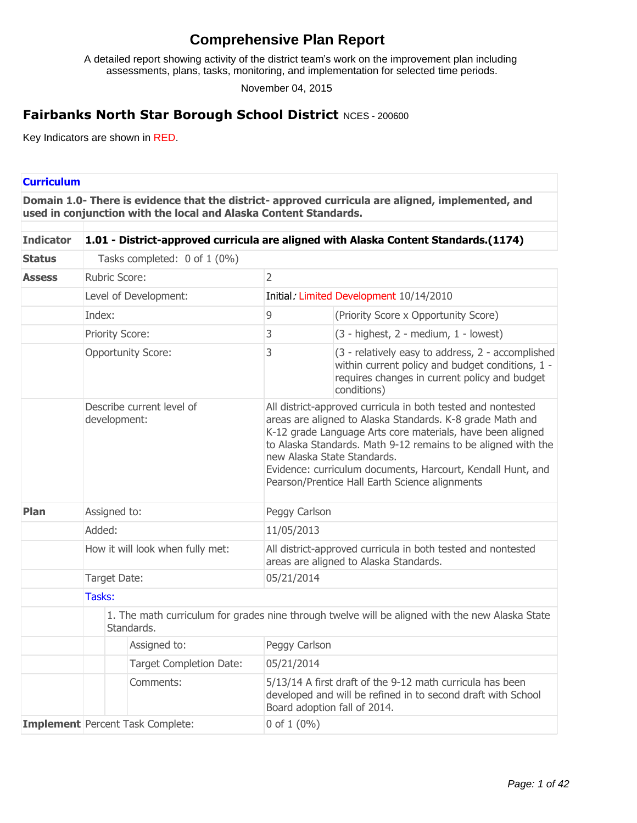# **Comprehensive Plan Report**

A detailed report showing activity of the district team's work on the improvement plan including assessments, plans, tasks, monitoring, and implementation for selected time periods.

November 04, 2015

## **Fairbanks North Star Borough School District** NCES - 200600

Key Indicators are shown in RED.

### **Curriculum**

**Domain 1.0- There is evidence that the district- approved curricula are aligned, implemented, and used in conjunction with the local and Alaska Content Standards.**

| <b>Indicator</b> | 1.01 - District-approved curricula are aligned with Alaska Content Standards.(1174) |                                |                                                                                                                                                                                                                                                                                                                                                                                                          |                                                                                                                                                                       |  |  |
|------------------|-------------------------------------------------------------------------------------|--------------------------------|----------------------------------------------------------------------------------------------------------------------------------------------------------------------------------------------------------------------------------------------------------------------------------------------------------------------------------------------------------------------------------------------------------|-----------------------------------------------------------------------------------------------------------------------------------------------------------------------|--|--|
| <b>Status</b>    |                                                                                     | Tasks completed: 0 of 1 (0%)   |                                                                                                                                                                                                                                                                                                                                                                                                          |                                                                                                                                                                       |  |  |
| <b>Assess</b>    | <b>Rubric Score:</b>                                                                |                                | $\overline{2}$                                                                                                                                                                                                                                                                                                                                                                                           |                                                                                                                                                                       |  |  |
|                  | Level of Development:                                                               |                                |                                                                                                                                                                                                                                                                                                                                                                                                          | Initial: Limited Development 10/14/2010                                                                                                                               |  |  |
|                  | Index:                                                                              |                                | 9                                                                                                                                                                                                                                                                                                                                                                                                        | (Priority Score x Opportunity Score)                                                                                                                                  |  |  |
|                  | Priority Score:                                                                     |                                | 3                                                                                                                                                                                                                                                                                                                                                                                                        | (3 - highest, 2 - medium, 1 - lowest)                                                                                                                                 |  |  |
|                  |                                                                                     | <b>Opportunity Score:</b>      | 3                                                                                                                                                                                                                                                                                                                                                                                                        | (3 - relatively easy to address, 2 - accomplished<br>within current policy and budget conditions, 1 -<br>requires changes in current policy and budget<br>conditions) |  |  |
|                  | Describe current level of<br>development:                                           |                                | All district-approved curricula in both tested and nontested<br>areas are aligned to Alaska Standards. K-8 grade Math and<br>K-12 grade Language Arts core materials, have been aligned<br>to Alaska Standards. Math 9-12 remains to be aligned with the<br>new Alaska State Standards.<br>Evidence: curriculum documents, Harcourt, Kendall Hunt, and<br>Pearson/Prentice Hall Earth Science alignments |                                                                                                                                                                       |  |  |
| Plan             | Assigned to:                                                                        |                                | Peggy Carlson                                                                                                                                                                                                                                                                                                                                                                                            |                                                                                                                                                                       |  |  |
|                  | Added:                                                                              |                                | 11/05/2013                                                                                                                                                                                                                                                                                                                                                                                               |                                                                                                                                                                       |  |  |
|                  | How it will look when fully met:                                                    |                                |                                                                                                                                                                                                                                                                                                                                                                                                          | All district-approved curricula in both tested and nontested<br>areas are aligned to Alaska Standards.                                                                |  |  |
|                  | Target Date:                                                                        |                                | 05/21/2014                                                                                                                                                                                                                                                                                                                                                                                               |                                                                                                                                                                       |  |  |
|                  | Tasks:                                                                              |                                |                                                                                                                                                                                                                                                                                                                                                                                                          |                                                                                                                                                                       |  |  |
|                  | Standards.                                                                          |                                |                                                                                                                                                                                                                                                                                                                                                                                                          | 1. The math curriculum for grades nine through twelve will be aligned with the new Alaska State                                                                       |  |  |
|                  |                                                                                     | Assigned to:                   | Peggy Carlson                                                                                                                                                                                                                                                                                                                                                                                            |                                                                                                                                                                       |  |  |
|                  |                                                                                     | <b>Target Completion Date:</b> | 05/21/2014                                                                                                                                                                                                                                                                                                                                                                                               |                                                                                                                                                                       |  |  |
|                  |                                                                                     | Comments:                      |                                                                                                                                                                                                                                                                                                                                                                                                          | 5/13/14 A first draft of the 9-12 math curricula has been<br>developed and will be refined in to second draft with School<br>Board adoption fall of 2014.             |  |  |
|                  | <b>Implement</b> Percent Task Complete:                                             |                                | 0 of $1(0\%)$                                                                                                                                                                                                                                                                                                                                                                                            |                                                                                                                                                                       |  |  |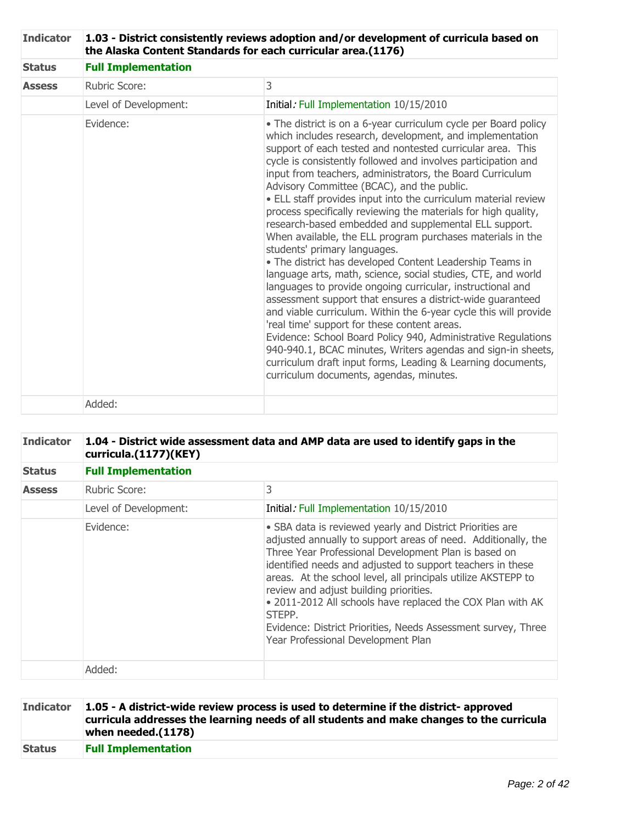| <b>Indicator</b> | 1.03 - District consistently reviews adoption and/or development of curricula based on<br>the Alaska Content Standards for each curricular area.(1176) |                                                                                                                                                                                                                                                                                                                                                                                                                                                                                                                                                                                                                                                                                                                                                                                                                                                                                                                                                                                                                                                                                                                                                                                                                                                                                         |  |  |  |
|------------------|--------------------------------------------------------------------------------------------------------------------------------------------------------|-----------------------------------------------------------------------------------------------------------------------------------------------------------------------------------------------------------------------------------------------------------------------------------------------------------------------------------------------------------------------------------------------------------------------------------------------------------------------------------------------------------------------------------------------------------------------------------------------------------------------------------------------------------------------------------------------------------------------------------------------------------------------------------------------------------------------------------------------------------------------------------------------------------------------------------------------------------------------------------------------------------------------------------------------------------------------------------------------------------------------------------------------------------------------------------------------------------------------------------------------------------------------------------------|--|--|--|
| <b>Status</b>    | <b>Full Implementation</b>                                                                                                                             |                                                                                                                                                                                                                                                                                                                                                                                                                                                                                                                                                                                                                                                                                                                                                                                                                                                                                                                                                                                                                                                                                                                                                                                                                                                                                         |  |  |  |
| <b>Assess</b>    | Rubric Score:                                                                                                                                          | 3                                                                                                                                                                                                                                                                                                                                                                                                                                                                                                                                                                                                                                                                                                                                                                                                                                                                                                                                                                                                                                                                                                                                                                                                                                                                                       |  |  |  |
|                  | Level of Development:                                                                                                                                  | Initial: Full Implementation 10/15/2010                                                                                                                                                                                                                                                                                                                                                                                                                                                                                                                                                                                                                                                                                                                                                                                                                                                                                                                                                                                                                                                                                                                                                                                                                                                 |  |  |  |
|                  | Evidence:                                                                                                                                              | • The district is on a 6-year curriculum cycle per Board policy<br>which includes research, development, and implementation<br>support of each tested and nontested curricular area. This<br>cycle is consistently followed and involves participation and<br>input from teachers, administrators, the Board Curriculum<br>Advisory Committee (BCAC), and the public.<br>• ELL staff provides input into the curriculum material review<br>process specifically reviewing the materials for high quality,<br>research-based embedded and supplemental ELL support.<br>When available, the ELL program purchases materials in the<br>students' primary languages.<br>• The district has developed Content Leadership Teams in<br>language arts, math, science, social studies, CTE, and world<br>languages to provide ongoing curricular, instructional and<br>assessment support that ensures a district-wide guaranteed<br>and viable curriculum. Within the 6-year cycle this will provide<br>'real time' support for these content areas.<br>Evidence: School Board Policy 940, Administrative Regulations<br>940-940.1, BCAC minutes, Writers agendas and sign-in sheets,<br>curriculum draft input forms, Leading & Learning documents,<br>curriculum documents, agendas, minutes. |  |  |  |
|                  | Added:                                                                                                                                                 |                                                                                                                                                                                                                                                                                                                                                                                                                                                                                                                                                                                                                                                                                                                                                                                                                                                                                                                                                                                                                                                                                                                                                                                                                                                                                         |  |  |  |

| <b>Indicator</b> | 1.04 - District wide assessment data and AMP data are used to identify gaps in the<br>curricula.(1177)(KEY) |                                                                                                                                                                                                                                                                                                                                                                                                                                                                                                                                            |  |  |
|------------------|-------------------------------------------------------------------------------------------------------------|--------------------------------------------------------------------------------------------------------------------------------------------------------------------------------------------------------------------------------------------------------------------------------------------------------------------------------------------------------------------------------------------------------------------------------------------------------------------------------------------------------------------------------------------|--|--|
| <b>Status</b>    | <b>Full Implementation</b>                                                                                  |                                                                                                                                                                                                                                                                                                                                                                                                                                                                                                                                            |  |  |
| <b>Assess</b>    | <b>Rubric Score:</b>                                                                                        | 3                                                                                                                                                                                                                                                                                                                                                                                                                                                                                                                                          |  |  |
|                  | Level of Development:                                                                                       | Initial: Full Implementation 10/15/2010                                                                                                                                                                                                                                                                                                                                                                                                                                                                                                    |  |  |
|                  | Evidence:                                                                                                   | • SBA data is reviewed yearly and District Priorities are<br>adjusted annually to support areas of need. Additionally, the<br>Three Year Professional Development Plan is based on<br>identified needs and adjusted to support teachers in these<br>areas. At the school level, all principals utilize AKSTEPP to<br>review and adjust building priorities.<br>. 2011-2012 All schools have replaced the COX Plan with AK<br>STEPP.<br>Evidence: District Priorities, Needs Assessment survey, Three<br>Year Professional Development Plan |  |  |
|                  | Added:                                                                                                      |                                                                                                                                                                                                                                                                                                                                                                                                                                                                                                                                            |  |  |

| <b>Indicator</b> | 1.05 - A district-wide review process is used to determine if the district- approved<br>curricula addresses the learning needs of all students and make changes to the curricula<br>when needed.(1178) |
|------------------|--------------------------------------------------------------------------------------------------------------------------------------------------------------------------------------------------------|
| <b>Status</b>    | <b>Full Implementation</b>                                                                                                                                                                             |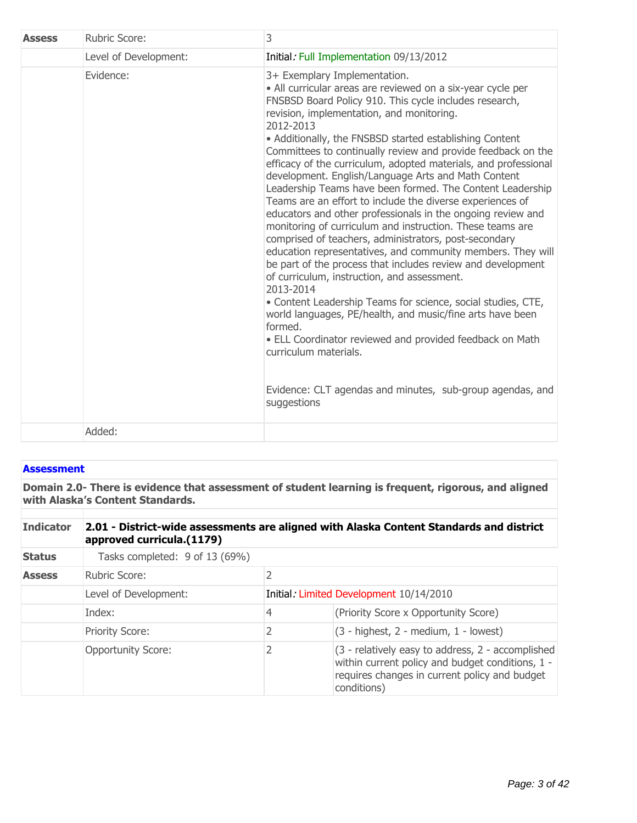| <b>Assess</b> | <b>Rubric Score:</b>  | 3                                                                                                                                                                                                                                                                                                                                                                                                                                                                                                                                                                                                                                                                                                                                                                                                                                                                                                                                                                                                                                                                                                                                                                                                                                                                                      |  |
|---------------|-----------------------|----------------------------------------------------------------------------------------------------------------------------------------------------------------------------------------------------------------------------------------------------------------------------------------------------------------------------------------------------------------------------------------------------------------------------------------------------------------------------------------------------------------------------------------------------------------------------------------------------------------------------------------------------------------------------------------------------------------------------------------------------------------------------------------------------------------------------------------------------------------------------------------------------------------------------------------------------------------------------------------------------------------------------------------------------------------------------------------------------------------------------------------------------------------------------------------------------------------------------------------------------------------------------------------|--|
|               | Level of Development: | Initial: Full Implementation 09/13/2012                                                                                                                                                                                                                                                                                                                                                                                                                                                                                                                                                                                                                                                                                                                                                                                                                                                                                                                                                                                                                                                                                                                                                                                                                                                |  |
|               | Evidence:             | 3+ Exemplary Implementation.<br>• All curricular areas are reviewed on a six-year cycle per<br>FNSBSD Board Policy 910. This cycle includes research,<br>revision, implementation, and monitoring.<br>2012-2013<br>• Additionally, the FNSBSD started establishing Content<br>Committees to continually review and provide feedback on the<br>efficacy of the curriculum, adopted materials, and professional<br>development. English/Language Arts and Math Content<br>Leadership Teams have been formed. The Content Leadership<br>Teams are an effort to include the diverse experiences of<br>educators and other professionals in the ongoing review and<br>monitoring of curriculum and instruction. These teams are<br>comprised of teachers, administrators, post-secondary<br>education representatives, and community members. They will<br>be part of the process that includes review and development<br>of curriculum, instruction, and assessment.<br>2013-2014<br>• Content Leadership Teams for science, social studies, CTE,<br>world languages, PE/health, and music/fine arts have been<br>formed.<br>• ELL Coordinator reviewed and provided feedback on Math<br>curriculum materials.<br>Evidence: CLT agendas and minutes, sub-group agendas, and<br>suggestions |  |
|               | Added:                |                                                                                                                                                                                                                                                                                                                                                                                                                                                                                                                                                                                                                                                                                                                                                                                                                                                                                                                                                                                                                                                                                                                                                                                                                                                                                        |  |

## **Assessment**

**Domain 2.0- There is evidence that assessment of student learning is frequent, rigorous, and aligned with Alaska¶s Content Standards.**

| <b>Indicator</b> | 2.01 - District-wide assessments are aligned with Alaska Content Standards and district<br>approved curricula.(1179) |                                         |                                                                                                                                                                       |  |
|------------------|----------------------------------------------------------------------------------------------------------------------|-----------------------------------------|-----------------------------------------------------------------------------------------------------------------------------------------------------------------------|--|
| <b>Status</b>    | Tasks completed: 9 of 13 (69%)                                                                                       |                                         |                                                                                                                                                                       |  |
| <b>Assess</b>    | 2<br>Rubric Score:                                                                                                   |                                         |                                                                                                                                                                       |  |
|                  | Level of Development:                                                                                                | Initial: Limited Development 10/14/2010 |                                                                                                                                                                       |  |
|                  | Index:                                                                                                               | 4                                       | (Priority Score x Opportunity Score)                                                                                                                                  |  |
|                  | <b>Priority Score:</b>                                                                                               | 2                                       | $(3 - highest, 2 - medium, 1 - lowest)$                                                                                                                               |  |
|                  | <b>Opportunity Score:</b>                                                                                            | 2                                       | (3 - relatively easy to address, 2 - accomplished<br>within current policy and budget conditions, 1 -<br>requires changes in current policy and budget<br>conditions) |  |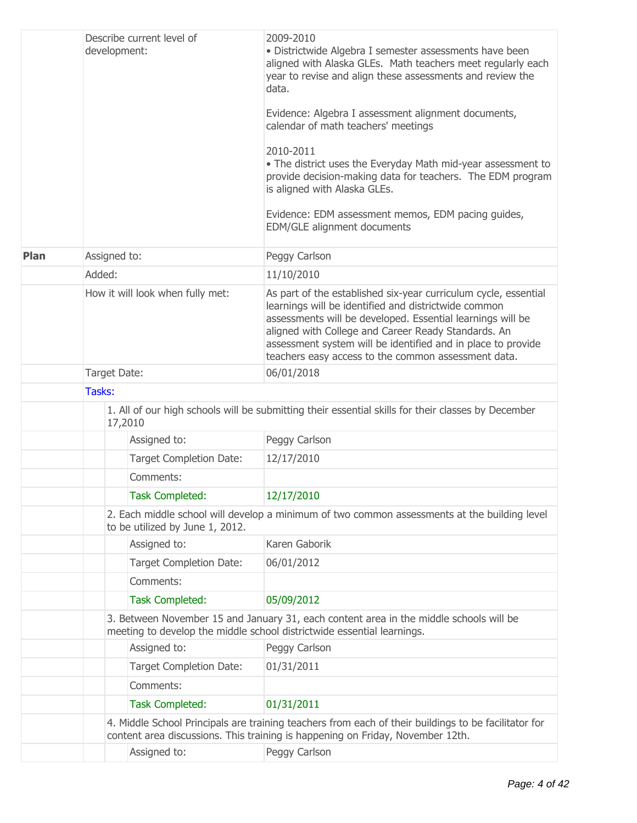|      | Describe current level of<br>development: |              |                                  | 2009-2010<br>· Districtwide Algebra I semester assessments have been<br>aligned with Alaska GLEs. Math teachers meet regularly each<br>year to revise and align these assessments and review the<br>data.<br>Evidence: Algebra I assessment alignment documents,<br>calendar of math teachers' meetings<br>2010-2011<br>• The district uses the Everyday Math mid-year assessment to<br>provide decision-making data for teachers. The EDM program<br>is aligned with Alaska GLEs.<br>Evidence: EDM assessment memos, EDM pacing guides,<br>EDM/GLE alignment documents |  |  |
|------|-------------------------------------------|--------------|----------------------------------|-------------------------------------------------------------------------------------------------------------------------------------------------------------------------------------------------------------------------------------------------------------------------------------------------------------------------------------------------------------------------------------------------------------------------------------------------------------------------------------------------------------------------------------------------------------------------|--|--|
| Plan |                                           | Assigned to: |                                  | Peggy Carlson                                                                                                                                                                                                                                                                                                                                                                                                                                                                                                                                                           |  |  |
|      | Added:                                    |              |                                  | 11/10/2010                                                                                                                                                                                                                                                                                                                                                                                                                                                                                                                                                              |  |  |
|      |                                           |              | How it will look when fully met: | As part of the established six-year curriculum cycle, essential<br>learnings will be identified and districtwide common<br>assessments will be developed. Essential learnings will be<br>aligned with College and Career Ready Standards. An<br>assessment system will be identified and in place to provide<br>teachers easy access to the common assessment data.                                                                                                                                                                                                     |  |  |
|      | Target Date:                              |              |                                  | 06/01/2018                                                                                                                                                                                                                                                                                                                                                                                                                                                                                                                                                              |  |  |
|      |                                           | Tasks:       |                                  |                                                                                                                                                                                                                                                                                                                                                                                                                                                                                                                                                                         |  |  |
|      | 17,2010                                   |              |                                  | 1. All of our high schools will be submitting their essential skills for their classes by December                                                                                                                                                                                                                                                                                                                                                                                                                                                                      |  |  |
|      |                                           |              | Assigned to:                     | Peggy Carlson                                                                                                                                                                                                                                                                                                                                                                                                                                                                                                                                                           |  |  |
|      |                                           |              | <b>Target Completion Date:</b>   | 12/17/2010                                                                                                                                                                                                                                                                                                                                                                                                                                                                                                                                                              |  |  |
|      |                                           |              | Comments:                        |                                                                                                                                                                                                                                                                                                                                                                                                                                                                                                                                                                         |  |  |
|      |                                           |              | <b>Task Completed:</b>           | 12/17/2010                                                                                                                                                                                                                                                                                                                                                                                                                                                                                                                                                              |  |  |
|      |                                           |              | to be utilized by June 1, 2012.  | 2. Each middle school will develop a minimum of two common assessments at the building level                                                                                                                                                                                                                                                                                                                                                                                                                                                                            |  |  |
|      |                                           |              | Assigned to:                     | Karen Gaborik                                                                                                                                                                                                                                                                                                                                                                                                                                                                                                                                                           |  |  |
|      |                                           |              | <b>Target Completion Date:</b>   | 06/01/2012                                                                                                                                                                                                                                                                                                                                                                                                                                                                                                                                                              |  |  |
|      |                                           |              | Comments:                        |                                                                                                                                                                                                                                                                                                                                                                                                                                                                                                                                                                         |  |  |
|      |                                           |              | <b>Task Completed:</b>           | 05/09/2012                                                                                                                                                                                                                                                                                                                                                                                                                                                                                                                                                              |  |  |
|      |                                           |              |                                  | 3. Between November 15 and January 31, each content area in the middle schools will be<br>meeting to develop the middle school districtwide essential learnings.                                                                                                                                                                                                                                                                                                                                                                                                        |  |  |
|      |                                           |              | Assigned to:                     | Peggy Carlson                                                                                                                                                                                                                                                                                                                                                                                                                                                                                                                                                           |  |  |
|      |                                           |              | <b>Target Completion Date:</b>   | 01/31/2011                                                                                                                                                                                                                                                                                                                                                                                                                                                                                                                                                              |  |  |
|      |                                           |              | Comments:                        |                                                                                                                                                                                                                                                                                                                                                                                                                                                                                                                                                                         |  |  |
|      |                                           |              | <b>Task Completed:</b>           | 01/31/2011                                                                                                                                                                                                                                                                                                                                                                                                                                                                                                                                                              |  |  |
|      |                                           |              |                                  | 4. Middle School Principals are training teachers from each of their buildings to be facilitator for<br>content area discussions. This training is happening on Friday, November 12th.                                                                                                                                                                                                                                                                                                                                                                                  |  |  |
|      |                                           |              | Assigned to:                     | Peggy Carlson                                                                                                                                                                                                                                                                                                                                                                                                                                                                                                                                                           |  |  |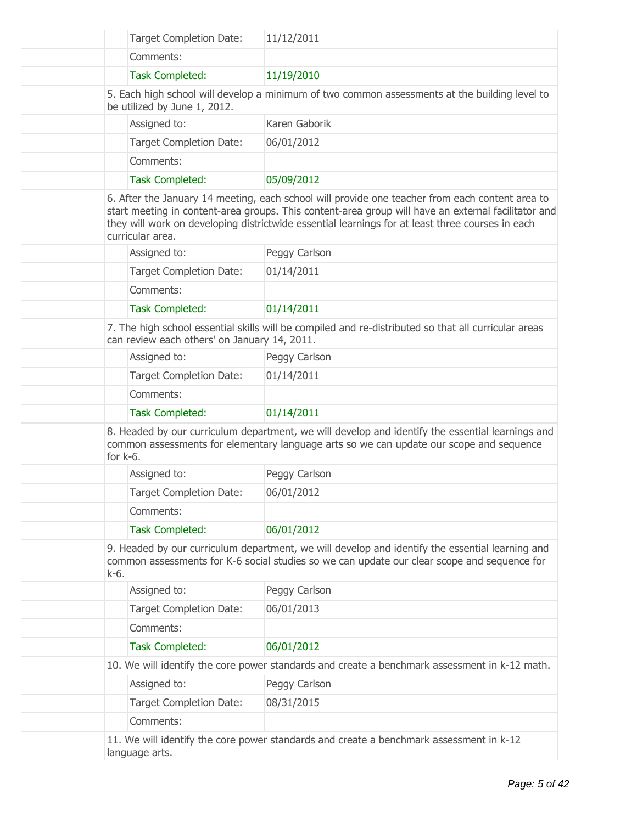| <b>Target Completion Date:</b>               | 11/12/2011                                                                                                                                                                                                                                                                                                 |
|----------------------------------------------|------------------------------------------------------------------------------------------------------------------------------------------------------------------------------------------------------------------------------------------------------------------------------------------------------------|
| Comments:                                    |                                                                                                                                                                                                                                                                                                            |
| <b>Task Completed:</b>                       | 11/19/2010                                                                                                                                                                                                                                                                                                 |
| be utilized by June 1, 2012.                 | 5. Each high school will develop a minimum of two common assessments at the building level to                                                                                                                                                                                                              |
| Assigned to:                                 | Karen Gaborik                                                                                                                                                                                                                                                                                              |
| <b>Target Completion Date:</b>               | 06/01/2012                                                                                                                                                                                                                                                                                                 |
| Comments:                                    |                                                                                                                                                                                                                                                                                                            |
| <b>Task Completed:</b>                       | 05/09/2012                                                                                                                                                                                                                                                                                                 |
| curricular area.                             | 6. After the January 14 meeting, each school will provide one teacher from each content area to<br>start meeting in content-area groups. This content-area group will have an external facilitator and<br>they will work on developing districtwide essential learnings for at least three courses in each |
| Assigned to:                                 | Peggy Carlson                                                                                                                                                                                                                                                                                              |
| <b>Target Completion Date:</b>               | 01/14/2011                                                                                                                                                                                                                                                                                                 |
| Comments:                                    |                                                                                                                                                                                                                                                                                                            |
| <b>Task Completed:</b>                       | 01/14/2011                                                                                                                                                                                                                                                                                                 |
| can review each others' on January 14, 2011. | 7. The high school essential skills will be compiled and re-distributed so that all curricular areas                                                                                                                                                                                                       |
| Assigned to:                                 | Peggy Carlson                                                                                                                                                                                                                                                                                              |
| <b>Target Completion Date:</b>               | 01/14/2011                                                                                                                                                                                                                                                                                                 |
| Comments:                                    |                                                                                                                                                                                                                                                                                                            |
| <b>Task Completed:</b>                       | 01/14/2011                                                                                                                                                                                                                                                                                                 |
| for $k-6$ .                                  | 8. Headed by our curriculum department, we will develop and identify the essential learnings and<br>common assessments for elementary language arts so we can update our scope and sequence                                                                                                                |
| Assigned to:                                 | Peggy Carlson                                                                                                                                                                                                                                                                                              |
| <b>Target Completion Date:</b>               | 06/01/2012                                                                                                                                                                                                                                                                                                 |
| Comments:                                    |                                                                                                                                                                                                                                                                                                            |
| <b>Task Completed:</b>                       | 06/01/2012                                                                                                                                                                                                                                                                                                 |
| k-6.                                         | 9. Headed by our curriculum department, we will develop and identify the essential learning and<br>common assessments for K-6 social studies so we can update our clear scope and sequence for                                                                                                             |
| Assigned to:                                 | Peggy Carlson                                                                                                                                                                                                                                                                                              |
| <b>Target Completion Date:</b>               | 06/01/2013                                                                                                                                                                                                                                                                                                 |
| Comments:                                    |                                                                                                                                                                                                                                                                                                            |
| <b>Task Completed:</b>                       | 06/01/2012                                                                                                                                                                                                                                                                                                 |
|                                              | 10. We will identify the core power standards and create a benchmark assessment in k-12 math.                                                                                                                                                                                                              |
| Assigned to:                                 | Peggy Carlson                                                                                                                                                                                                                                                                                              |
| <b>Target Completion Date:</b>               | 08/31/2015                                                                                                                                                                                                                                                                                                 |
| Comments:                                    |                                                                                                                                                                                                                                                                                                            |
| language arts.                               | 11. We will identify the core power standards and create a benchmark assessment in k-12                                                                                                                                                                                                                    |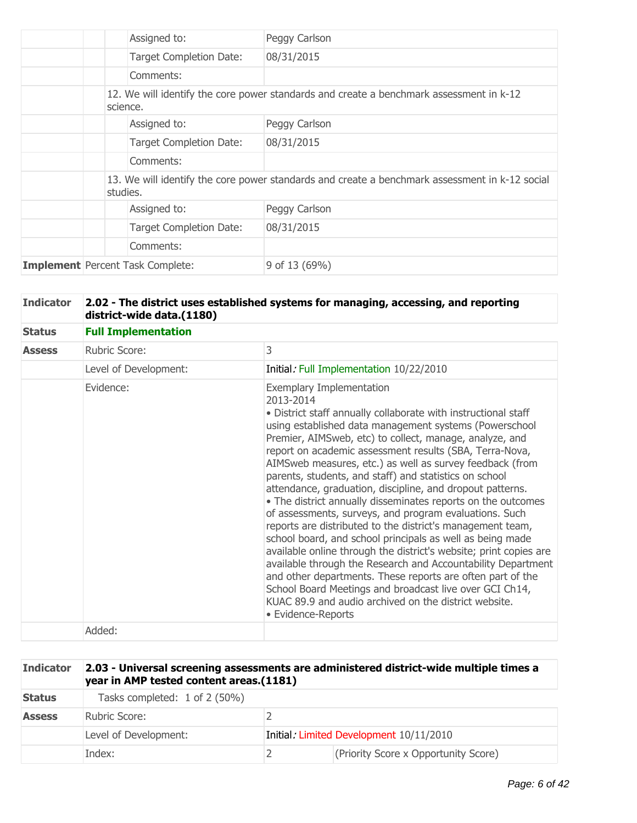|                                         |          | Assigned to:                   | Peggy Carlson                                                                                  |
|-----------------------------------------|----------|--------------------------------|------------------------------------------------------------------------------------------------|
|                                         |          | <b>Target Completion Date:</b> | 08/31/2015                                                                                     |
|                                         |          | Comments:                      |                                                                                                |
|                                         | science. |                                | 12. We will identify the core power standards and create a benchmark assessment in k-12        |
|                                         |          | Assigned to:                   | Peggy Carlson                                                                                  |
|                                         |          | <b>Target Completion Date:</b> | 08/31/2015                                                                                     |
|                                         |          | Comments:                      |                                                                                                |
|                                         | studies. |                                | 13. We will identify the core power standards and create a benchmark assessment in k-12 social |
|                                         |          | Assigned to:                   | Peggy Carlson                                                                                  |
|                                         |          | <b>Target Completion Date:</b> | 08/31/2015                                                                                     |
|                                         |          | Comments:                      |                                                                                                |
| <b>Implement</b> Percent Task Complete: |          |                                | 9 of 13 (69%)                                                                                  |

| <b>Indicator</b> | 2.02 - The district uses established systems for managing, accessing, and reporting<br>district-wide data.(1180) |                                                                                                                                                                                                                                                                                                                                                                                                                                                                                                                                                                                                                                                                                                                                                                                                                                                                                                                                                                                                                                                                                     |  |  |  |
|------------------|------------------------------------------------------------------------------------------------------------------|-------------------------------------------------------------------------------------------------------------------------------------------------------------------------------------------------------------------------------------------------------------------------------------------------------------------------------------------------------------------------------------------------------------------------------------------------------------------------------------------------------------------------------------------------------------------------------------------------------------------------------------------------------------------------------------------------------------------------------------------------------------------------------------------------------------------------------------------------------------------------------------------------------------------------------------------------------------------------------------------------------------------------------------------------------------------------------------|--|--|--|
| <b>Status</b>    | <b>Full Implementation</b>                                                                                       |                                                                                                                                                                                                                                                                                                                                                                                                                                                                                                                                                                                                                                                                                                                                                                                                                                                                                                                                                                                                                                                                                     |  |  |  |
| <b>Assess</b>    | Rubric Score:                                                                                                    | 3                                                                                                                                                                                                                                                                                                                                                                                                                                                                                                                                                                                                                                                                                                                                                                                                                                                                                                                                                                                                                                                                                   |  |  |  |
|                  | Level of Development:                                                                                            | Initial: Full Implementation 10/22/2010                                                                                                                                                                                                                                                                                                                                                                                                                                                                                                                                                                                                                                                                                                                                                                                                                                                                                                                                                                                                                                             |  |  |  |
|                  | Evidence:                                                                                                        | <b>Exemplary Implementation</b><br>2013-2014<br>• District staff annually collaborate with instructional staff<br>using established data management systems (Powerschool<br>Premier, AIMSweb, etc) to collect, manage, analyze, and<br>report on academic assessment results (SBA, Terra-Nova,<br>AIMSweb measures, etc.) as well as survey feedback (from<br>parents, students, and staff) and statistics on school<br>attendance, graduation, discipline, and dropout patterns.<br>• The district annually disseminates reports on the outcomes<br>of assessments, surveys, and program evaluations. Such<br>reports are distributed to the district's management team,<br>school board, and school principals as well as being made<br>available online through the district's website; print copies are<br>available through the Research and Accountability Department<br>and other departments. These reports are often part of the<br>School Board Meetings and broadcast live over GCI Ch14,<br>KUAC 89.9 and audio archived on the district website.<br>• Evidence-Reports |  |  |  |
|                  | Added:                                                                                                           |                                                                                                                                                                                                                                                                                                                                                                                                                                                                                                                                                                                                                                                                                                                                                                                                                                                                                                                                                                                                                                                                                     |  |  |  |

| <b>Indicator</b> | 2.03 - Universal screening assessments are administered district-wide multiple times a<br>year in AMP tested content areas.(1181) |  |                                      |  |
|------------------|-----------------------------------------------------------------------------------------------------------------------------------|--|--------------------------------------|--|
| <b>Status</b>    | Tasks completed: 1 of 2 (50%)                                                                                                     |  |                                      |  |
| <b>Assess</b>    | Rubric Score:                                                                                                                     |  |                                      |  |
|                  | Initial: Limited Development 10/11/2010<br>Level of Development:                                                                  |  |                                      |  |
|                  | Index:                                                                                                                            |  | (Priority Score x Opportunity Score) |  |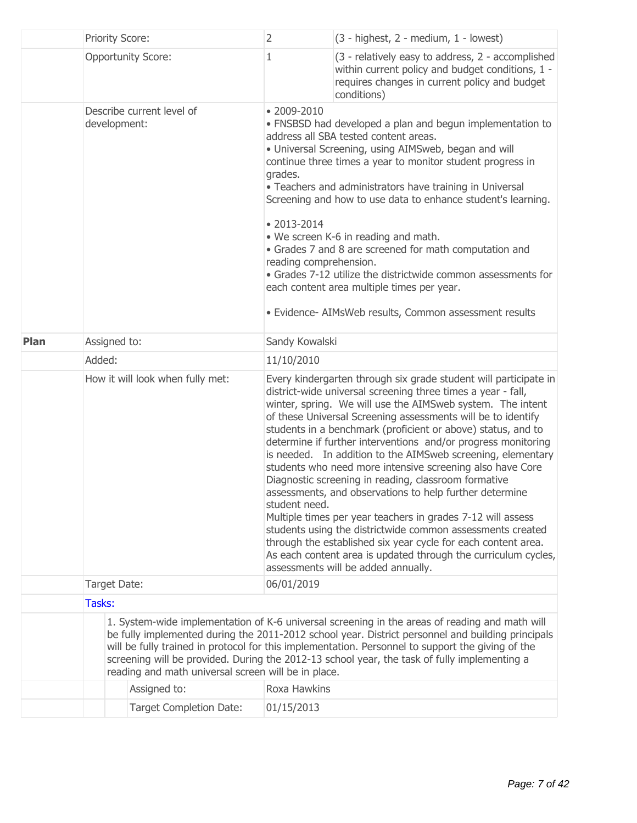|             | Priority Score:                           |                                                     | $\overline{2}$                                                                                                                                                                                                                                                                                                                                                                                                                                                                                                                                                                                                                                                                                             | $(3 - highest, 2 - medium, 1 - lowest)$                                                                                                                                                                                                                                                                                                                                                                                                                                                                                                                                                                                                                                                                                                                                                                                                                                                                                                               |
|-------------|-------------------------------------------|-----------------------------------------------------|------------------------------------------------------------------------------------------------------------------------------------------------------------------------------------------------------------------------------------------------------------------------------------------------------------------------------------------------------------------------------------------------------------------------------------------------------------------------------------------------------------------------------------------------------------------------------------------------------------------------------------------------------------------------------------------------------------|-------------------------------------------------------------------------------------------------------------------------------------------------------------------------------------------------------------------------------------------------------------------------------------------------------------------------------------------------------------------------------------------------------------------------------------------------------------------------------------------------------------------------------------------------------------------------------------------------------------------------------------------------------------------------------------------------------------------------------------------------------------------------------------------------------------------------------------------------------------------------------------------------------------------------------------------------------|
|             |                                           | <b>Opportunity Score:</b>                           | 1                                                                                                                                                                                                                                                                                                                                                                                                                                                                                                                                                                                                                                                                                                          | (3 - relatively easy to address, 2 - accomplished<br>within current policy and budget conditions, 1 -<br>requires changes in current policy and budget<br>conditions)                                                                                                                                                                                                                                                                                                                                                                                                                                                                                                                                                                                                                                                                                                                                                                                 |
|             | Describe current level of<br>development: |                                                     | $• 2009 - 2010$<br>• FNSBSD had developed a plan and begun implementation to<br>address all SBA tested content areas.<br>• Universal Screening, using AIMSweb, began and will<br>continue three times a year to monitor student progress in<br>grades.<br>• Teachers and administrators have training in Universal<br>Screening and how to use data to enhance student's learning.<br>$• 2013 - 2014$<br>• We screen K-6 in reading and math.<br>• Grades 7 and 8 are screened for math computation and<br>reading comprehension.<br>• Grades 7-12 utilize the districtwide common assessments for<br>each content area multiple times per year.<br>· Evidence- AIMsWeb results, Common assessment results |                                                                                                                                                                                                                                                                                                                                                                                                                                                                                                                                                                                                                                                                                                                                                                                                                                                                                                                                                       |
| <b>Plan</b> | Assigned to:                              |                                                     | Sandy Kowalski                                                                                                                                                                                                                                                                                                                                                                                                                                                                                                                                                                                                                                                                                             |                                                                                                                                                                                                                                                                                                                                                                                                                                                                                                                                                                                                                                                                                                                                                                                                                                                                                                                                                       |
|             | Added:                                    |                                                     | 11/10/2010                                                                                                                                                                                                                                                                                                                                                                                                                                                                                                                                                                                                                                                                                                 |                                                                                                                                                                                                                                                                                                                                                                                                                                                                                                                                                                                                                                                                                                                                                                                                                                                                                                                                                       |
|             | How it will look when fully met:          |                                                     | student need.                                                                                                                                                                                                                                                                                                                                                                                                                                                                                                                                                                                                                                                                                              | Every kindergarten through six grade student will participate in<br>district-wide universal screening three times a year - fall,<br>winter, spring. We will use the AIMSweb system. The intent<br>of these Universal Screening assessments will be to identify<br>students in a benchmark (proficient or above) status, and to<br>determine if further interventions and/or progress monitoring<br>is needed. In addition to the AIMSweb screening, elementary<br>students who need more intensive screening also have Core<br>Diagnostic screening in reading, classroom formative<br>assessments, and observations to help further determine<br>Multiple times per year teachers in grades 7-12 will assess<br>students using the districtwide common assessments created<br>through the established six year cycle for each content area.<br>As each content area is updated through the curriculum cycles,<br>assessments will be added annually. |
|             | Target Date:                              |                                                     | 06/01/2019                                                                                                                                                                                                                                                                                                                                                                                                                                                                                                                                                                                                                                                                                                 |                                                                                                                                                                                                                                                                                                                                                                                                                                                                                                                                                                                                                                                                                                                                                                                                                                                                                                                                                       |
|             | Tasks:                                    |                                                     |                                                                                                                                                                                                                                                                                                                                                                                                                                                                                                                                                                                                                                                                                                            |                                                                                                                                                                                                                                                                                                                                                                                                                                                                                                                                                                                                                                                                                                                                                                                                                                                                                                                                                       |
|             |                                           | reading and math universal screen will be in place. |                                                                                                                                                                                                                                                                                                                                                                                                                                                                                                                                                                                                                                                                                                            | 1. System-wide implementation of K-6 universal screening in the areas of reading and math will<br>be fully implemented during the 2011-2012 school year. District personnel and building principals<br>will be fully trained in protocol for this implementation. Personnel to support the giving of the<br>screening will be provided. During the 2012-13 school year, the task of fully implementing a                                                                                                                                                                                                                                                                                                                                                                                                                                                                                                                                              |
|             |                                           | Assigned to:                                        | Roxa Hawkins                                                                                                                                                                                                                                                                                                                                                                                                                                                                                                                                                                                                                                                                                               |                                                                                                                                                                                                                                                                                                                                                                                                                                                                                                                                                                                                                                                                                                                                                                                                                                                                                                                                                       |
|             |                                           |                                                     |                                                                                                                                                                                                                                                                                                                                                                                                                                                                                                                                                                                                                                                                                                            |                                                                                                                                                                                                                                                                                                                                                                                                                                                                                                                                                                                                                                                                                                                                                                                                                                                                                                                                                       |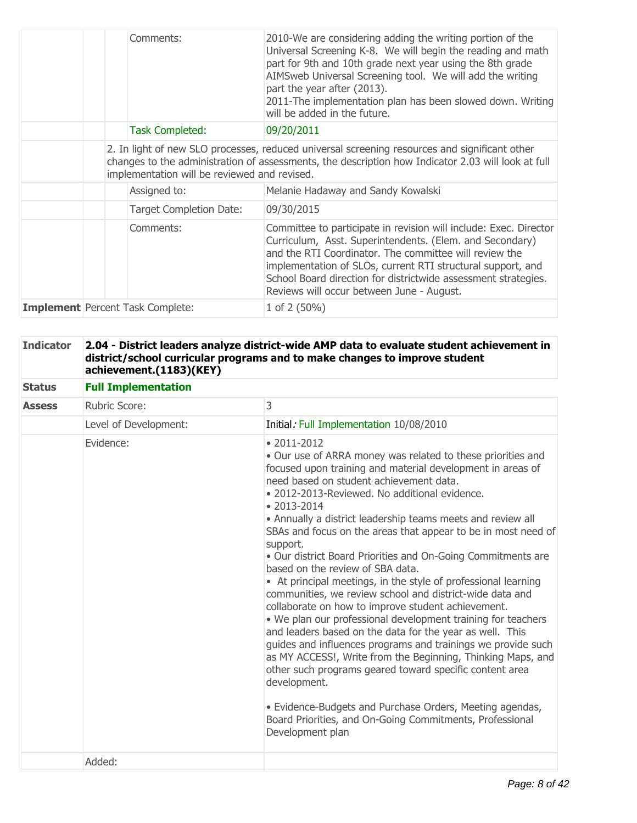|  | Comments:                                    | 2010-We are considering adding the writing portion of the<br>Universal Screening K-8. We will begin the reading and math<br>part for 9th and 10th grade next year using the 8th grade<br>AIMSweb Universal Screening tool. We will add the writing<br>part the year after (2013).<br>2011-The implementation plan has been slowed down. Writing<br>will be added in the future. |
|--|----------------------------------------------|---------------------------------------------------------------------------------------------------------------------------------------------------------------------------------------------------------------------------------------------------------------------------------------------------------------------------------------------------------------------------------|
|  | <b>Task Completed:</b>                       | 09/20/2011                                                                                                                                                                                                                                                                                                                                                                      |
|  | implementation will be reviewed and revised. | 2. In light of new SLO processes, reduced universal screening resources and significant other<br>changes to the administration of assessments, the description how Indicator 2.03 will look at full                                                                                                                                                                             |
|  | Assigned to:                                 | Melanie Hadaway and Sandy Kowalski                                                                                                                                                                                                                                                                                                                                              |
|  | Target Completion Date:                      | 09/30/2015                                                                                                                                                                                                                                                                                                                                                                      |
|  | Comments:                                    | Committee to participate in revision will include: Exec. Director<br>Curriculum, Asst. Superintendents. (Elem. and Secondary)<br>and the RTI Coordinator. The committee will review the<br>implementation of SLOs, current RTI structural support, and<br>School Board direction for districtwide assessment strategies.<br>Reviews will occur between June - August.           |
|  | <b>Implement</b> Percent Task Complete:      | 1 of $2(50\%)$                                                                                                                                                                                                                                                                                                                                                                  |

| <b>Indicator</b> | 2.04 - District leaders analyze district-wide AMP data to evaluate student achievement in<br>district/school curricular programs and to make changes to improve student<br>achievement.(1183)(KEY) |                                                                                                                                                                                                                                                                                                                                                                                                                                                                                                                                                                                                                                                                                                                                                                                                                                                                                                                                                                                                                                                                                                                                                                                   |  |  |  |
|------------------|----------------------------------------------------------------------------------------------------------------------------------------------------------------------------------------------------|-----------------------------------------------------------------------------------------------------------------------------------------------------------------------------------------------------------------------------------------------------------------------------------------------------------------------------------------------------------------------------------------------------------------------------------------------------------------------------------------------------------------------------------------------------------------------------------------------------------------------------------------------------------------------------------------------------------------------------------------------------------------------------------------------------------------------------------------------------------------------------------------------------------------------------------------------------------------------------------------------------------------------------------------------------------------------------------------------------------------------------------------------------------------------------------|--|--|--|
| <b>Status</b>    | <b>Full Implementation</b>                                                                                                                                                                         |                                                                                                                                                                                                                                                                                                                                                                                                                                                                                                                                                                                                                                                                                                                                                                                                                                                                                                                                                                                                                                                                                                                                                                                   |  |  |  |
| <b>Assess</b>    | <b>Rubric Score:</b>                                                                                                                                                                               | 3                                                                                                                                                                                                                                                                                                                                                                                                                                                                                                                                                                                                                                                                                                                                                                                                                                                                                                                                                                                                                                                                                                                                                                                 |  |  |  |
|                  | Level of Development:                                                                                                                                                                              | Initial: Full Implementation 10/08/2010                                                                                                                                                                                                                                                                                                                                                                                                                                                                                                                                                                                                                                                                                                                                                                                                                                                                                                                                                                                                                                                                                                                                           |  |  |  |
|                  | Evidence:                                                                                                                                                                                          | $• 2011 - 2012$<br>. Our use of ARRA money was related to these priorities and<br>focused upon training and material development in areas of<br>need based on student achievement data.<br>· 2012-2013-Reviewed. No additional evidence.<br>$• 2013 - 2014$<br>• Annually a district leadership teams meets and review all<br>SBAs and focus on the areas that appear to be in most need of<br>support.<br>. Our district Board Priorities and On-Going Commitments are<br>based on the review of SBA data.<br>• At principal meetings, in the style of professional learning<br>communities, we review school and district-wide data and<br>collaborate on how to improve student achievement.<br>. We plan our professional development training for teachers<br>and leaders based on the data for the year as well. This<br>guides and influences programs and trainings we provide such<br>as MY ACCESS!, Write from the Beginning, Thinking Maps, and<br>other such programs geared toward specific content area<br>development.<br>· Evidence-Budgets and Purchase Orders, Meeting agendas,<br>Board Priorities, and On-Going Commitments, Professional<br>Development plan |  |  |  |
|                  | Added:                                                                                                                                                                                             |                                                                                                                                                                                                                                                                                                                                                                                                                                                                                                                                                                                                                                                                                                                                                                                                                                                                                                                                                                                                                                                                                                                                                                                   |  |  |  |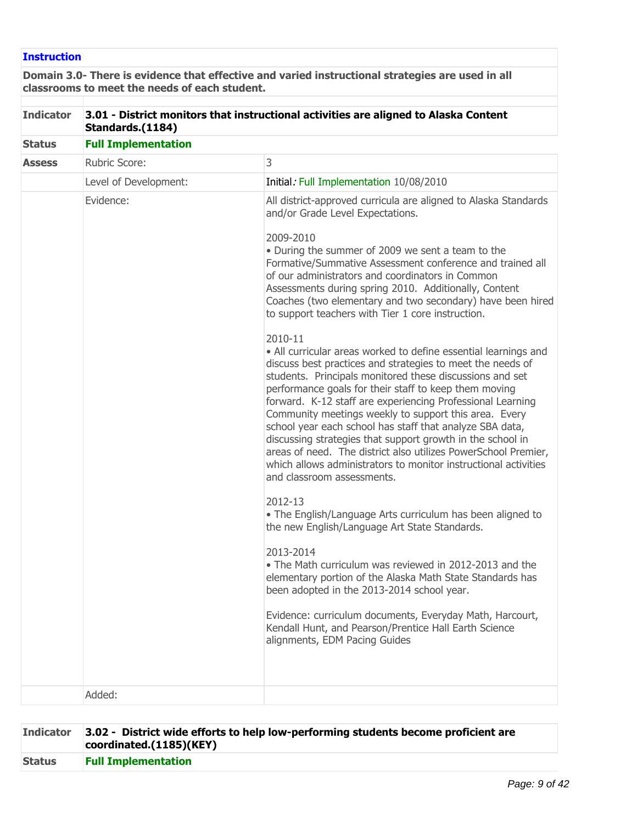# **Instruction**

**Domain 3.0- There is evidence that effective and varied instructional strategies are used in all classrooms to meet the needs of each student.**

| <b>Indicator</b> | 3.01 - District monitors that instructional activities are aligned to Alaska Content<br>Standards.(1184) |                                                                                                                                                                                                                                                                                                                                                                                                                                                                                                                                                                                                                                                                                                                                                                                                                                                                                                                                                                                                                                                                                                                                                                                                                                                                                                                                                                                                                                                                                                                                                                                                                            |  |  |  |
|------------------|----------------------------------------------------------------------------------------------------------|----------------------------------------------------------------------------------------------------------------------------------------------------------------------------------------------------------------------------------------------------------------------------------------------------------------------------------------------------------------------------------------------------------------------------------------------------------------------------------------------------------------------------------------------------------------------------------------------------------------------------------------------------------------------------------------------------------------------------------------------------------------------------------------------------------------------------------------------------------------------------------------------------------------------------------------------------------------------------------------------------------------------------------------------------------------------------------------------------------------------------------------------------------------------------------------------------------------------------------------------------------------------------------------------------------------------------------------------------------------------------------------------------------------------------------------------------------------------------------------------------------------------------------------------------------------------------------------------------------------------------|--|--|--|
| <b>Status</b>    | <b>Full Implementation</b>                                                                               |                                                                                                                                                                                                                                                                                                                                                                                                                                                                                                                                                                                                                                                                                                                                                                                                                                                                                                                                                                                                                                                                                                                                                                                                                                                                                                                                                                                                                                                                                                                                                                                                                            |  |  |  |
| <b>Assess</b>    | Rubric Score:                                                                                            | 3                                                                                                                                                                                                                                                                                                                                                                                                                                                                                                                                                                                                                                                                                                                                                                                                                                                                                                                                                                                                                                                                                                                                                                                                                                                                                                                                                                                                                                                                                                                                                                                                                          |  |  |  |
|                  | Level of Development:                                                                                    | Initial: Full Implementation 10/08/2010                                                                                                                                                                                                                                                                                                                                                                                                                                                                                                                                                                                                                                                                                                                                                                                                                                                                                                                                                                                                                                                                                                                                                                                                                                                                                                                                                                                                                                                                                                                                                                                    |  |  |  |
|                  | Evidence:                                                                                                | All district-approved curricula are aligned to Alaska Standards<br>and/or Grade Level Expectations.<br>2009-2010<br>• During the summer of 2009 we sent a team to the<br>Formative/Summative Assessment conference and trained all<br>of our administrators and coordinators in Common<br>Assessments during spring 2010. Additionally, Content<br>Coaches (two elementary and two secondary) have been hired<br>to support teachers with Tier 1 core instruction.<br>2010-11<br>• All curricular areas worked to define essential learnings and<br>discuss best practices and strategies to meet the needs of<br>students. Principals monitored these discussions and set<br>performance goals for their staff to keep them moving<br>forward. K-12 staff are experiencing Professional Learning<br>Community meetings weekly to support this area. Every<br>school year each school has staff that analyze SBA data,<br>discussing strategies that support growth in the school in<br>areas of need. The district also utilizes PowerSchool Premier,<br>which allows administrators to monitor instructional activities<br>and classroom assessments.<br>2012-13<br>. The English/Language Arts curriculum has been aligned to<br>the new English/Language Art State Standards.<br>2013-2014<br>• The Math curriculum was reviewed in 2012-2013 and the<br>elementary portion of the Alaska Math State Standards has<br>been adopted in the 2013-2014 school year.<br>Evidence: curriculum documents, Everyday Math, Harcourt,<br>Kendall Hunt, and Pearson/Prentice Hall Earth Science<br>alignments, EDM Pacing Guides |  |  |  |
|                  | Added:                                                                                                   |                                                                                                                                                                                                                                                                                                                                                                                                                                                                                                                                                                                                                                                                                                                                                                                                                                                                                                                                                                                                                                                                                                                                                                                                                                                                                                                                                                                                                                                                                                                                                                                                                            |  |  |  |

|               | Indicator 3.02 - District wide efforts to help low-performing students become proficient are<br>coordinated.(1185)(KEY) |
|---------------|-------------------------------------------------------------------------------------------------------------------------|
| <b>Status</b> | <b>Full Implementation</b>                                                                                              |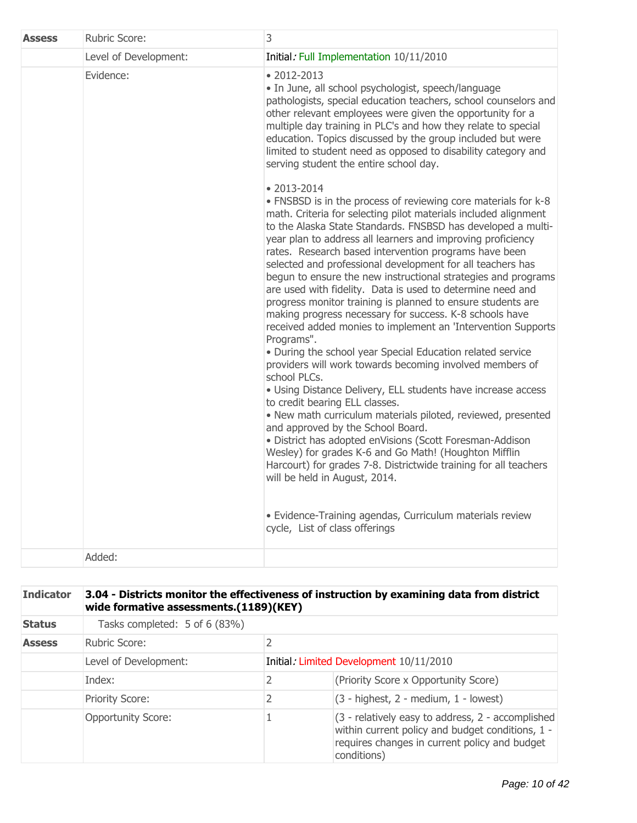| <b>Assess</b> | Rubric Score:         | 3                                                                                                                                                                                                                                                                                                                                                                                                                                                                                                                                                                                                                                                                                                                                                                                                                                                                                                                                                                                                                                                                                                                                                                                                                                                                                                                                                                                                                          |
|---------------|-----------------------|----------------------------------------------------------------------------------------------------------------------------------------------------------------------------------------------------------------------------------------------------------------------------------------------------------------------------------------------------------------------------------------------------------------------------------------------------------------------------------------------------------------------------------------------------------------------------------------------------------------------------------------------------------------------------------------------------------------------------------------------------------------------------------------------------------------------------------------------------------------------------------------------------------------------------------------------------------------------------------------------------------------------------------------------------------------------------------------------------------------------------------------------------------------------------------------------------------------------------------------------------------------------------------------------------------------------------------------------------------------------------------------------------------------------------|
|               | Level of Development: | Initial: Full Implementation 10/11/2010                                                                                                                                                                                                                                                                                                                                                                                                                                                                                                                                                                                                                                                                                                                                                                                                                                                                                                                                                                                                                                                                                                                                                                                                                                                                                                                                                                                    |
|               | Evidence:             | $• 2012 - 2013$<br>· In June, all school psychologist, speech/language<br>pathologists, special education teachers, school counselors and<br>other relevant employees were given the opportunity for a<br>multiple day training in PLC's and how they relate to special<br>education. Topics discussed by the group included but were<br>limited to student need as opposed to disability category and<br>serving student the entire school day.                                                                                                                                                                                                                                                                                                                                                                                                                                                                                                                                                                                                                                                                                                                                                                                                                                                                                                                                                                           |
|               |                       | $• 2013 - 2014$<br>• FNSBSD is in the process of reviewing core materials for k-8<br>math. Criteria for selecting pilot materials included alignment<br>to the Alaska State Standards. FNSBSD has developed a multi-<br>year plan to address all learners and improving proficiency<br>rates. Research based intervention programs have been<br>selected and professional development for all teachers has<br>begun to ensure the new instructional strategies and programs<br>are used with fidelity. Data is used to determine need and<br>progress monitor training is planned to ensure students are<br>making progress necessary for success. K-8 schools have<br>received added monies to implement an 'Intervention Supports<br>Programs".<br>. During the school year Special Education related service<br>providers will work towards becoming involved members of<br>school PLCs.<br>• Using Distance Delivery, ELL students have increase access<br>to credit bearing ELL classes.<br>· New math curriculum materials piloted, reviewed, presented<br>and approved by the School Board.<br>· District has adopted enVisions (Scott Foresman-Addison<br>Wesley) for grades K-6 and Go Math! (Houghton Mifflin<br>Harcourt) for grades 7-8. Districtwide training for all teachers<br>will be held in August, 2014.<br>· Evidence-Training agendas, Curriculum materials review<br>cycle, List of class offerings |
|               | Added:                |                                                                                                                                                                                                                                                                                                                                                                                                                                                                                                                                                                                                                                                                                                                                                                                                                                                                                                                                                                                                                                                                                                                                                                                                                                                                                                                                                                                                                            |

| <b>Indicator</b> | 3.04 - Districts monitor the effectiveness of instruction by examining data from district<br>wide formative assessments.(1189)(KEY) |                                         |                                                                                                                                                                       |  |
|------------------|-------------------------------------------------------------------------------------------------------------------------------------|-----------------------------------------|-----------------------------------------------------------------------------------------------------------------------------------------------------------------------|--|
| <b>Status</b>    | Tasks completed: 5 of 6 (83%)                                                                                                       |                                         |                                                                                                                                                                       |  |
| <b>Assess</b>    | $\overline{2}$<br>Rubric Score:                                                                                                     |                                         |                                                                                                                                                                       |  |
|                  | Level of Development:                                                                                                               | Initial: Limited Development 10/11/2010 |                                                                                                                                                                       |  |
|                  | Index:                                                                                                                              | 2                                       | (Priority Score x Opportunity Score)                                                                                                                                  |  |
|                  | <b>Priority Score:</b>                                                                                                              | 2                                       | $(3 - highest, 2 - medium, 1 - lowest)$                                                                                                                               |  |
|                  | <b>Opportunity Score:</b>                                                                                                           |                                         | (3 - relatively easy to address, 2 - accomplished<br>within current policy and budget conditions, 1 -<br>requires changes in current policy and budget<br>conditions) |  |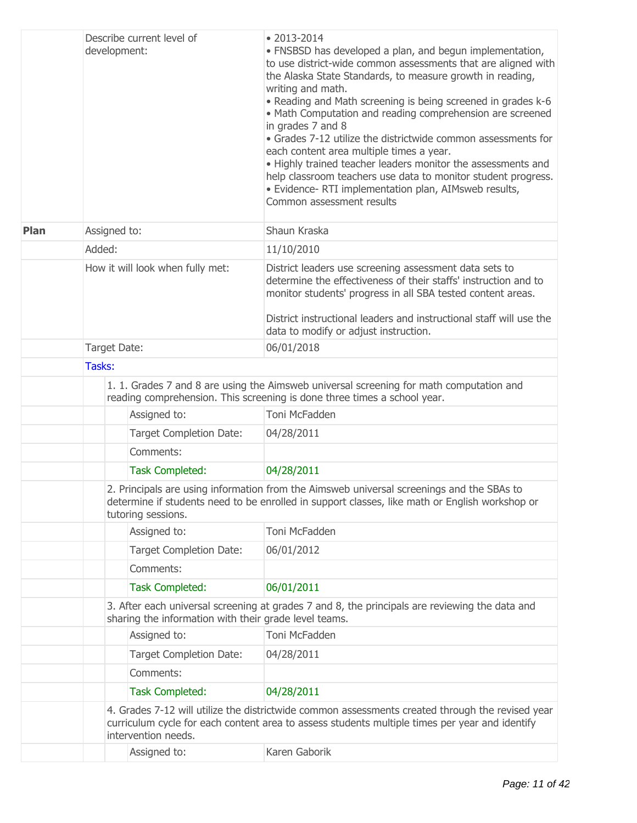|             | Describe current level of<br>development:             | $\bullet$ 2013-2014<br>• FNSBSD has developed a plan, and begun implementation,<br>to use district-wide common assessments that are aligned with<br>the Alaska State Standards, to measure growth in reading,<br>writing and math.<br>. Reading and Math screening is being screened in grades k-6<br>• Math Computation and reading comprehension are screened<br>in grades 7 and 8<br>· Grades 7-12 utilize the districtwide common assessments for<br>each content area multiple times a year.<br>• Highly trained teacher leaders monitor the assessments and<br>help classroom teachers use data to monitor student progress.<br>· Evidence- RTI implementation plan, AIMsweb results,<br>Common assessment results |  |  |  |
|-------------|-------------------------------------------------------|--------------------------------------------------------------------------------------------------------------------------------------------------------------------------------------------------------------------------------------------------------------------------------------------------------------------------------------------------------------------------------------------------------------------------------------------------------------------------------------------------------------------------------------------------------------------------------------------------------------------------------------------------------------------------------------------------------------------------|--|--|--|
| <b>Plan</b> | Assigned to:                                          | Shaun Kraska                                                                                                                                                                                                                                                                                                                                                                                                                                                                                                                                                                                                                                                                                                             |  |  |  |
|             | Added:                                                | 11/10/2010                                                                                                                                                                                                                                                                                                                                                                                                                                                                                                                                                                                                                                                                                                               |  |  |  |
|             | How it will look when fully met:                      | District leaders use screening assessment data sets to<br>determine the effectiveness of their staffs' instruction and to<br>monitor students' progress in all SBA tested content areas.<br>District instructional leaders and instructional staff will use the                                                                                                                                                                                                                                                                                                                                                                                                                                                          |  |  |  |
|             |                                                       | data to modify or adjust instruction.                                                                                                                                                                                                                                                                                                                                                                                                                                                                                                                                                                                                                                                                                    |  |  |  |
|             | Target Date:                                          | 06/01/2018                                                                                                                                                                                                                                                                                                                                                                                                                                                                                                                                                                                                                                                                                                               |  |  |  |
|             | Tasks:                                                |                                                                                                                                                                                                                                                                                                                                                                                                                                                                                                                                                                                                                                                                                                                          |  |  |  |
|             |                                                       | 1. 1. Grades 7 and 8 are using the Aimsweb universal screening for math computation and<br>reading comprehension. This screening is done three times a school year.                                                                                                                                                                                                                                                                                                                                                                                                                                                                                                                                                      |  |  |  |
|             | Assigned to:                                          | Toni McFadden                                                                                                                                                                                                                                                                                                                                                                                                                                                                                                                                                                                                                                                                                                            |  |  |  |
|             | <b>Target Completion Date:</b>                        | 04/28/2011                                                                                                                                                                                                                                                                                                                                                                                                                                                                                                                                                                                                                                                                                                               |  |  |  |
|             | Comments:                                             |                                                                                                                                                                                                                                                                                                                                                                                                                                                                                                                                                                                                                                                                                                                          |  |  |  |
|             | <b>Task Completed:</b>                                | 04/28/2011                                                                                                                                                                                                                                                                                                                                                                                                                                                                                                                                                                                                                                                                                                               |  |  |  |
|             | tutoring sessions.                                    | 2. Principals are using information from the Aimsweb universal screenings and the SBAs to<br>determine if students need to be enrolled in support classes, like math or English workshop or                                                                                                                                                                                                                                                                                                                                                                                                                                                                                                                              |  |  |  |
|             | Assigned to:                                          | Toni McFadden                                                                                                                                                                                                                                                                                                                                                                                                                                                                                                                                                                                                                                                                                                            |  |  |  |
|             | <b>Target Completion Date:</b>                        | 06/01/2012                                                                                                                                                                                                                                                                                                                                                                                                                                                                                                                                                                                                                                                                                                               |  |  |  |
|             | Comments:                                             |                                                                                                                                                                                                                                                                                                                                                                                                                                                                                                                                                                                                                                                                                                                          |  |  |  |
|             | <b>Task Completed:</b>                                | 06/01/2011                                                                                                                                                                                                                                                                                                                                                                                                                                                                                                                                                                                                                                                                                                               |  |  |  |
|             | sharing the information with their grade level teams. | 3. After each universal screening at grades 7 and 8, the principals are reviewing the data and                                                                                                                                                                                                                                                                                                                                                                                                                                                                                                                                                                                                                           |  |  |  |
|             | Assigned to:                                          | Toni McFadden                                                                                                                                                                                                                                                                                                                                                                                                                                                                                                                                                                                                                                                                                                            |  |  |  |
|             | <b>Target Completion Date:</b>                        | 04/28/2011                                                                                                                                                                                                                                                                                                                                                                                                                                                                                                                                                                                                                                                                                                               |  |  |  |
|             | Comments:                                             |                                                                                                                                                                                                                                                                                                                                                                                                                                                                                                                                                                                                                                                                                                                          |  |  |  |
|             | <b>Task Completed:</b>                                | 04/28/2011                                                                                                                                                                                                                                                                                                                                                                                                                                                                                                                                                                                                                                                                                                               |  |  |  |
|             | intervention needs.                                   | 4. Grades 7-12 will utilize the districtwide common assessments created through the revised year<br>curriculum cycle for each content area to assess students multiple times per year and identify                                                                                                                                                                                                                                                                                                                                                                                                                                                                                                                       |  |  |  |
|             | Assigned to:                                          | Karen Gaborik                                                                                                                                                                                                                                                                                                                                                                                                                                                                                                                                                                                                                                                                                                            |  |  |  |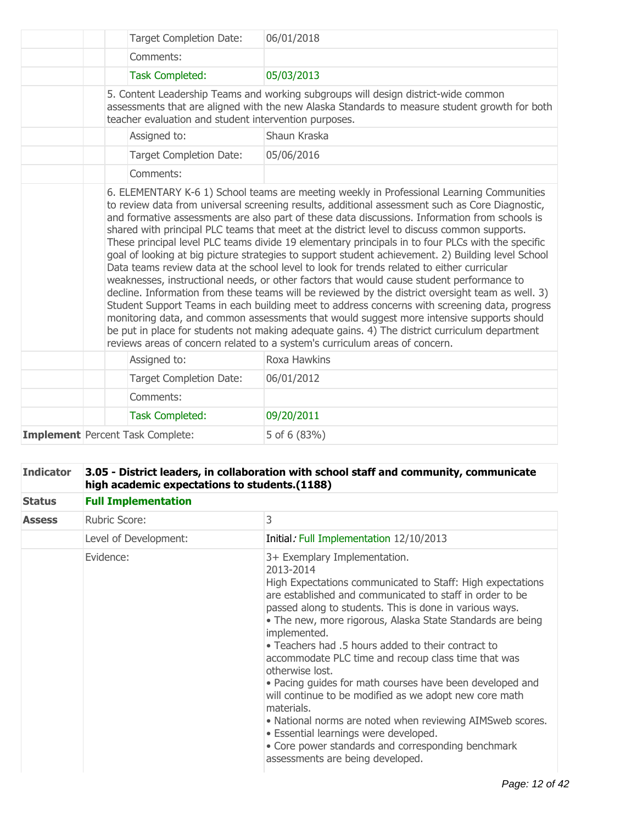| <b>Target Completion Date:</b>                        | 06/01/2018                                                                                                                                                                                                                                                                                                                                                                                                                                                                                                                                                                                                                                                                                                                                                                                                                                                                                                                                                                                                                                                                                                                                                                                |
|-------------------------------------------------------|-------------------------------------------------------------------------------------------------------------------------------------------------------------------------------------------------------------------------------------------------------------------------------------------------------------------------------------------------------------------------------------------------------------------------------------------------------------------------------------------------------------------------------------------------------------------------------------------------------------------------------------------------------------------------------------------------------------------------------------------------------------------------------------------------------------------------------------------------------------------------------------------------------------------------------------------------------------------------------------------------------------------------------------------------------------------------------------------------------------------------------------------------------------------------------------------|
| Comments:                                             |                                                                                                                                                                                                                                                                                                                                                                                                                                                                                                                                                                                                                                                                                                                                                                                                                                                                                                                                                                                                                                                                                                                                                                                           |
| <b>Task Completed:</b>                                | 05/03/2013                                                                                                                                                                                                                                                                                                                                                                                                                                                                                                                                                                                                                                                                                                                                                                                                                                                                                                                                                                                                                                                                                                                                                                                |
| teacher evaluation and student intervention purposes. | 5. Content Leadership Teams and working subgroups will design district-wide common<br>assessments that are aligned with the new Alaska Standards to measure student growth for both                                                                                                                                                                                                                                                                                                                                                                                                                                                                                                                                                                                                                                                                                                                                                                                                                                                                                                                                                                                                       |
| Assigned to:                                          | Shaun Kraska                                                                                                                                                                                                                                                                                                                                                                                                                                                                                                                                                                                                                                                                                                                                                                                                                                                                                                                                                                                                                                                                                                                                                                              |
| <b>Target Completion Date:</b>                        | 05/06/2016                                                                                                                                                                                                                                                                                                                                                                                                                                                                                                                                                                                                                                                                                                                                                                                                                                                                                                                                                                                                                                                                                                                                                                                |
| Comments:                                             |                                                                                                                                                                                                                                                                                                                                                                                                                                                                                                                                                                                                                                                                                                                                                                                                                                                                                                                                                                                                                                                                                                                                                                                           |
|                                                       | to review data from universal screening results, additional assessment such as Core Diagnostic,<br>and formative assessments are also part of these data discussions. Information from schools is<br>shared with principal PLC teams that meet at the district level to discuss common supports.<br>These principal level PLC teams divide 19 elementary principals in to four PLCs with the specific<br>goal of looking at big picture strategies to support student achievement. 2) Building level School<br>Data teams review data at the school level to look for trends related to either curricular<br>weaknesses, instructional needs, or other factors that would cause student performance to<br>decline. Information from these teams will be reviewed by the district oversight team as well. 3)<br>Student Support Teams in each building meet to address concerns with screening data, progress<br>monitoring data, and common assessments that would suggest more intensive supports should<br>be put in place for students not making adequate gains. 4) The district curriculum department<br>reviews areas of concern related to a system's curriculum areas of concern. |
| Assigned to:                                          | Roxa Hawkins                                                                                                                                                                                                                                                                                                                                                                                                                                                                                                                                                                                                                                                                                                                                                                                                                                                                                                                                                                                                                                                                                                                                                                              |
| <b>Target Completion Date:</b>                        | 06/01/2012                                                                                                                                                                                                                                                                                                                                                                                                                                                                                                                                                                                                                                                                                                                                                                                                                                                                                                                                                                                                                                                                                                                                                                                |
| Comments:                                             |                                                                                                                                                                                                                                                                                                                                                                                                                                                                                                                                                                                                                                                                                                                                                                                                                                                                                                                                                                                                                                                                                                                                                                                           |
| <b>Task Completed:</b>                                | 09/20/2011                                                                                                                                                                                                                                                                                                                                                                                                                                                                                                                                                                                                                                                                                                                                                                                                                                                                                                                                                                                                                                                                                                                                                                                |
| <b>Implement</b> Percent Task Complete:               | 5 of 6 (83%)                                                                                                                                                                                                                                                                                                                                                                                                                                                                                                                                                                                                                                                                                                                                                                                                                                                                                                                                                                                                                                                                                                                                                                              |

| <b>Indicator</b> | 3.05 - District leaders, in collaboration with school staff and community, communicate<br>high academic expectations to students.(1188) |                                                                                                                                                                                                                                                                                                                                                                                                                                                                                                                                                                                                                                                                                                                                                                                  |  |  |  |  |
|------------------|-----------------------------------------------------------------------------------------------------------------------------------------|----------------------------------------------------------------------------------------------------------------------------------------------------------------------------------------------------------------------------------------------------------------------------------------------------------------------------------------------------------------------------------------------------------------------------------------------------------------------------------------------------------------------------------------------------------------------------------------------------------------------------------------------------------------------------------------------------------------------------------------------------------------------------------|--|--|--|--|
| <b>Status</b>    | <b>Full Implementation</b>                                                                                                              |                                                                                                                                                                                                                                                                                                                                                                                                                                                                                                                                                                                                                                                                                                                                                                                  |  |  |  |  |
| <b>Assess</b>    | Rubric Score:                                                                                                                           | 3                                                                                                                                                                                                                                                                                                                                                                                                                                                                                                                                                                                                                                                                                                                                                                                |  |  |  |  |
|                  | Level of Development:                                                                                                                   | Initial: Full Implementation 12/10/2013                                                                                                                                                                                                                                                                                                                                                                                                                                                                                                                                                                                                                                                                                                                                          |  |  |  |  |
|                  | Evidence:                                                                                                                               | 3+ Exemplary Implementation.<br>2013-2014<br>High Expectations communicated to Staff: High expectations<br>are established and communicated to staff in order to be<br>passed along to students. This is done in various ways.<br>• The new, more rigorous, Alaska State Standards are being<br>implemented.<br>• Teachers had .5 hours added to their contract to<br>accommodate PLC time and recoup class time that was<br>otherwise lost.<br>• Pacing guides for math courses have been developed and<br>will continue to be modified as we adopt new core math<br>materials.<br>• National norms are noted when reviewing AIMSweb scores.<br>· Essential learnings were developed.<br>• Core power standards and corresponding benchmark<br>assessments are being developed. |  |  |  |  |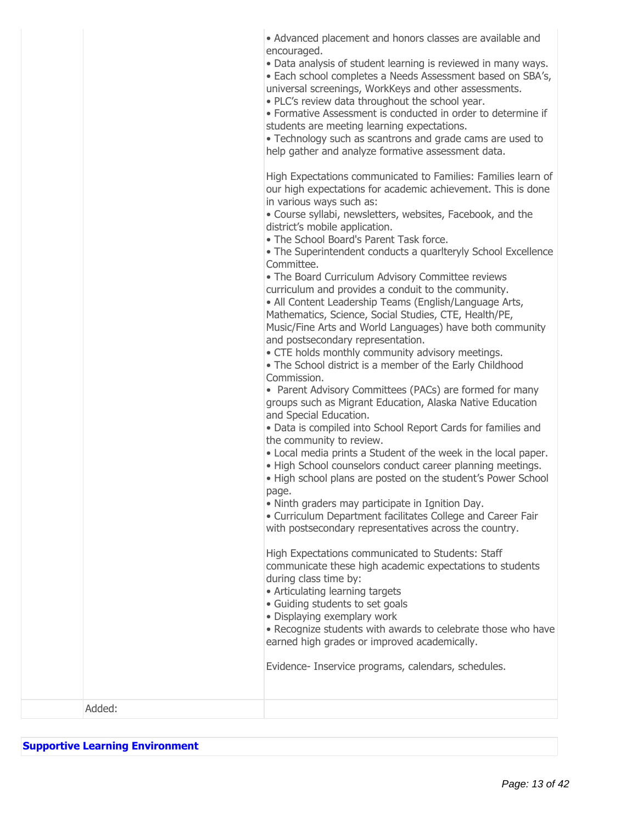| • Advanced placement and honors classes are available and |  |  |  |  |
|-----------------------------------------------------------|--|--|--|--|
| encouraged.                                               |  |  |  |  |

Data analysis of student learning is reviewed in many ways.

• Each school completes a Needs Assessment based on SBA's, universal screenings, WorkKeys and other assessments.

• PLC's review data throughout the school year.

Formative Assessment is conducted in order to determine if students are meeting learning expectations.

Technology such as scantrons and grade cams are used to help gather and analyze formative assessment data.

High Expectations communicated to Families: Families learn of our high expectations for academic achievement. This is done in various ways such as:

Course syllabi, newsletters, websites, Facebook, and the district's mobile application.

• The School Board's Parent Task force.

The Superintendent conducts a quarlteryly School Excellence Committee.

The Board Curriculum Advisory Committee reviews curriculum and provides a conduit to the community.

All Content Leadership Teams (English/Language Arts, Mathematics, Science, Social Studies, CTE, Health/PE, Music/Fine Arts and World Languages) have both community and postsecondary representation.

CTE holds monthly community advisory meetings.

The School district is a member of the Early Childhood Commission.

• Parent Advisory Committees (PACs) are formed for many groups such as Migrant Education, Alaska Native Education and Special Education.

Data is compiled into School Report Cards for families and the community to review.

Local media prints a Student of the week in the local paper.

• High School counselors conduct career planning meetings.

■ High school plans are posted on the student's Power School page.

Ninth graders may participate in Ignition Day.

Curriculum Department facilitates College and Career Fair with postsecondary representatives across the country.

High Expectations communicated to Students: Staff communicate these high academic expectations to students during class time by:

- Articulating learning targets
- Guiding students to set goals
- Displaying exemplary work

Recognize students with awards to celebrate those who have earned high grades or improved academically.

Evidence- Inservice programs, calendars, schedules.

Added:

### **Supportive Learning Environment**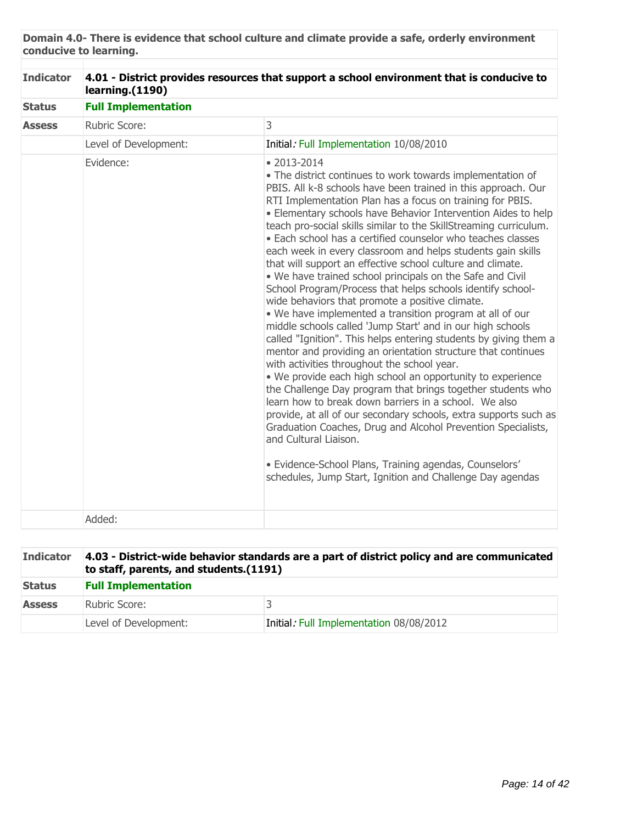**Domain 4.0- There is evidence that school culture and climate provide a safe, orderly environment conducive to learning.**

| <b>Indicator</b>               | 4.01 - District provides resources that support a school environment that is conducive to<br>learning.(1190) |                                                                                                                                                                                                                                                                                                                                                                                                                                                                                                                                                                                                                                                                                                                                                                                                                                                                                                                                                                                                                                                                                                                                                                                                                                                                                                                                                                                                                                                                                                                    |  |  |  |  |
|--------------------------------|--------------------------------------------------------------------------------------------------------------|--------------------------------------------------------------------------------------------------------------------------------------------------------------------------------------------------------------------------------------------------------------------------------------------------------------------------------------------------------------------------------------------------------------------------------------------------------------------------------------------------------------------------------------------------------------------------------------------------------------------------------------------------------------------------------------------------------------------------------------------------------------------------------------------------------------------------------------------------------------------------------------------------------------------------------------------------------------------------------------------------------------------------------------------------------------------------------------------------------------------------------------------------------------------------------------------------------------------------------------------------------------------------------------------------------------------------------------------------------------------------------------------------------------------------------------------------------------------------------------------------------------------|--|--|--|--|
| <b>Status</b><br><b>Assess</b> | <b>Full Implementation</b>                                                                                   |                                                                                                                                                                                                                                                                                                                                                                                                                                                                                                                                                                                                                                                                                                                                                                                                                                                                                                                                                                                                                                                                                                                                                                                                                                                                                                                                                                                                                                                                                                                    |  |  |  |  |
|                                | Rubric Score:                                                                                                | 3                                                                                                                                                                                                                                                                                                                                                                                                                                                                                                                                                                                                                                                                                                                                                                                                                                                                                                                                                                                                                                                                                                                                                                                                                                                                                                                                                                                                                                                                                                                  |  |  |  |  |
|                                | Level of Development:                                                                                        | Initial: Full Implementation 10/08/2010                                                                                                                                                                                                                                                                                                                                                                                                                                                                                                                                                                                                                                                                                                                                                                                                                                                                                                                                                                                                                                                                                                                                                                                                                                                                                                                                                                                                                                                                            |  |  |  |  |
|                                | Evidence:                                                                                                    | $• 2013 - 2014$<br>• The district continues to work towards implementation of<br>PBIS. All k-8 schools have been trained in this approach. Our<br>RTI Implementation Plan has a focus on training for PBIS.<br>• Elementary schools have Behavior Intervention Aides to help<br>teach pro-social skills similar to the SkillStreaming curriculum.<br>• Each school has a certified counselor who teaches classes<br>each week in every classroom and helps students gain skills<br>that will support an effective school culture and climate.<br>. We have trained school principals on the Safe and Civil<br>School Program/Process that helps schools identify school-<br>wide behaviors that promote a positive climate.<br>. We have implemented a transition program at all of our<br>middle schools called 'Jump Start' and in our high schools<br>called "Ignition". This helps entering students by giving them a<br>mentor and providing an orientation structure that continues<br>with activities throughout the school year.<br>. We provide each high school an opportunity to experience<br>the Challenge Day program that brings together students who<br>learn how to break down barriers in a school. We also<br>provide, at all of our secondary schools, extra supports such as<br>Graduation Coaches, Drug and Alcohol Prevention Specialists,<br>and Cultural Liaison.<br>· Evidence-School Plans, Training agendas, Counselors'<br>schedules, Jump Start, Ignition and Challenge Day agendas |  |  |  |  |
|                                | Added:                                                                                                       |                                                                                                                                                                                                                                                                                                                                                                                                                                                                                                                                                                                                                                                                                                                                                                                                                                                                                                                                                                                                                                                                                                                                                                                                                                                                                                                                                                                                                                                                                                                    |  |  |  |  |

| <b>Indicator</b> | 4.03 - District-wide behavior standards are a part of district policy and are communicated<br>to staff, parents, and students. (1191) |                                         |  |  |
|------------------|---------------------------------------------------------------------------------------------------------------------------------------|-----------------------------------------|--|--|
| <b>Status</b>    | <b>Full Implementation</b>                                                                                                            |                                         |  |  |
| <b>Assess</b>    | Rubric Score:                                                                                                                         |                                         |  |  |
|                  | Level of Development:                                                                                                                 | Initial: Full Implementation 08/08/2012 |  |  |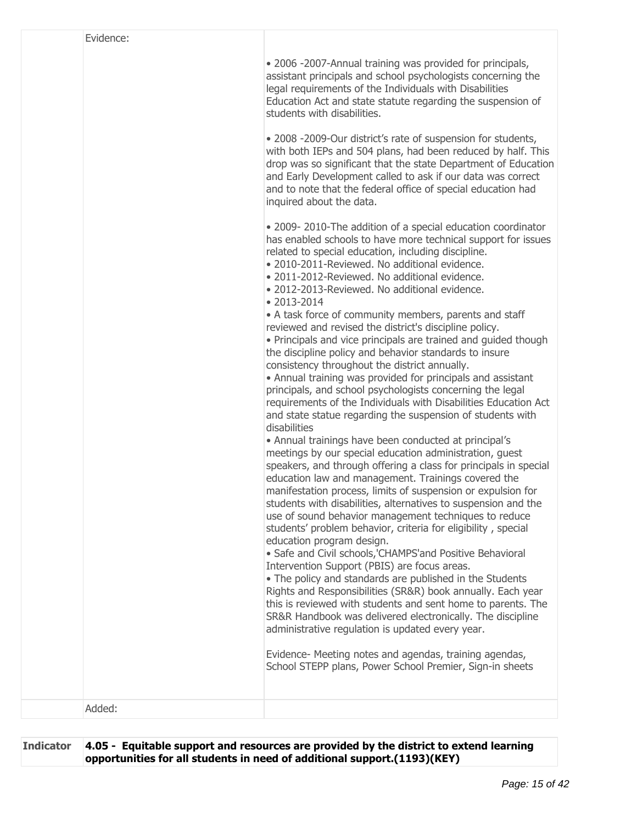| Evidence: |                                                                                                                                                                                                                                                                                                                                                                                                                                                                                                                                                                                                                                                                                                                                                                                                                                                                                                                                                                                                                                                                                                                                                                                                                                                                                                                                                                                                                                                                                                                                                                                                                                                                                                                                                                                                                                                                                                                                                                                                                                 |
|-----------|---------------------------------------------------------------------------------------------------------------------------------------------------------------------------------------------------------------------------------------------------------------------------------------------------------------------------------------------------------------------------------------------------------------------------------------------------------------------------------------------------------------------------------------------------------------------------------------------------------------------------------------------------------------------------------------------------------------------------------------------------------------------------------------------------------------------------------------------------------------------------------------------------------------------------------------------------------------------------------------------------------------------------------------------------------------------------------------------------------------------------------------------------------------------------------------------------------------------------------------------------------------------------------------------------------------------------------------------------------------------------------------------------------------------------------------------------------------------------------------------------------------------------------------------------------------------------------------------------------------------------------------------------------------------------------------------------------------------------------------------------------------------------------------------------------------------------------------------------------------------------------------------------------------------------------------------------------------------------------------------------------------------------------|
|           | . 2006 -2007-Annual training was provided for principals,<br>assistant principals and school psychologists concerning the<br>legal requirements of the Individuals with Disabilities<br>Education Act and state statute regarding the suspension of<br>students with disabilities.<br>. 2008 -2009-Our district's rate of suspension for students,<br>with both IEPs and 504 plans, had been reduced by half. This<br>drop was so significant that the state Department of Education<br>and Early Development called to ask if our data was correct<br>and to note that the federal office of special education had<br>inquired about the data.                                                                                                                                                                                                                                                                                                                                                                                                                                                                                                                                                                                                                                                                                                                                                                                                                                                                                                                                                                                                                                                                                                                                                                                                                                                                                                                                                                                 |
|           | • 2009-2010-The addition of a special education coordinator<br>has enabled schools to have more technical support for issues<br>related to special education, including discipline.<br>· 2010-2011-Reviewed. No additional evidence.<br>· 2011-2012-Reviewed. No additional evidence.<br>• 2012-2013-Reviewed. No additional evidence.<br>$• 2013 - 2014$<br>• A task force of community members, parents and staff<br>reviewed and revised the district's discipline policy.<br>• Principals and vice principals are trained and guided though<br>the discipline policy and behavior standards to insure<br>consistency throughout the district annually.<br>• Annual training was provided for principals and assistant<br>principals, and school psychologists concerning the legal<br>requirements of the Individuals with Disabilities Education Act<br>and state statue regarding the suspension of students with<br>disabilities<br>• Annual trainings have been conducted at principal's<br>meetings by our special education administration, guest<br>speakers, and through offering a class for principals in special<br>education law and management. Trainings covered the<br>manifestation process, limits of suspension or expulsion for<br>students with disabilities, alternatives to suspension and the<br>use of sound behavior management techniques to reduce<br>students' problem behavior, criteria for eligibility, special<br>education program design.<br>· Safe and Civil schools, 'CHAMPS'and Positive Behavioral<br>Intervention Support (PBIS) are focus areas.<br>• The policy and standards are published in the Students<br>Rights and Responsibilities (SR&R) book annually. Each year<br>this is reviewed with students and sent home to parents. The<br>SR&R Handbook was delivered electronically. The discipline<br>administrative regulation is updated every year.<br>Evidence- Meeting notes and agendas, training agendas,<br>School STEPP plans, Power School Premier, Sign-in sheets |
| Added:    |                                                                                                                                                                                                                                                                                                                                                                                                                                                                                                                                                                                                                                                                                                                                                                                                                                                                                                                                                                                                                                                                                                                                                                                                                                                                                                                                                                                                                                                                                                                                                                                                                                                                                                                                                                                                                                                                                                                                                                                                                                 |

**Indicator 4.05 - Equitable support and resources are provided by the district to extend learning opportunities for all students in need of additional support.(1193)(KEY)**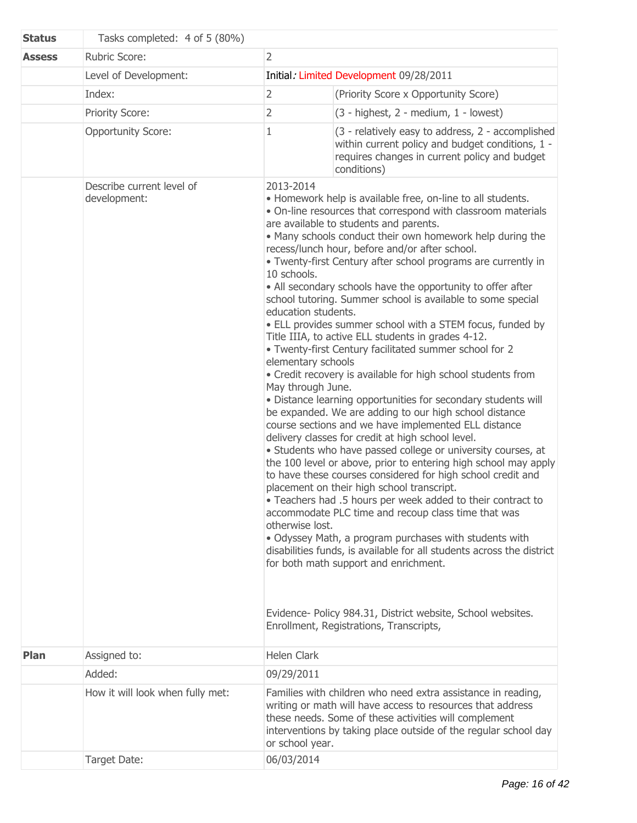| <b>Status</b> | Tasks completed: 4 of 5 (80%)             |                                             |                                                                                                                                                                                                                                                                                                                                                                                                                                                                                                                                                                                                                                                                                                                                                                                                                                                                                                                                                                                                                                                                                                                                                                                                                                                                                                                                                                                                                                                                                                                                                                                                                                                                                                        |
|---------------|-------------------------------------------|---------------------------------------------|--------------------------------------------------------------------------------------------------------------------------------------------------------------------------------------------------------------------------------------------------------------------------------------------------------------------------------------------------------------------------------------------------------------------------------------------------------------------------------------------------------------------------------------------------------------------------------------------------------------------------------------------------------------------------------------------------------------------------------------------------------------------------------------------------------------------------------------------------------------------------------------------------------------------------------------------------------------------------------------------------------------------------------------------------------------------------------------------------------------------------------------------------------------------------------------------------------------------------------------------------------------------------------------------------------------------------------------------------------------------------------------------------------------------------------------------------------------------------------------------------------------------------------------------------------------------------------------------------------------------------------------------------------------------------------------------------------|
| <b>Assess</b> | <b>Rubric Score:</b><br>$\overline{2}$    |                                             |                                                                                                                                                                                                                                                                                                                                                                                                                                                                                                                                                                                                                                                                                                                                                                                                                                                                                                                                                                                                                                                                                                                                                                                                                                                                                                                                                                                                                                                                                                                                                                                                                                                                                                        |
|               | Level of Development:                     |                                             | Initial: Limited Development 09/28/2011                                                                                                                                                                                                                                                                                                                                                                                                                                                                                                                                                                                                                                                                                                                                                                                                                                                                                                                                                                                                                                                                                                                                                                                                                                                                                                                                                                                                                                                                                                                                                                                                                                                                |
|               | Index:                                    | $\overline{2}$                              | (Priority Score x Opportunity Score)                                                                                                                                                                                                                                                                                                                                                                                                                                                                                                                                                                                                                                                                                                                                                                                                                                                                                                                                                                                                                                                                                                                                                                                                                                                                                                                                                                                                                                                                                                                                                                                                                                                                   |
|               | Priority Score:                           | $\overline{2}$                              | (3 - highest, 2 - medium, 1 - lowest)                                                                                                                                                                                                                                                                                                                                                                                                                                                                                                                                                                                                                                                                                                                                                                                                                                                                                                                                                                                                                                                                                                                                                                                                                                                                                                                                                                                                                                                                                                                                                                                                                                                                  |
|               | <b>Opportunity Score:</b>                 | $\mathbf 1$                                 | (3 - relatively easy to address, 2 - accomplished<br>within current policy and budget conditions, 1 -<br>requires changes in current policy and budget<br>conditions)                                                                                                                                                                                                                                                                                                                                                                                                                                                                                                                                                                                                                                                                                                                                                                                                                                                                                                                                                                                                                                                                                                                                                                                                                                                                                                                                                                                                                                                                                                                                  |
|               | Describe current level of<br>development: | 2013-2014<br>10 schools.<br>otherwise lost. | • Homework help is available free, on-line to all students.<br>• On-line resources that correspond with classroom materials<br>are available to students and parents.<br>. Many schools conduct their own homework help during the<br>recess/lunch hour, before and/or after school.<br>• Twenty-first Century after school programs are currently in<br>• All secondary schools have the opportunity to offer after<br>school tutoring. Summer school is available to some special<br>education students.<br>• ELL provides summer school with a STEM focus, funded by<br>Title IIIA, to active ELL students in grades 4-12.<br>. Twenty-first Century facilitated summer school for 2<br>elementary schools<br>• Credit recovery is available for high school students from<br>May through June.<br>· Distance learning opportunities for secondary students will<br>be expanded. We are adding to our high school distance<br>course sections and we have implemented ELL distance<br>delivery classes for credit at high school level.<br>• Students who have passed college or university courses, at<br>the 100 level or above, prior to entering high school may apply<br>to have these courses considered for high school credit and<br>placement on their high school transcript.<br>• Teachers had .5 hours per week added to their contract to<br>accommodate PLC time and recoup class time that was<br>. Odyssey Math, a program purchases with students with<br>disabilities funds, is available for all students across the district<br>for both math support and enrichment.<br>Evidence- Policy 984.31, District website, School websites.<br>Enrollment, Registrations, Transcripts, |
| Plan          | Assigned to:                              | Helen Clark                                 |                                                                                                                                                                                                                                                                                                                                                                                                                                                                                                                                                                                                                                                                                                                                                                                                                                                                                                                                                                                                                                                                                                                                                                                                                                                                                                                                                                                                                                                                                                                                                                                                                                                                                                        |
|               | Added:                                    | 09/29/2011                                  |                                                                                                                                                                                                                                                                                                                                                                                                                                                                                                                                                                                                                                                                                                                                                                                                                                                                                                                                                                                                                                                                                                                                                                                                                                                                                                                                                                                                                                                                                                                                                                                                                                                                                                        |
|               | How it will look when fully met:          | or school year.                             | Families with children who need extra assistance in reading,<br>writing or math will have access to resources that address<br>these needs. Some of these activities will complement<br>interventions by taking place outside of the regular school day                                                                                                                                                                                                                                                                                                                                                                                                                                                                                                                                                                                                                                                                                                                                                                                                                                                                                                                                                                                                                                                                                                                                                                                                                                                                                                                                                                                                                                                 |
|               | Target Date:                              | 06/03/2014                                  |                                                                                                                                                                                                                                                                                                                                                                                                                                                                                                                                                                                                                                                                                                                                                                                                                                                                                                                                                                                                                                                                                                                                                                                                                                                                                                                                                                                                                                                                                                                                                                                                                                                                                                        |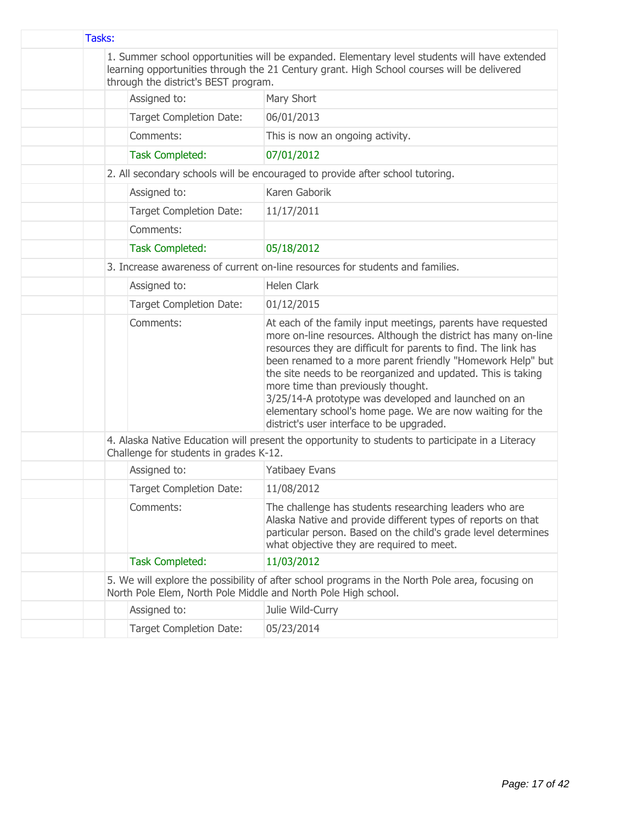| Tasks: |                                                                                                                                                                                                                                     |                                                                                                                                                                                                                                                                                                                                                                                                                                                                                                                                        |  |
|--------|-------------------------------------------------------------------------------------------------------------------------------------------------------------------------------------------------------------------------------------|----------------------------------------------------------------------------------------------------------------------------------------------------------------------------------------------------------------------------------------------------------------------------------------------------------------------------------------------------------------------------------------------------------------------------------------------------------------------------------------------------------------------------------------|--|
|        | 1. Summer school opportunities will be expanded. Elementary level students will have extended<br>learning opportunities through the 21 Century grant. High School courses will be delivered<br>through the district's BEST program. |                                                                                                                                                                                                                                                                                                                                                                                                                                                                                                                                        |  |
|        | Assigned to:                                                                                                                                                                                                                        | Mary Short                                                                                                                                                                                                                                                                                                                                                                                                                                                                                                                             |  |
|        | <b>Target Completion Date:</b>                                                                                                                                                                                                      | 06/01/2013                                                                                                                                                                                                                                                                                                                                                                                                                                                                                                                             |  |
|        | Comments:                                                                                                                                                                                                                           | This is now an ongoing activity.                                                                                                                                                                                                                                                                                                                                                                                                                                                                                                       |  |
|        | <b>Task Completed:</b>                                                                                                                                                                                                              | 07/01/2012                                                                                                                                                                                                                                                                                                                                                                                                                                                                                                                             |  |
|        |                                                                                                                                                                                                                                     | 2. All secondary schools will be encouraged to provide after school tutoring.                                                                                                                                                                                                                                                                                                                                                                                                                                                          |  |
|        | Assigned to:                                                                                                                                                                                                                        | Karen Gaborik                                                                                                                                                                                                                                                                                                                                                                                                                                                                                                                          |  |
|        | <b>Target Completion Date:</b>                                                                                                                                                                                                      | 11/17/2011                                                                                                                                                                                                                                                                                                                                                                                                                                                                                                                             |  |
|        | Comments:                                                                                                                                                                                                                           |                                                                                                                                                                                                                                                                                                                                                                                                                                                                                                                                        |  |
|        | <b>Task Completed:</b>                                                                                                                                                                                                              | 05/18/2012                                                                                                                                                                                                                                                                                                                                                                                                                                                                                                                             |  |
|        |                                                                                                                                                                                                                                     | 3. Increase awareness of current on-line resources for students and families.                                                                                                                                                                                                                                                                                                                                                                                                                                                          |  |
|        | Assigned to:                                                                                                                                                                                                                        | <b>Helen Clark</b>                                                                                                                                                                                                                                                                                                                                                                                                                                                                                                                     |  |
|        | <b>Target Completion Date:</b>                                                                                                                                                                                                      | 01/12/2015                                                                                                                                                                                                                                                                                                                                                                                                                                                                                                                             |  |
|        | Comments:                                                                                                                                                                                                                           | At each of the family input meetings, parents have requested<br>more on-line resources. Although the district has many on-line<br>resources they are difficult for parents to find. The link has<br>been renamed to a more parent friendly "Homework Help" but<br>the site needs to be reorganized and updated. This is taking<br>more time than previously thought.<br>3/25/14-A prototype was developed and launched on an<br>elementary school's home page. We are now waiting for the<br>district's user interface to be upgraded. |  |
|        | Challenge for students in grades K-12.                                                                                                                                                                                              | 4. Alaska Native Education will present the opportunity to students to participate in a Literacy                                                                                                                                                                                                                                                                                                                                                                                                                                       |  |
|        | Assigned to:                                                                                                                                                                                                                        | <b>Yatibaey Evans</b>                                                                                                                                                                                                                                                                                                                                                                                                                                                                                                                  |  |
|        | <b>Target Completion Date:</b>                                                                                                                                                                                                      | 11/08/2012                                                                                                                                                                                                                                                                                                                                                                                                                                                                                                                             |  |
|        | Comments:                                                                                                                                                                                                                           | The challenge has students researching leaders who are<br>Alaska Native and provide different types of reports on that<br>particular person. Based on the child's grade level determines<br>what objective they are required to meet.                                                                                                                                                                                                                                                                                                  |  |
|        | <b>Task Completed:</b>                                                                                                                                                                                                              | 11/03/2012                                                                                                                                                                                                                                                                                                                                                                                                                                                                                                                             |  |
|        | 5. We will explore the possibility of after school programs in the North Pole area, focusing on<br>North Pole Elem, North Pole Middle and North Pole High school.                                                                   |                                                                                                                                                                                                                                                                                                                                                                                                                                                                                                                                        |  |
|        | Assigned to:                                                                                                                                                                                                                        | Julie Wild-Curry                                                                                                                                                                                                                                                                                                                                                                                                                                                                                                                       |  |
|        | <b>Target Completion Date:</b>                                                                                                                                                                                                      | 05/23/2014                                                                                                                                                                                                                                                                                                                                                                                                                                                                                                                             |  |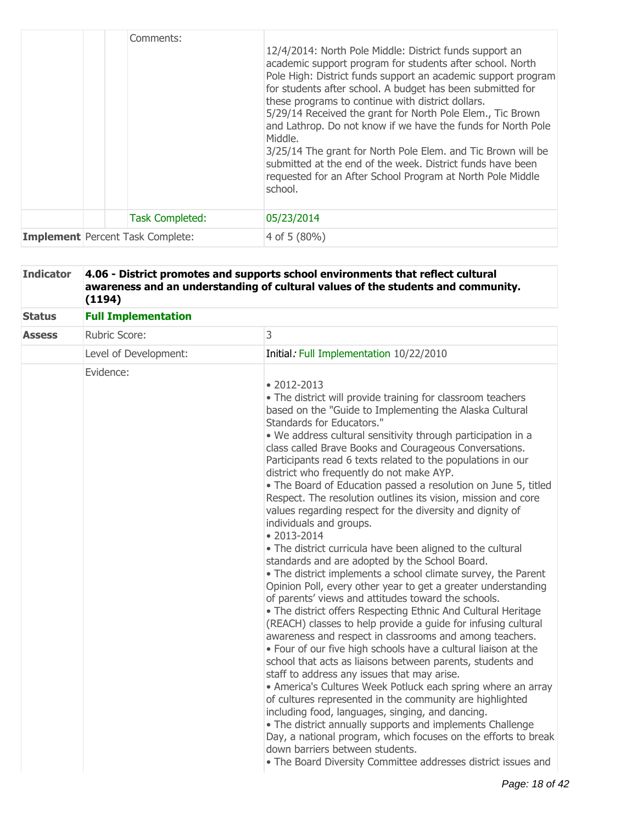|                                         | Comments:              | 12/4/2014: North Pole Middle: District funds support an<br>academic support program for students after school. North<br>Pole High: District funds support an academic support program<br>for students after school. A budget has been submitted for<br>these programs to continue with district dollars.<br>5/29/14 Received the grant for North Pole Elem., Tic Brown<br>and Lathrop. Do not know if we have the funds for North Pole<br>Middle.<br>3/25/14 The grant for North Pole Elem. and Tic Brown will be<br>submitted at the end of the week. District funds have been<br>requested for an After School Program at North Pole Middle<br>school. |
|-----------------------------------------|------------------------|----------------------------------------------------------------------------------------------------------------------------------------------------------------------------------------------------------------------------------------------------------------------------------------------------------------------------------------------------------------------------------------------------------------------------------------------------------------------------------------------------------------------------------------------------------------------------------------------------------------------------------------------------------|
|                                         | <b>Task Completed:</b> | 05/23/2014                                                                                                                                                                                                                                                                                                                                                                                                                                                                                                                                                                                                                                               |
| <b>Implement</b> Percent Task Complete: |                        | 4 of 5 $(80\%)$                                                                                                                                                                                                                                                                                                                                                                                                                                                                                                                                                                                                                                          |

### **Indicator 4.06 - District promotes and supports school environments that reflect cultural awareness and an understanding of cultural values of the students and community. (1194)**

| <b>Status</b> | <b>Full Implementation</b> |                                                                                                                                                                                                                                                                                                                                                                                                                                                                                                                                                                                                                                                                                                                                                                                                                                                                                                                                                                                                                                                                                                                                                                                                                                                                                                                                                                                                                                                                                                                                                                                                                                                                                                                                                                           |
|---------------|----------------------------|---------------------------------------------------------------------------------------------------------------------------------------------------------------------------------------------------------------------------------------------------------------------------------------------------------------------------------------------------------------------------------------------------------------------------------------------------------------------------------------------------------------------------------------------------------------------------------------------------------------------------------------------------------------------------------------------------------------------------------------------------------------------------------------------------------------------------------------------------------------------------------------------------------------------------------------------------------------------------------------------------------------------------------------------------------------------------------------------------------------------------------------------------------------------------------------------------------------------------------------------------------------------------------------------------------------------------------------------------------------------------------------------------------------------------------------------------------------------------------------------------------------------------------------------------------------------------------------------------------------------------------------------------------------------------------------------------------------------------------------------------------------------------|
| <b>Assess</b> | Rubric Score:              | 3                                                                                                                                                                                                                                                                                                                                                                                                                                                                                                                                                                                                                                                                                                                                                                                                                                                                                                                                                                                                                                                                                                                                                                                                                                                                                                                                                                                                                                                                                                                                                                                                                                                                                                                                                                         |
|               | Level of Development:      | Initial: Full Implementation 10/22/2010                                                                                                                                                                                                                                                                                                                                                                                                                                                                                                                                                                                                                                                                                                                                                                                                                                                                                                                                                                                                                                                                                                                                                                                                                                                                                                                                                                                                                                                                                                                                                                                                                                                                                                                                   |
|               | Evidence:                  | $\bullet$ 2012-2013<br>• The district will provide training for classroom teachers<br>based on the "Guide to Implementing the Alaska Cultural<br>Standards for Educators."<br>. We address cultural sensitivity through participation in a<br>class called Brave Books and Courageous Conversations.<br>Participants read 6 texts related to the populations in our<br>district who frequently do not make AYP.<br>• The Board of Education passed a resolution on June 5, titled<br>Respect. The resolution outlines its vision, mission and core<br>values regarding respect for the diversity and dignity of<br>individuals and groups.<br>$\bullet$ 2013-2014<br>• The district curricula have been aligned to the cultural<br>standards and are adopted by the School Board.<br>• The district implements a school climate survey, the Parent<br>Opinion Poll, every other year to get a greater understanding<br>of parents' views and attitudes toward the schools.<br>• The district offers Respecting Ethnic And Cultural Heritage<br>(REACH) classes to help provide a guide for infusing cultural<br>awareness and respect in classrooms and among teachers.<br>• Four of our five high schools have a cultural liaison at the<br>school that acts as liaisons between parents, students and<br>staff to address any issues that may arise.<br>• America's Cultures Week Potluck each spring where an array<br>of cultures represented in the community are highlighted<br>including food, languages, singing, and dancing.<br>• The district annually supports and implements Challenge<br>Day, a national program, which focuses on the efforts to break<br>down barriers between students.<br>• The Board Diversity Committee addresses district issues and |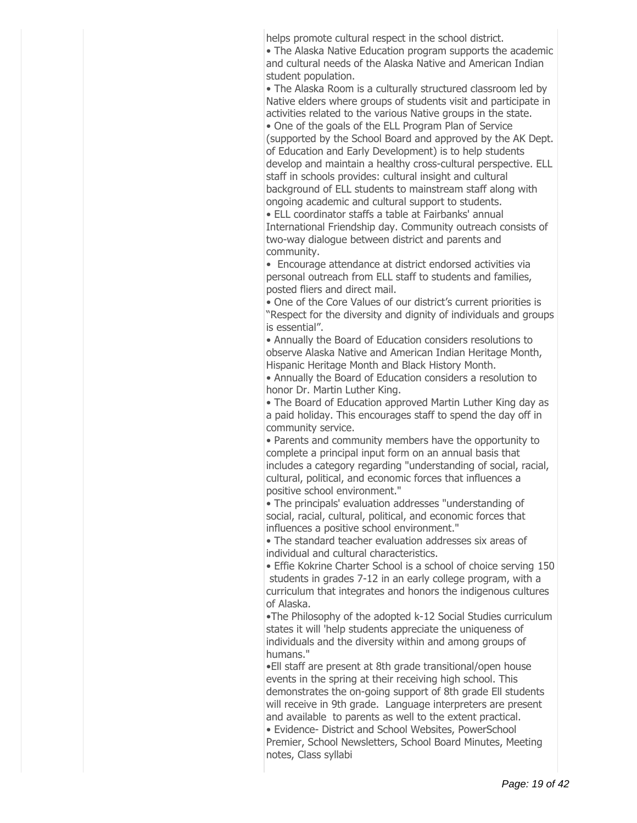helps promote cultural respect in the school district.

The Alaska Native Education program supports the academic and cultural needs of the Alaska Native and American Indian student population.

The Alaska Room is a culturally structured classroom led by Native elders where groups of students visit and participate in activities related to the various Native groups in the state.

One of the goals of the ELL Program Plan of Service (supported by the School Board and approved by the AK Dept. of Education and Early Development) is to help students develop and maintain a healthy cross-cultural perspective. ELL staff in schools provides: cultural insight and cultural background of ELL students to mainstream staff along with ongoing academic and cultural support to students.

ELL coordinator staffs a table at Fairbanks' annual International Friendship day. Community outreach consists of two-way dialogue between district and parents and community.

Encourage attendance at district endorsed activities via personal outreach from ELL staff to students and families, posted fliers and direct mail.

• One of the Core Values of our district's current priorities is "Respect for the diversity and dignity of individuals and groups is essential".

Annually the Board of Education considers resolutions to observe Alaska Native and American Indian Heritage Month, Hispanic Heritage Month and Black History Month.

Annually the Board of Education considers a resolution to honor Dr. Martin Luther King.

The Board of Education approved Martin Luther King day as a paid holiday. This encourages staff to spend the day off in community service.

Parents and community members have the opportunity to complete a principal input form on an annual basis that includes a category regarding "understanding of social, racial, cultural, political, and economic forces that influences a positive school environment."

The principals' evaluation addresses "understanding of social, racial, cultural, political, and economic forces that influences a positive school environment."

The standard teacher evaluation addresses six areas of individual and cultural characteristics.

Effie Kokrine Charter School is a school of choice serving 150 students in grades 7-12 in an early college program, with a curriculum that integrates and honors the indigenous cultures of Alaska.

The Philosophy of the adopted k-12 Social Studies curriculum states it will 'help students appreciate the uniqueness of individuals and the diversity within and among groups of humans."

Ell staff are present at 8th grade transitional/open house events in the spring at their receiving high school. This demonstrates the on-going support of 8th grade Ell students will receive in 9th grade. Language interpreters are present and available to parents as well to the extent practical.

Evidence- District and School Websites, PowerSchool Premier, School Newsletters, School Board Minutes, Meeting notes, Class syllabi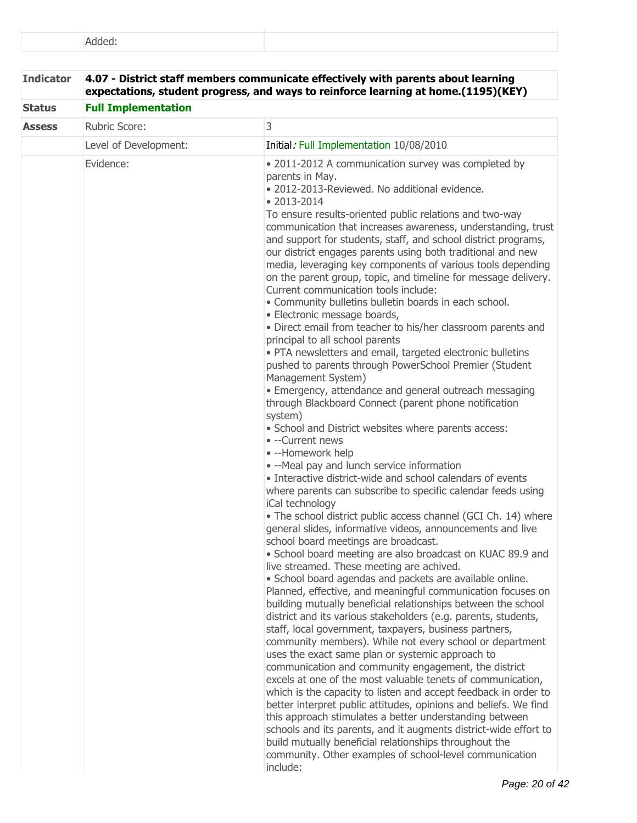| <b>Indicator</b> |                            | 4.07 - District staff members communicate effectively with parents about learning<br>expectations, student progress, and ways to reinforce learning at home.(1195)(KEY)                                                                                                                                                                                                                                                                                                                                                                                                                                                                                                                                                                                                                                                                                                                                                                                                                                                                                                                                                                                                                                                                                                                                                                                                                                                                                                                                                                                                                                                                                                                                                                                                                                                                                                                                                                                                                                                                                                                                                                                                                                                                                                                                                                                                                                                                                                                                                                                                                                      |
|------------------|----------------------------|--------------------------------------------------------------------------------------------------------------------------------------------------------------------------------------------------------------------------------------------------------------------------------------------------------------------------------------------------------------------------------------------------------------------------------------------------------------------------------------------------------------------------------------------------------------------------------------------------------------------------------------------------------------------------------------------------------------------------------------------------------------------------------------------------------------------------------------------------------------------------------------------------------------------------------------------------------------------------------------------------------------------------------------------------------------------------------------------------------------------------------------------------------------------------------------------------------------------------------------------------------------------------------------------------------------------------------------------------------------------------------------------------------------------------------------------------------------------------------------------------------------------------------------------------------------------------------------------------------------------------------------------------------------------------------------------------------------------------------------------------------------------------------------------------------------------------------------------------------------------------------------------------------------------------------------------------------------------------------------------------------------------------------------------------------------------------------------------------------------------------------------------------------------------------------------------------------------------------------------------------------------------------------------------------------------------------------------------------------------------------------------------------------------------------------------------------------------------------------------------------------------------------------------------------------------------------------------------------------------|
| <b>Status</b>    | <b>Full Implementation</b> |                                                                                                                                                                                                                                                                                                                                                                                                                                                                                                                                                                                                                                                                                                                                                                                                                                                                                                                                                                                                                                                                                                                                                                                                                                                                                                                                                                                                                                                                                                                                                                                                                                                                                                                                                                                                                                                                                                                                                                                                                                                                                                                                                                                                                                                                                                                                                                                                                                                                                                                                                                                                              |
| <b>Assess</b>    | Rubric Score:              | 3                                                                                                                                                                                                                                                                                                                                                                                                                                                                                                                                                                                                                                                                                                                                                                                                                                                                                                                                                                                                                                                                                                                                                                                                                                                                                                                                                                                                                                                                                                                                                                                                                                                                                                                                                                                                                                                                                                                                                                                                                                                                                                                                                                                                                                                                                                                                                                                                                                                                                                                                                                                                            |
|                  | Level of Development:      | Initial: Full Implementation 10/08/2010                                                                                                                                                                                                                                                                                                                                                                                                                                                                                                                                                                                                                                                                                                                                                                                                                                                                                                                                                                                                                                                                                                                                                                                                                                                                                                                                                                                                                                                                                                                                                                                                                                                                                                                                                                                                                                                                                                                                                                                                                                                                                                                                                                                                                                                                                                                                                                                                                                                                                                                                                                      |
|                  | Evidence:                  | • 2011-2012 A communication survey was completed by<br>parents in May.<br>• 2012-2013-Reviewed. No additional evidence.<br>• 2013-2014<br>To ensure results-oriented public relations and two-way<br>communication that increases awareness, understanding, trust<br>and support for students, staff, and school district programs,<br>our district engages parents using both traditional and new<br>media, leveraging key components of various tools depending<br>on the parent group, topic, and timeline for message delivery.<br>Current communication tools include:<br>• Community bulletins bulletin boards in each school.<br>· Electronic message boards,<br>· Direct email from teacher to his/her classroom parents and<br>principal to all school parents<br>• PTA newsletters and email, targeted electronic bulletins<br>pushed to parents through PowerSchool Premier (Student<br>Management System)<br>• Emergency, attendance and general outreach messaging<br>through Blackboard Connect (parent phone notification<br>system)<br>· School and District websites where parents access:<br>• --Current news<br>• --Homework help<br>• --Meal pay and lunch service information<br>• Interactive district-wide and school calendars of events<br>where parents can subscribe to specific calendar feeds using<br>iCal technology<br>. The school district public access channel (GCI Ch. 14) where<br>general slides, informative videos, announcements and live<br>school board meetings are broadcast.<br>• School board meeting are also broadcast on KUAC 89.9 and<br>live streamed. These meeting are achived.<br>· School board agendas and packets are available online.<br>Planned, effective, and meaningful communication focuses on<br>building mutually beneficial relationships between the school<br>district and its various stakeholders (e.g. parents, students,<br>staff, local government, taxpayers, business partners,<br>community members). While not every school or department<br>uses the exact same plan or systemic approach to<br>communication and community engagement, the district<br>excels at one of the most valuable tenets of communication,<br>which is the capacity to listen and accept feedback in order to<br>better interpret public attitudes, opinions and beliefs. We find<br>this approach stimulates a better understanding between<br>schools and its parents, and it augments district-wide effort to<br>build mutually beneficial relationships throughout the<br>community. Other examples of school-level communication<br>include: |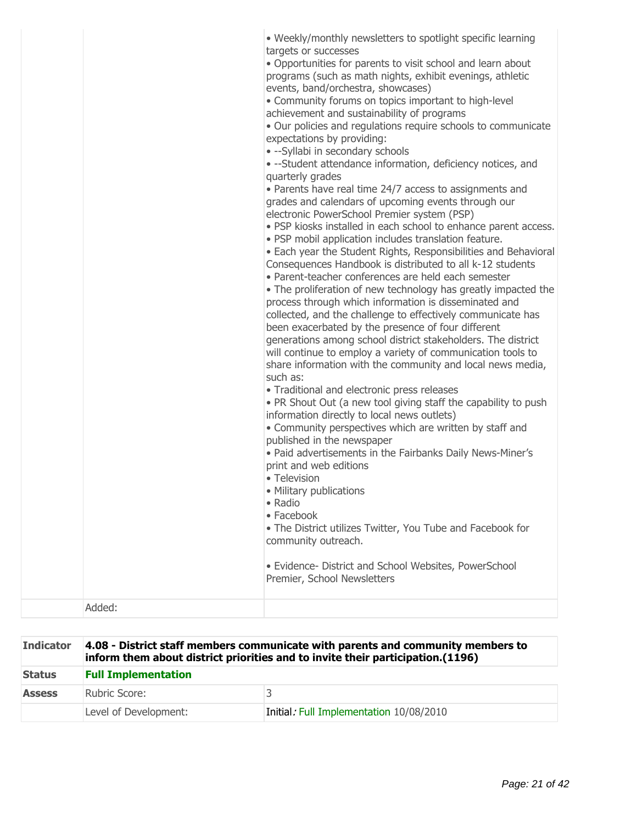| • Weekly/monthly newsletters to spotlight specific learning<br>targets or successes<br>. Opportunities for parents to visit school and learn about<br>programs (such as math nights, exhibit evenings, athletic<br>events, band/orchestra, showcases)<br>• Community forums on topics important to high-level<br>achievement and sustainability of programs<br>• Our policies and regulations require schools to communicate<br>expectations by providing:<br>• --Syllabi in secondary schools<br>• --Student attendance information, deficiency notices, and<br>quarterly grades<br>• Parents have real time 24/7 access to assignments and<br>grades and calendars of upcoming events through our<br>electronic PowerSchool Premier system (PSP)<br>. PSP kiosks installed in each school to enhance parent access.<br>· PSP mobil application includes translation feature.<br>• Each year the Student Rights, Responsibilities and Behavioral<br>Consequences Handbook is distributed to all k-12 students<br>• Parent-teacher conferences are held each semester<br>• The proliferation of new technology has greatly impacted the<br>process through which information is disseminated and<br>collected, and the challenge to effectively communicate has<br>been exacerbated by the presence of four different<br>generations among school district stakeholders. The district<br>will continue to employ a variety of communication tools to<br>share information with the community and local news media,<br>such as:<br>• Traditional and electronic press releases<br>• PR Shout Out (a new tool giving staff the capability to push<br>information directly to local news outlets)<br>• Community perspectives which are written by staff and<br>published in the newspaper<br>. Paid advertisements in the Fairbanks Daily News-Miner's<br>print and web editions<br>• Television<br>• Military publications |
|---------------------------------------------------------------------------------------------------------------------------------------------------------------------------------------------------------------------------------------------------------------------------------------------------------------------------------------------------------------------------------------------------------------------------------------------------------------------------------------------------------------------------------------------------------------------------------------------------------------------------------------------------------------------------------------------------------------------------------------------------------------------------------------------------------------------------------------------------------------------------------------------------------------------------------------------------------------------------------------------------------------------------------------------------------------------------------------------------------------------------------------------------------------------------------------------------------------------------------------------------------------------------------------------------------------------------------------------------------------------------------------------------------------------------------------------------------------------------------------------------------------------------------------------------------------------------------------------------------------------------------------------------------------------------------------------------------------------------------------------------------------------------------------------------------------------------------------------------------------------------------------------------------------------------|
|---------------------------------------------------------------------------------------------------------------------------------------------------------------------------------------------------------------------------------------------------------------------------------------------------------------------------------------------------------------------------------------------------------------------------------------------------------------------------------------------------------------------------------------------------------------------------------------------------------------------------------------------------------------------------------------------------------------------------------------------------------------------------------------------------------------------------------------------------------------------------------------------------------------------------------------------------------------------------------------------------------------------------------------------------------------------------------------------------------------------------------------------------------------------------------------------------------------------------------------------------------------------------------------------------------------------------------------------------------------------------------------------------------------------------------------------------------------------------------------------------------------------------------------------------------------------------------------------------------------------------------------------------------------------------------------------------------------------------------------------------------------------------------------------------------------------------------------------------------------------------------------------------------------------------|

| <b>Indicator</b> | 4.08 - District staff members communicate with parents and community members to<br>inform them about district priorities and to invite their participation.(1196) |                                         |
|------------------|-------------------------------------------------------------------------------------------------------------------------------------------------------------------|-----------------------------------------|
| <b>Status</b>    | <b>Full Implementation</b>                                                                                                                                        |                                         |
| <b>Assess</b>    | Rubric Score:                                                                                                                                                     |                                         |
|                  | Level of Development:                                                                                                                                             | Initial: Full Implementation 10/08/2010 |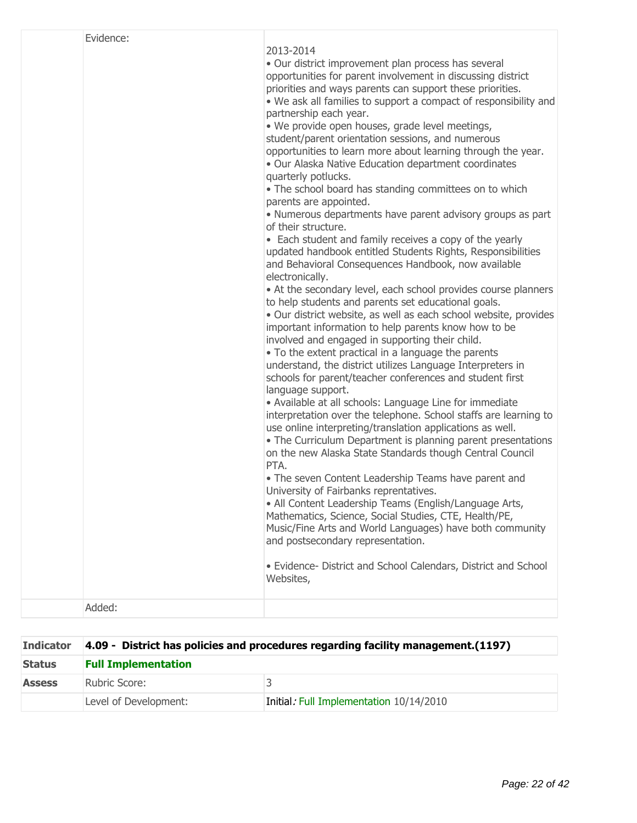| Evidence: | 2013-2014<br>· Our district improvement plan process has several<br>opportunities for parent involvement in discussing district<br>priorities and ways parents can support these priorities.<br>. We ask all families to support a compact of responsibility and<br>partnership each year.<br>· We provide open houses, grade level meetings,<br>student/parent orientation sessions, and numerous<br>opportunities to learn more about learning through the year.<br>. Our Alaska Native Education department coordinates<br>quarterly potlucks.<br>• The school board has standing committees on to which<br>parents are appointed.<br>• Numerous departments have parent advisory groups as part<br>of their structure.<br>• Each student and family receives a copy of the yearly<br>updated handbook entitled Students Rights, Responsibilities<br>and Behavioral Consequences Handbook, now available<br>electronically.<br>• At the secondary level, each school provides course planners<br>to help students and parents set educational goals.<br>· Our district website, as well as each school website, provides<br>important information to help parents know how to be<br>involved and engaged in supporting their child.<br>• To the extent practical in a language the parents<br>understand, the district utilizes Language Interpreters in<br>schools for parent/teacher conferences and student first<br>language support.<br>• Available at all schools: Language Line for immediate<br>interpretation over the telephone. School staffs are learning to<br>use online interpreting/translation applications as well.<br>• The Curriculum Department is planning parent presentations<br>on the new Alaska State Standards though Central Council<br>PTA.<br>• The seven Content Leadership Teams have parent and<br>University of Fairbanks reprentatives.<br>• All Content Leadership Teams (English/Language Arts,<br>Mathematics, Science, Social Studies, CTE, Health/PE,<br>Music/Fine Arts and World Languages) have both community<br>and postsecondary representation.<br>· Evidence- District and School Calendars, District and School<br>Websites, |
|-----------|-----------------------------------------------------------------------------------------------------------------------------------------------------------------------------------------------------------------------------------------------------------------------------------------------------------------------------------------------------------------------------------------------------------------------------------------------------------------------------------------------------------------------------------------------------------------------------------------------------------------------------------------------------------------------------------------------------------------------------------------------------------------------------------------------------------------------------------------------------------------------------------------------------------------------------------------------------------------------------------------------------------------------------------------------------------------------------------------------------------------------------------------------------------------------------------------------------------------------------------------------------------------------------------------------------------------------------------------------------------------------------------------------------------------------------------------------------------------------------------------------------------------------------------------------------------------------------------------------------------------------------------------------------------------------------------------------------------------------------------------------------------------------------------------------------------------------------------------------------------------------------------------------------------------------------------------------------------------------------------------------------------------------------------------------------------------------------------------------------------------------------------------------------------------------------------|
| Added:    |                                                                                                                                                                                                                                                                                                                                                                                                                                                                                                                                                                                                                                                                                                                                                                                                                                                                                                                                                                                                                                                                                                                                                                                                                                                                                                                                                                                                                                                                                                                                                                                                                                                                                                                                                                                                                                                                                                                                                                                                                                                                                                                                                                                   |

| <b>Indicator</b> | 4.09 - District has policies and procedures regarding facility management. (1197) |                                         |
|------------------|-----------------------------------------------------------------------------------|-----------------------------------------|
| <b>Status</b>    | <b>Full Implementation</b>                                                        |                                         |
| <b>Assess</b>    | Rubric Score:                                                                     |                                         |
|                  | Level of Development:                                                             | Initial: Full Implementation 10/14/2010 |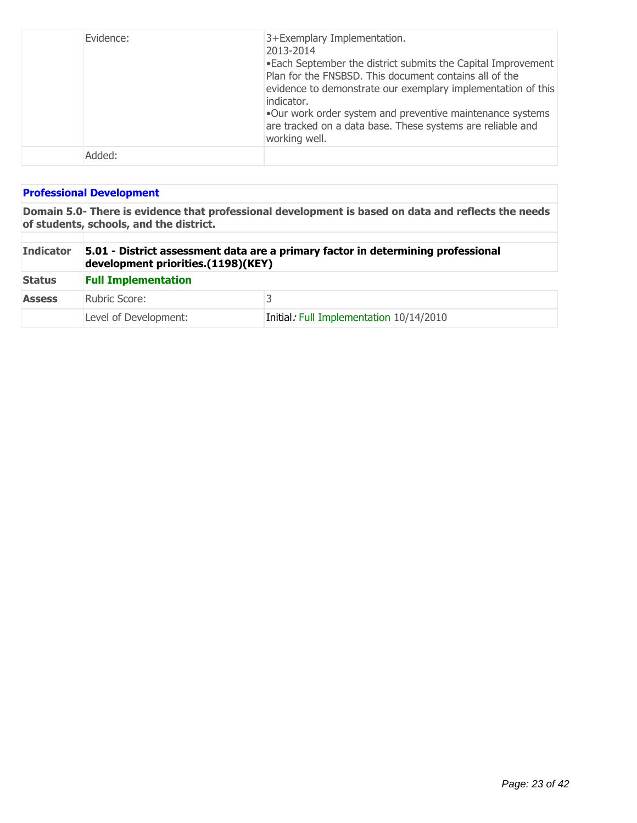| Evidence: | 3+Exemplary Implementation.<br>2013-2014<br>. Each September the district submits the Capital Improvement<br>Plan for the FNSBSD. This document contains all of the<br>evidence to demonstrate our exemplary implementation of this<br>indicator.<br>.Our work order system and preventive maintenance systems<br>are tracked on a data base. These systems are reliable and<br>working well. |
|-----------|-----------------------------------------------------------------------------------------------------------------------------------------------------------------------------------------------------------------------------------------------------------------------------------------------------------------------------------------------------------------------------------------------|
| Added:    |                                                                                                                                                                                                                                                                                                                                                                                               |

## **Professional Development**

**Domain 5.0- There is evidence that professional development is based on data and reflects the needs of students, schools, and the district.**

| <b>Indicator</b> | 5.01 - District assessment data are a primary factor in determining professional<br>development priorities.(1198)(KEY) |                                         |  |
|------------------|------------------------------------------------------------------------------------------------------------------------|-----------------------------------------|--|
| <b>Status</b>    | <b>Full Implementation</b>                                                                                             |                                         |  |
| <b>Assess</b>    | Rubric Score:                                                                                                          |                                         |  |
|                  | Level of Development:                                                                                                  | Initial: Full Implementation 10/14/2010 |  |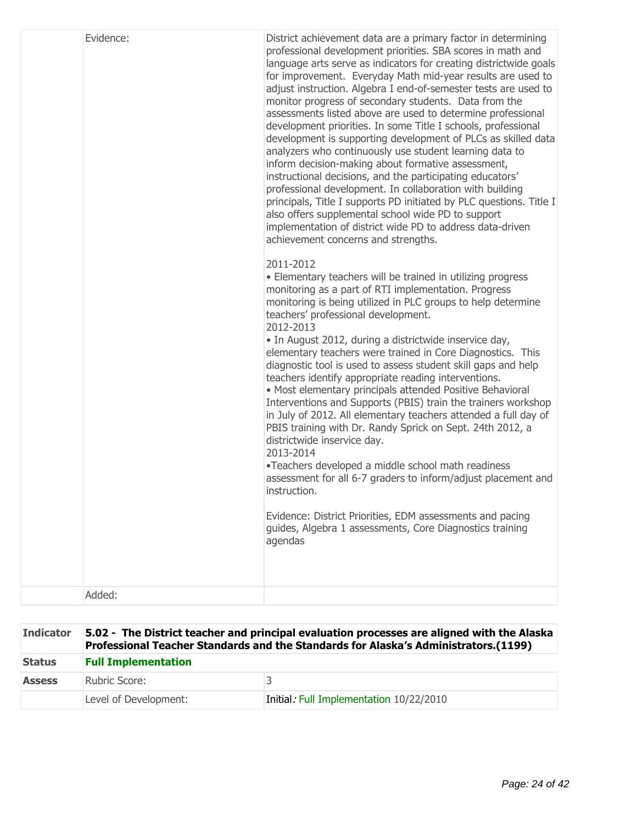| Evidence: | District achievement data are a primary factor in determining<br>professional development priorities. SBA scores in math and<br>language arts serve as indicators for creating districtwide goals<br>for improvement. Everyday Math mid-year results are used to<br>adjust instruction. Algebra I end-of-semester tests are used to<br>monitor progress of secondary students. Data from the<br>assessments listed above are used to determine professional<br>development priorities. In some Title I schools, professional<br>development is supporting development of PLCs as skilled data<br>analyzers who continuously use student learning data to<br>inform decision-making about formative assessment,<br>instructional decisions, and the participating educators'<br>professional development. In collaboration with building<br>principals, Title I supports PD initiated by PLC questions. Title I<br>also offers supplemental school wide PD to support<br>implementation of district wide PD to address data-driven<br>achievement concerns and strengths.<br>2011-2012<br>• Elementary teachers will be trained in utilizing progress<br>monitoring as a part of RTI implementation. Progress<br>monitoring is being utilized in PLC groups to help determine<br>teachers' professional development.<br>2012-2013<br>• In August 2012, during a districtwide inservice day,<br>elementary teachers were trained in Core Diagnostics. This<br>diagnostic tool is used to assess student skill gaps and help<br>teachers identify appropriate reading interventions.<br>• Most elementary principals attended Positive Behavioral<br>Interventions and Supports (PBIS) train the trainers workshop<br>in July of 2012. All elementary teachers attended a full day of<br>PBIS training with Dr. Randy Sprick on Sept. 24th 2012, a<br>districtwide inservice day.<br>2013-2014<br>•Teachers developed a middle school math readiness<br>assessment for all 6-7 graders to inform/adjust placement and<br>instruction.<br>Evidence: District Priorities, EDM assessments and pacing<br>guides, Algebra 1 assessments, Core Diagnostics training<br>agendas |
|-----------|------------------------------------------------------------------------------------------------------------------------------------------------------------------------------------------------------------------------------------------------------------------------------------------------------------------------------------------------------------------------------------------------------------------------------------------------------------------------------------------------------------------------------------------------------------------------------------------------------------------------------------------------------------------------------------------------------------------------------------------------------------------------------------------------------------------------------------------------------------------------------------------------------------------------------------------------------------------------------------------------------------------------------------------------------------------------------------------------------------------------------------------------------------------------------------------------------------------------------------------------------------------------------------------------------------------------------------------------------------------------------------------------------------------------------------------------------------------------------------------------------------------------------------------------------------------------------------------------------------------------------------------------------------------------------------------------------------------------------------------------------------------------------------------------------------------------------------------------------------------------------------------------------------------------------------------------------------------------------------------------------------------------------------------------------------------------------------------------------------------------------------------------------------------------|
| Added:    |                                                                                                                                                                                                                                                                                                                                                                                                                                                                                                                                                                                                                                                                                                                                                                                                                                                                                                                                                                                                                                                                                                                                                                                                                                                                                                                                                                                                                                                                                                                                                                                                                                                                                                                                                                                                                                                                                                                                                                                                                                                                                                                                                                        |

| <b>Indicator</b> | 5.02 - The District teacher and principal evaluation processes are aligned with the Alaska<br>Professional Teacher Standards and the Standards for Alaska's Administrators.(1199) |                                         |  |
|------------------|-----------------------------------------------------------------------------------------------------------------------------------------------------------------------------------|-----------------------------------------|--|
| <b>Status</b>    | <b>Full Implementation</b>                                                                                                                                                        |                                         |  |
| <b>Assess</b>    | Rubric Score:                                                                                                                                                                     |                                         |  |
|                  | Level of Development:                                                                                                                                                             | Initial: Full Implementation 10/22/2010 |  |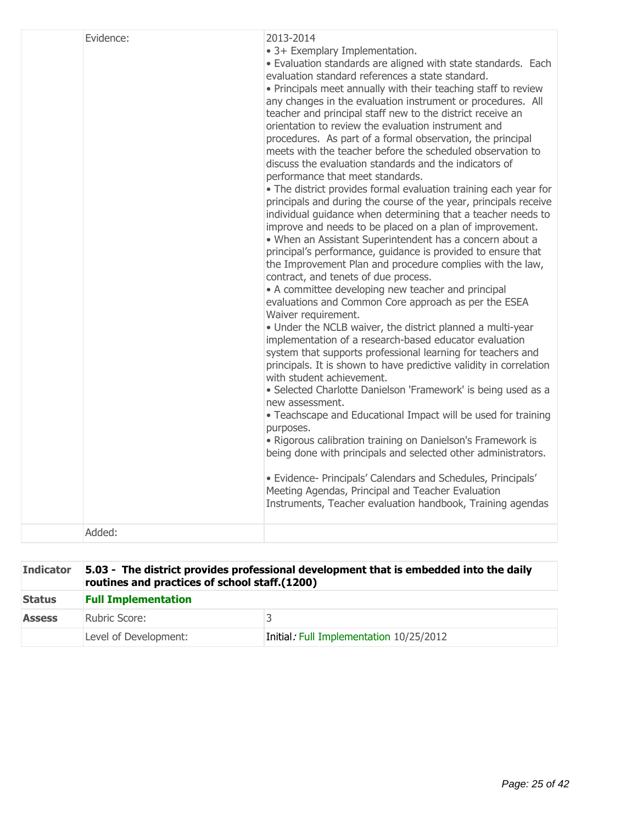| Evidence: | 2013-2014<br>• 3+ Exemplary Implementation.<br>· Evaluation standards are aligned with state standards. Each<br>evaluation standard references a state standard.<br>. Principals meet annually with their teaching staff to review<br>any changes in the evaluation instrument or procedures. All<br>teacher and principal staff new to the district receive an<br>orientation to review the evaluation instrument and<br>procedures. As part of a formal observation, the principal<br>meets with the teacher before the scheduled observation to<br>discuss the evaluation standards and the indicators of<br>performance that meet standards.<br>• The district provides formal evaluation training each year for<br>principals and during the course of the year, principals receive<br>individual guidance when determining that a teacher needs to<br>improve and needs to be placed on a plan of improvement.<br>• When an Assistant Superintendent has a concern about a<br>principal's performance, guidance is provided to ensure that<br>the Improvement Plan and procedure complies with the law,<br>contract, and tenets of due process.<br>• A committee developing new teacher and principal<br>evaluations and Common Core approach as per the ESEA<br>Waiver requirement.<br>• Under the NCLB waiver, the district planned a multi-year<br>implementation of a research-based educator evaluation<br>system that supports professional learning for teachers and<br>principals. It is shown to have predictive validity in correlation<br>with student achievement.<br>· Selected Charlotte Danielson 'Framework' is being used as a<br>new assessment.<br>• Teachscape and Educational Impact will be used for training<br>purposes.<br>• Rigorous calibration training on Danielson's Framework is<br>being done with principals and selected other administrators.<br>· Evidence- Principals' Calendars and Schedules, Principals'<br>Meeting Agendas, Principal and Teacher Evaluation<br>Instruments, Teacher evaluation handbook, Training agendas |
|-----------|---------------------------------------------------------------------------------------------------------------------------------------------------------------------------------------------------------------------------------------------------------------------------------------------------------------------------------------------------------------------------------------------------------------------------------------------------------------------------------------------------------------------------------------------------------------------------------------------------------------------------------------------------------------------------------------------------------------------------------------------------------------------------------------------------------------------------------------------------------------------------------------------------------------------------------------------------------------------------------------------------------------------------------------------------------------------------------------------------------------------------------------------------------------------------------------------------------------------------------------------------------------------------------------------------------------------------------------------------------------------------------------------------------------------------------------------------------------------------------------------------------------------------------------------------------------------------------------------------------------------------------------------------------------------------------------------------------------------------------------------------------------------------------------------------------------------------------------------------------------------------------------------------------------------------------------------------------------------------------------------------------------------------------------------------------------------------|
| Added:    |                                                                                                                                                                                                                                                                                                                                                                                                                                                                                                                                                                                                                                                                                                                                                                                                                                                                                                                                                                                                                                                                                                                                                                                                                                                                                                                                                                                                                                                                                                                                                                                                                                                                                                                                                                                                                                                                                                                                                                                                                                                                           |

| <b>Indicator</b> | 5.03 - The district provides professional development that is embedded into the daily<br>routines and practices of school staff.(1200) |                                         |  |
|------------------|----------------------------------------------------------------------------------------------------------------------------------------|-----------------------------------------|--|
| <b>Status</b>    | <b>Full Implementation</b>                                                                                                             |                                         |  |
| <b>Assess</b>    | Rubric Score:                                                                                                                          |                                         |  |
|                  | Level of Development:                                                                                                                  | Initial: Full Implementation 10/25/2012 |  |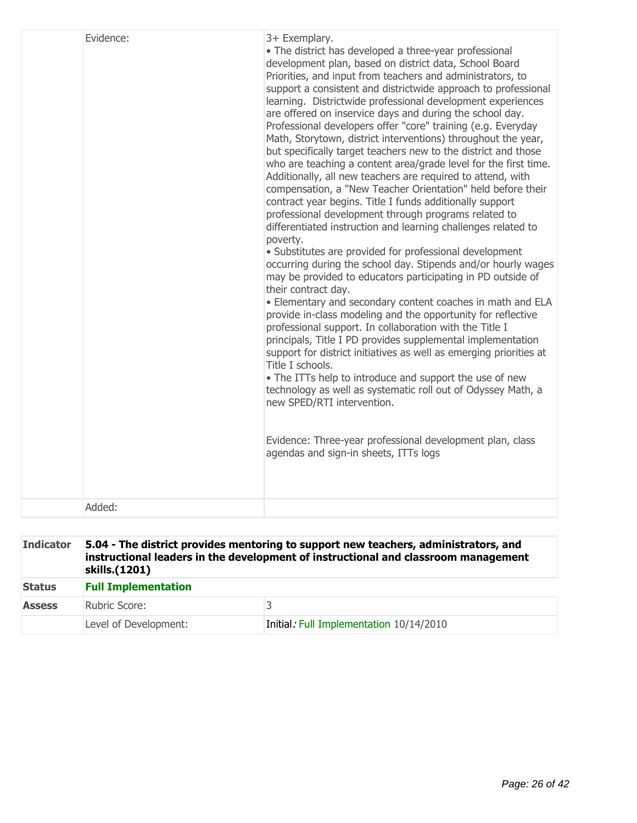| Evidence: | 3+ Exemplary.<br>• The district has developed a three-year professional<br>development plan, based on district data, School Board<br>Priorities, and input from teachers and administrators, to<br>support a consistent and districtwide approach to professional<br>learning. Districtwide professional development experiences<br>are offered on inservice days and during the school day.<br>Professional developers offer "core" training (e.g. Everyday<br>Math, Storytown, district interventions) throughout the year,<br>but specifically target teachers new to the district and those<br>who are teaching a content area/grade level for the first time.<br>Additionally, all new teachers are required to attend, with<br>compensation, a "New Teacher Orientation" held before their<br>contract year begins. Title I funds additionally support<br>professional development through programs related to<br>differentiated instruction and learning challenges related to<br>poverty.<br>· Substitutes are provided for professional development<br>occurring during the school day. Stipends and/or hourly wages<br>may be provided to educators participating in PD outside of<br>their contract day.<br>. Elementary and secondary content coaches in math and ELA<br>provide in-class modeling and the opportunity for reflective<br>professional support. In collaboration with the Title I<br>principals, Title I PD provides supplemental implementation<br>support for district initiatives as well as emerging priorities at<br>Title I schools.<br>• The ITTs help to introduce and support the use of new<br>technology as well as systematic roll out of Odyssey Math, a<br>new SPED/RTI intervention.<br>Evidence: Three-year professional development plan, class<br>agendas and sign-in sheets, ITTs logs |
|-----------|--------------------------------------------------------------------------------------------------------------------------------------------------------------------------------------------------------------------------------------------------------------------------------------------------------------------------------------------------------------------------------------------------------------------------------------------------------------------------------------------------------------------------------------------------------------------------------------------------------------------------------------------------------------------------------------------------------------------------------------------------------------------------------------------------------------------------------------------------------------------------------------------------------------------------------------------------------------------------------------------------------------------------------------------------------------------------------------------------------------------------------------------------------------------------------------------------------------------------------------------------------------------------------------------------------------------------------------------------------------------------------------------------------------------------------------------------------------------------------------------------------------------------------------------------------------------------------------------------------------------------------------------------------------------------------------------------------------------------------------------------------------------------------------------------------------------------------------|
| Added:    |                                                                                                                                                                                                                                                                                                                                                                                                                                                                                                                                                                                                                                                                                                                                                                                                                                                                                                                                                                                                                                                                                                                                                                                                                                                                                                                                                                                                                                                                                                                                                                                                                                                                                                                                                                                                                                      |
|           |                                                                                                                                                                                                                                                                                                                                                                                                                                                                                                                                                                                                                                                                                                                                                                                                                                                                                                                                                                                                                                                                                                                                                                                                                                                                                                                                                                                                                                                                                                                                                                                                                                                                                                                                                                                                                                      |

| <b>Indicator</b> | 5.04 - The district provides mentoring to support new teachers, administrators, and<br>instructional leaders in the development of instructional and classroom management<br>skills.(1201) |                                         |  |
|------------------|--------------------------------------------------------------------------------------------------------------------------------------------------------------------------------------------|-----------------------------------------|--|
| <b>Status</b>    | <b>Full Implementation</b>                                                                                                                                                                 |                                         |  |
| <b>Assess</b>    | Rubric Score:                                                                                                                                                                              |                                         |  |
|                  | Level of Development:                                                                                                                                                                      | Initial: Full Implementation 10/14/2010 |  |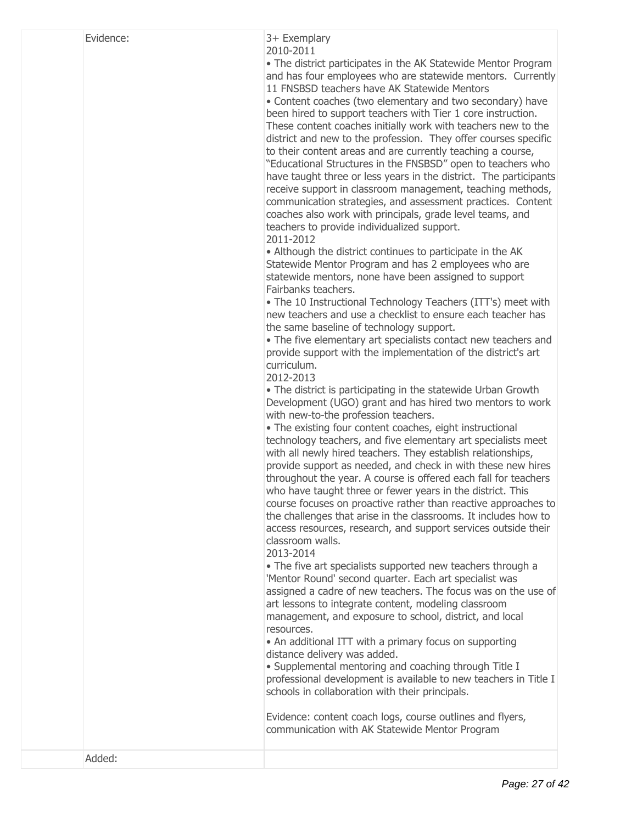# 3+ Exemplary

2010-2011

The district participates in the AK Statewide Mentor Program and has four employees who are statewide mentors. Currently 11 FNSBSD teachers have AK Statewide Mentors

Content coaches (two elementary and two secondary) have been hired to support teachers with Tier 1 core instruction. These content coaches initially work with teachers new to the district and new to the profession. They offer courses specific to their content areas and are currently teaching a course, "Educational Structures in the FNSBSD" open to teachers who have taught three or less years in the district. The participants receive support in classroom management, teaching methods, communication strategies, and assessment practices. Content coaches also work with principals, grade level teams, and teachers to provide individualized support.

## 2011-2012

Although the district continues to participate in the AK Statewide Mentor Program and has 2 employees who are statewide mentors, none have been assigned to support Fairbanks teachers.

• The 10 Instructional Technology Teachers (ITT's) meet with new teachers and use a checklist to ensure each teacher has the same baseline of technology support.

The five elementary art specialists contact new teachers and provide support with the implementation of the district's art curriculum.

2012-2013

The district is participating in the statewide Urban Growth Development (UGO) grant and has hired two mentors to work with new-to-the profession teachers.

The existing four content coaches, eight instructional technology teachers, and five elementary art specialists meet with all newly hired teachers. They establish relationships, provide support as needed, and check in with these new hires throughout the year. A course is offered each fall for teachers who have taught three or fewer years in the district. This course focuses on proactive rather than reactive approaches to the challenges that arise in the classrooms. It includes how to access resources, research, and support services outside their classroom walls.

### 2013-2014

The five art specialists supported new teachers through a 'Mentor Round' second quarter. Each art specialist was assigned a cadre of new teachers. The focus was on the use of art lessons to integrate content, modeling classroom management, and exposure to school, district, and local resources.

• An additional ITT with a primary focus on supporting distance delivery was added.

Supplemental mentoring and coaching through Title I professional development is available to new teachers in Title I schools in collaboration with their principals.

Evidence: content coach logs, course outlines and flyers, communication with AK Statewide Mentor Program

Added: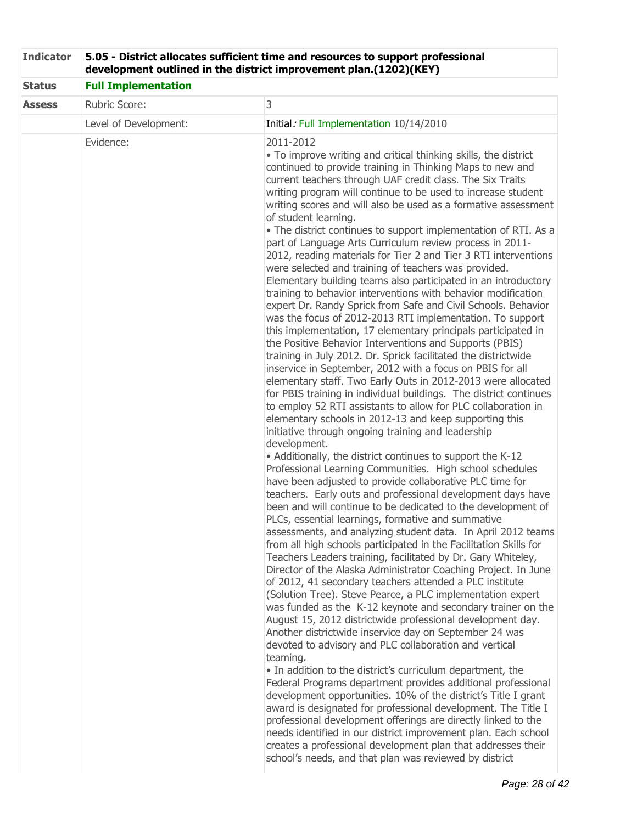| <b>Indicator</b> | 5.05 - District allocates sufficient time and resources to support professional<br>development outlined in the district improvement plan.(1202)(KEY) |                                                                                                                                                                                                                                                                                                                                                                                                                                                                                                                                                                                                                                                                                                                                                                                                                                                                                                                                                                                                                                                                                                                                                                                                                                                                                                                                                                                                                                                                                                                                                                                                                                                                                                                                                                                                                                                                                                                                                                                                                                                                                                                                                                                                                                                                                                                                                                                                                                                                                                                                                                                                                                                                                                                                                                                                                                                                                                                                                                                                                                                                    |  |  |  |
|------------------|------------------------------------------------------------------------------------------------------------------------------------------------------|--------------------------------------------------------------------------------------------------------------------------------------------------------------------------------------------------------------------------------------------------------------------------------------------------------------------------------------------------------------------------------------------------------------------------------------------------------------------------------------------------------------------------------------------------------------------------------------------------------------------------------------------------------------------------------------------------------------------------------------------------------------------------------------------------------------------------------------------------------------------------------------------------------------------------------------------------------------------------------------------------------------------------------------------------------------------------------------------------------------------------------------------------------------------------------------------------------------------------------------------------------------------------------------------------------------------------------------------------------------------------------------------------------------------------------------------------------------------------------------------------------------------------------------------------------------------------------------------------------------------------------------------------------------------------------------------------------------------------------------------------------------------------------------------------------------------------------------------------------------------------------------------------------------------------------------------------------------------------------------------------------------------------------------------------------------------------------------------------------------------------------------------------------------------------------------------------------------------------------------------------------------------------------------------------------------------------------------------------------------------------------------------------------------------------------------------------------------------------------------------------------------------------------------------------------------------------------------------------------------------------------------------------------------------------------------------------------------------------------------------------------------------------------------------------------------------------------------------------------------------------------------------------------------------------------------------------------------------------------------------------------------------------------------------------------------------|--|--|--|
| <b>Status</b>    | <b>Full Implementation</b>                                                                                                                           |                                                                                                                                                                                                                                                                                                                                                                                                                                                                                                                                                                                                                                                                                                                                                                                                                                                                                                                                                                                                                                                                                                                                                                                                                                                                                                                                                                                                                                                                                                                                                                                                                                                                                                                                                                                                                                                                                                                                                                                                                                                                                                                                                                                                                                                                                                                                                                                                                                                                                                                                                                                                                                                                                                                                                                                                                                                                                                                                                                                                                                                                    |  |  |  |
| <b>Assess</b>    | Rubric Score:                                                                                                                                        | 3                                                                                                                                                                                                                                                                                                                                                                                                                                                                                                                                                                                                                                                                                                                                                                                                                                                                                                                                                                                                                                                                                                                                                                                                                                                                                                                                                                                                                                                                                                                                                                                                                                                                                                                                                                                                                                                                                                                                                                                                                                                                                                                                                                                                                                                                                                                                                                                                                                                                                                                                                                                                                                                                                                                                                                                                                                                                                                                                                                                                                                                                  |  |  |  |
|                  | Level of Development:                                                                                                                                | Initial: Full Implementation 10/14/2010                                                                                                                                                                                                                                                                                                                                                                                                                                                                                                                                                                                                                                                                                                                                                                                                                                                                                                                                                                                                                                                                                                                                                                                                                                                                                                                                                                                                                                                                                                                                                                                                                                                                                                                                                                                                                                                                                                                                                                                                                                                                                                                                                                                                                                                                                                                                                                                                                                                                                                                                                                                                                                                                                                                                                                                                                                                                                                                                                                                                                            |  |  |  |
|                  | Evidence:                                                                                                                                            | 2011-2012<br>• To improve writing and critical thinking skills, the district<br>continued to provide training in Thinking Maps to new and<br>current teachers through UAF credit class. The Six Traits<br>writing program will continue to be used to increase student<br>writing scores and will also be used as a formative assessment<br>of student learning.<br>• The district continues to support implementation of RTI. As a<br>part of Language Arts Curriculum review process in 2011-<br>2012, reading materials for Tier 2 and Tier 3 RTI interventions<br>were selected and training of teachers was provided.<br>Elementary building teams also participated in an introductory<br>training to behavior interventions with behavior modification<br>expert Dr. Randy Sprick from Safe and Civil Schools. Behavior<br>was the focus of 2012-2013 RTI implementation. To support<br>this implementation, 17 elementary principals participated in<br>the Positive Behavior Interventions and Supports (PBIS)<br>training in July 2012. Dr. Sprick facilitated the districtwide<br>inservice in September, 2012 with a focus on PBIS for all<br>elementary staff. Two Early Outs in 2012-2013 were allocated<br>for PBIS training in individual buildings. The district continues<br>to employ 52 RTI assistants to allow for PLC collaboration in<br>elementary schools in 2012-13 and keep supporting this<br>initiative through ongoing training and leadership<br>development.<br>• Additionally, the district continues to support the K-12<br>Professional Learning Communities. High school schedules<br>have been adjusted to provide collaborative PLC time for<br>teachers. Early outs and professional development days have<br>been and will continue to be dedicated to the development of<br>PLCs, essential learnings, formative and summative<br>assessments, and analyzing student data. In April 2012 teams<br>from all high schools participated in the Facilitation Skills for<br>Teachers Leaders training, facilitated by Dr. Gary Whiteley,<br>Director of the Alaska Administrator Coaching Project. In June<br>of 2012, 41 secondary teachers attended a PLC institute<br>(Solution Tree). Steve Pearce, a PLC implementation expert<br>was funded as the K-12 keynote and secondary trainer on the<br>August 15, 2012 districtwide professional development day.<br>Another districtwide inservice day on September 24 was<br>devoted to advisory and PLC collaboration and vertical<br>teaming.<br>• In addition to the district's curriculum department, the<br>Federal Programs department provides additional professional<br>development opportunities. 10% of the district's Title I grant<br>award is designated for professional development. The Title I<br>professional development offerings are directly linked to the<br>needs identified in our district improvement plan. Each school<br>creates a professional development plan that addresses their<br>school's needs, and that plan was reviewed by district |  |  |  |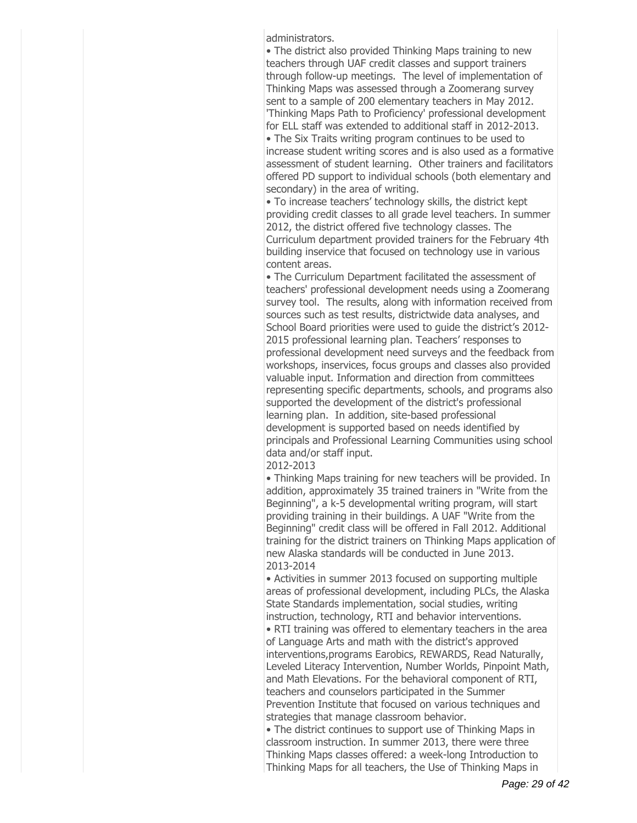administrators.

The district also provided Thinking Maps training to new teachers through UAF credit classes and support trainers through follow-up meetings. The level of implementation of Thinking Maps was assessed through a Zoomerang survey sent to a sample of 200 elementary teachers in May 2012. 'Thinking Maps Path to Proficiency' professional development for ELL staff was extended to additional staff in 2012-2013.

The Six Traits writing program continues to be used to increase student writing scores and is also used as a formative assessment of student learning. Other trainers and facilitators offered PD support to individual schools (both elementary and secondary) in the area of writing.

• To increase teachers' technology skills, the district kept providing credit classes to all grade level teachers. In summer 2012, the district offered five technology classes. The Curriculum department provided trainers for the February 4th building inservice that focused on technology use in various content areas.

The Curriculum Department facilitated the assessment of teachers' professional development needs using a Zoomerang survey tool. The results, along with information received from sources such as test results, districtwide data analyses, and School Board priorities were used to guide the district's 2012-2015 professional learning plan. Teachers' responses to professional development need surveys and the feedback from workshops, inservices, focus groups and classes also provided valuable input. Information and direction from committees representing specific departments, schools, and programs also supported the development of the district's professional learning plan. In addition, site-based professional development is supported based on needs identified by principals and Professional Learning Communities using school data and/or staff input.

#### 2012-2013

Thinking Maps training for new teachers will be provided. In addition, approximately 35 trained trainers in "Write from the Beginning", a k-5 developmental writing program, will start providing training in their buildings. A UAF "Write from the Beginning" credit class will be offered in Fall 2012. Additional training for the district trainers on Thinking Maps application of new Alaska standards will be conducted in June 2013. 2013-2014

Activities in summer 2013 focused on supporting multiple areas of professional development, including PLCs, the Alaska State Standards implementation, social studies, writing instruction, technology, RTI and behavior interventions.

RTI training was offered to elementary teachers in the area of Language Arts and math with the district's approved interventions,programs Earobics, REWARDS, Read Naturally, Leveled Literacy Intervention, Number Worlds, Pinpoint Math, and Math Elevations. For the behavioral component of RTI, teachers and counselors participated in the Summer Prevention Institute that focused on various techniques and strategies that manage classroom behavior.

The district continues to support use of Thinking Maps in classroom instruction. In summer 2013, there were three Thinking Maps classes offered: a week-long Introduction to Thinking Maps for all teachers, the Use of Thinking Maps in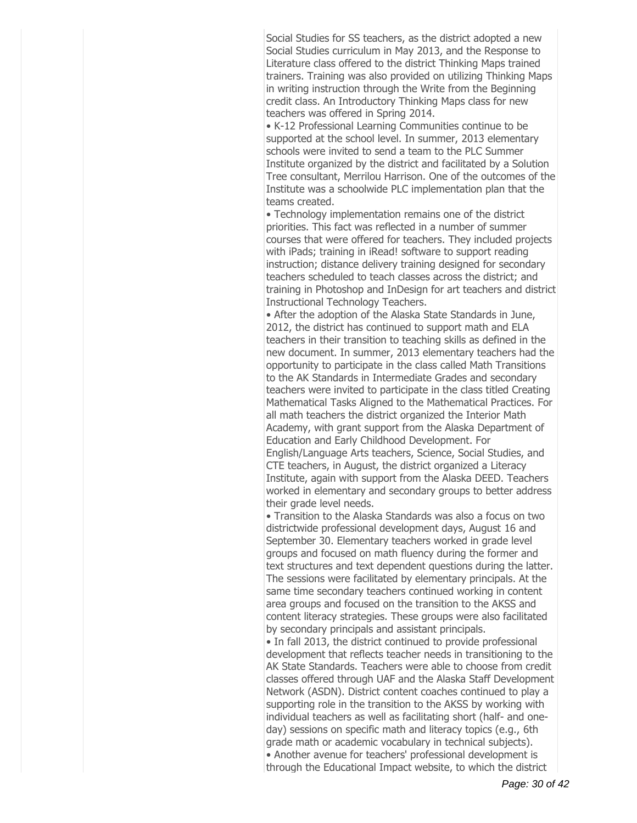Social Studies for SS teachers, as the district adopted a new Social Studies curriculum in May 2013, and the Response to Literature class offered to the district Thinking Maps trained trainers. Training was also provided on utilizing Thinking Maps in writing instruction through the Write from the Beginning credit class. An Introductory Thinking Maps class for new teachers was offered in Spring 2014.

K-12 Professional Learning Communities continue to be supported at the school level. In summer, 2013 elementary schools were invited to send a team to the PLC Summer Institute organized by the district and facilitated by a Solution Tree consultant, Merrilou Harrison. One of the outcomes of the Institute was a schoolwide PLC implementation plan that the teams created.

Technology implementation remains one of the district priorities. This fact was reflected in a number of summer courses that were offered for teachers. They included projects with iPads; training in iRead! software to support reading instruction; distance delivery training designed for secondary teachers scheduled to teach classes across the district; and training in Photoshop and InDesign for art teachers and district Instructional Technology Teachers.

After the adoption of the Alaska State Standards in June, 2012, the district has continued to support math and ELA teachers in their transition to teaching skills as defined in the new document. In summer, 2013 elementary teachers had the opportunity to participate in the class called Math Transitions to the AK Standards in Intermediate Grades and secondary teachers were invited to participate in the class titled Creating Mathematical Tasks Aligned to the Mathematical Practices. For all math teachers the district organized the Interior Math Academy, with grant support from the Alaska Department of Education and Early Childhood Development. For English/Language Arts teachers, Science, Social Studies, and CTE teachers, in August, the district organized a Literacy Institute, again with support from the Alaska DEED. Teachers worked in elementary and secondary groups to better address their grade level needs.

Transition to the Alaska Standards was also a focus on two districtwide professional development days, August 16 and September 30. Elementary teachers worked in grade level groups and focused on math fluency during the former and text structures and text dependent questions during the latter. The sessions were facilitated by elementary principals. At the same time secondary teachers continued working in content area groups and focused on the transition to the AKSS and content literacy strategies. These groups were also facilitated by secondary principals and assistant principals.

• In fall 2013, the district continued to provide professional development that reflects teacher needs in transitioning to the AK State Standards. Teachers were able to choose from credit classes offered through UAF and the Alaska Staff Development Network (ASDN). District content coaches continued to play a supporting role in the transition to the AKSS by working with individual teachers as well as facilitating short (half- and oneday) sessions on specific math and literacy topics (e.g., 6th grade math or academic vocabulary in technical subjects). Another avenue for teachers' professional development is through the Educational Impact website, to which the district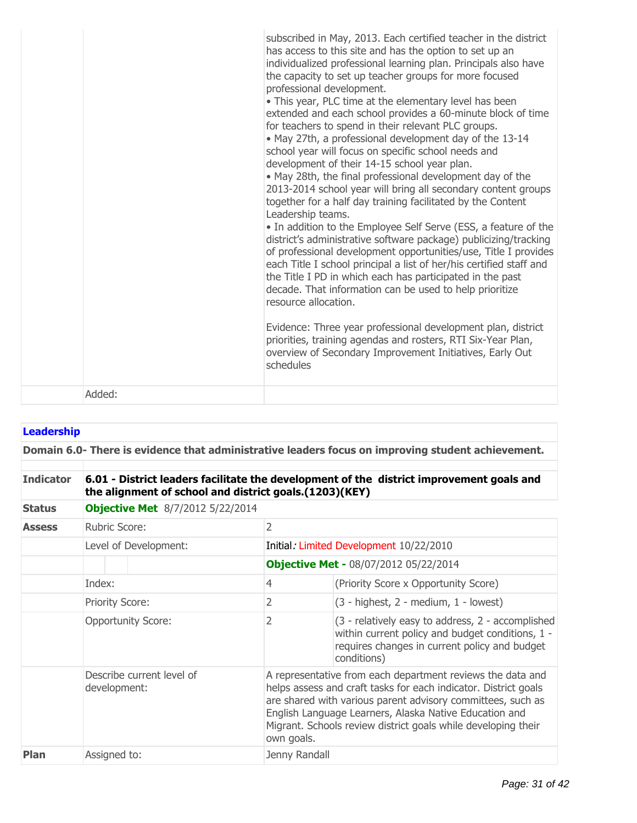|        | subscribed in May, 2013. Each certified teacher in the district<br>has access to this site and has the option to set up an<br>individualized professional learning plan. Principals also have<br>the capacity to set up teacher groups for more focused<br>professional development.<br>• This year, PLC time at the elementary level has been<br>extended and each school provides a 60-minute block of time<br>for teachers to spend in their relevant PLC groups.<br>. May 27th, a professional development day of the 13-14<br>school year will focus on specific school needs and<br>development of their 14-15 school year plan.<br>. May 28th, the final professional development day of the<br>2013-2014 school year will bring all secondary content groups<br>together for a half day training facilitated by the Content<br>Leadership teams.<br>• In addition to the Employee Self Serve (ESS, a feature of the<br>district's administrative software package) publicizing/tracking<br>of professional development opportunities/use, Title I provides<br>each Title I school principal a list of her/his certified staff and<br>the Title I PD in which each has participated in the past<br>decade. That information can be used to help prioritize<br>resource allocation.<br>Evidence: Three year professional development plan, district<br>priorities, training agendas and rosters, RTI Six-Year Plan,<br>overview of Secondary Improvement Initiatives, Early Out<br>schedules |
|--------|----------------------------------------------------------------------------------------------------------------------------------------------------------------------------------------------------------------------------------------------------------------------------------------------------------------------------------------------------------------------------------------------------------------------------------------------------------------------------------------------------------------------------------------------------------------------------------------------------------------------------------------------------------------------------------------------------------------------------------------------------------------------------------------------------------------------------------------------------------------------------------------------------------------------------------------------------------------------------------------------------------------------------------------------------------------------------------------------------------------------------------------------------------------------------------------------------------------------------------------------------------------------------------------------------------------------------------------------------------------------------------------------------------------------------------------------------------------------------------------------------|
| Added: |                                                                                                                                                                                                                                                                                                                                                                                                                                                                                                                                                                                                                                                                                                                                                                                                                                                                                                                                                                                                                                                                                                                                                                                                                                                                                                                                                                                                                                                                                                    |

| <b>Leadership</b>                                                                                 |                                                                                                                                                    |                |                                                                                                                                                                                                                                                                                                                         |  |  |  |
|---------------------------------------------------------------------------------------------------|----------------------------------------------------------------------------------------------------------------------------------------------------|----------------|-------------------------------------------------------------------------------------------------------------------------------------------------------------------------------------------------------------------------------------------------------------------------------------------------------------------------|--|--|--|
| Domain 6.0- There is evidence that administrative leaders focus on improving student achievement. |                                                                                                                                                    |                |                                                                                                                                                                                                                                                                                                                         |  |  |  |
| <b>Indicator</b>                                                                                  | 6.01 - District leaders facilitate the development of the district improvement goals and<br>the alignment of school and district goals.(1203)(KEY) |                |                                                                                                                                                                                                                                                                                                                         |  |  |  |
| <b>Status</b>                                                                                     | <b>Objective Met</b> 8/7/2012 5/22/2014                                                                                                            |                |                                                                                                                                                                                                                                                                                                                         |  |  |  |
| <b>Assess</b>                                                                                     | Rubric Score:                                                                                                                                      | $\overline{2}$ |                                                                                                                                                                                                                                                                                                                         |  |  |  |
|                                                                                                   | Level of Development:                                                                                                                              |                | Initial: Limited Development 10/22/2010                                                                                                                                                                                                                                                                                 |  |  |  |
|                                                                                                   |                                                                                                                                                    |                | <b>Objective Met - 08/07/2012 05/22/2014</b>                                                                                                                                                                                                                                                                            |  |  |  |
|                                                                                                   | Index:                                                                                                                                             | $\overline{4}$ | (Priority Score x Opportunity Score)                                                                                                                                                                                                                                                                                    |  |  |  |
|                                                                                                   | Priority Score:                                                                                                                                    | 2              | (3 - highest, 2 - medium, 1 - lowest)                                                                                                                                                                                                                                                                                   |  |  |  |
|                                                                                                   | <b>Opportunity Score:</b>                                                                                                                          | 2              | (3 - relatively easy to address, 2 - accomplished<br>within current policy and budget conditions, 1 -<br>requires changes in current policy and budget<br>conditions)                                                                                                                                                   |  |  |  |
|                                                                                                   | Describe current level of<br>development:                                                                                                          | own goals.     | A representative from each department reviews the data and<br>helps assess and craft tasks for each indicator. District goals<br>are shared with various parent advisory committees, such as<br>English Language Learners, Alaska Native Education and<br>Migrant. Schools review district goals while developing their |  |  |  |
| Plan                                                                                              | Assigned to:<br>Jenny Randall                                                                                                                      |                |                                                                                                                                                                                                                                                                                                                         |  |  |  |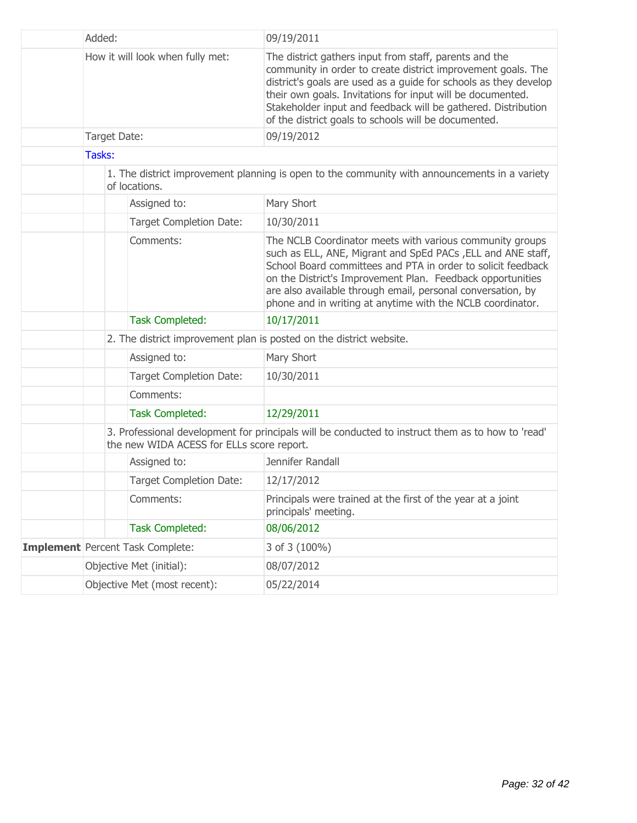|  | Added:<br>How it will look when fully met:                          |                                                                     |                                         | 09/19/2011                                                                                                                                                                                                                                                                                                                                                                         |  |
|--|---------------------------------------------------------------------|---------------------------------------------------------------------|-----------------------------------------|------------------------------------------------------------------------------------------------------------------------------------------------------------------------------------------------------------------------------------------------------------------------------------------------------------------------------------------------------------------------------------|--|
|  |                                                                     |                                                                     |                                         | The district gathers input from staff, parents and the<br>community in order to create district improvement goals. The<br>district's goals are used as a guide for schools as they develop<br>their own goals. Invitations for input will be documented.<br>Stakeholder input and feedback will be gathered. Distribution<br>of the district goals to schools will be documented.  |  |
|  |                                                                     | Target Date:                                                        |                                         | 09/19/2012                                                                                                                                                                                                                                                                                                                                                                         |  |
|  | Tasks:                                                              |                                                                     |                                         |                                                                                                                                                                                                                                                                                                                                                                                    |  |
|  |                                                                     |                                                                     | of locations.                           | 1. The district improvement planning is open to the community with announcements in a variety                                                                                                                                                                                                                                                                                      |  |
|  |                                                                     |                                                                     | Assigned to:                            | Mary Short                                                                                                                                                                                                                                                                                                                                                                         |  |
|  |                                                                     |                                                                     | <b>Target Completion Date:</b>          | 10/30/2011                                                                                                                                                                                                                                                                                                                                                                         |  |
|  | Comments:                                                           |                                                                     |                                         | The NCLB Coordinator meets with various community groups<br>such as ELL, ANE, Migrant and SpEd PACs, ELL and ANE staff,<br>School Board committees and PTA in order to solicit feedback<br>on the District's Improvement Plan. Feedback opportunities<br>are also available through email, personal conversation, by<br>phone and in writing at anytime with the NCLB coordinator. |  |
|  |                                                                     |                                                                     | <b>Task Completed:</b>                  | 10/17/2011                                                                                                                                                                                                                                                                                                                                                                         |  |
|  |                                                                     | 2. The district improvement plan is posted on the district website. |                                         |                                                                                                                                                                                                                                                                                                                                                                                    |  |
|  |                                                                     |                                                                     | Assigned to:                            | Mary Short                                                                                                                                                                                                                                                                                                                                                                         |  |
|  | <b>Target Completion Date:</b>                                      |                                                                     |                                         | 10/30/2011                                                                                                                                                                                                                                                                                                                                                                         |  |
|  |                                                                     |                                                                     | Comments:                               |                                                                                                                                                                                                                                                                                                                                                                                    |  |
|  | <b>Task Completed:</b><br>the new WIDA ACESS for ELLs score report. |                                                                     |                                         | 12/29/2011                                                                                                                                                                                                                                                                                                                                                                         |  |
|  |                                                                     |                                                                     |                                         | 3. Professional development for principals will be conducted to instruct them as to how to 'read'                                                                                                                                                                                                                                                                                  |  |
|  |                                                                     |                                                                     | Assigned to:                            | Jennifer Randall                                                                                                                                                                                                                                                                                                                                                                   |  |
|  |                                                                     |                                                                     | <b>Target Completion Date:</b>          | 12/17/2012                                                                                                                                                                                                                                                                                                                                                                         |  |
|  |                                                                     |                                                                     | Comments:                               | Principals were trained at the first of the year at a joint<br>principals' meeting.                                                                                                                                                                                                                                                                                                |  |
|  |                                                                     |                                                                     | <b>Task Completed:</b>                  | 08/06/2012                                                                                                                                                                                                                                                                                                                                                                         |  |
|  |                                                                     |                                                                     | <b>Implement</b> Percent Task Complete: | 3 of 3 (100%)                                                                                                                                                                                                                                                                                                                                                                      |  |
|  |                                                                     |                                                                     | Objective Met (initial):                | 08/07/2012                                                                                                                                                                                                                                                                                                                                                                         |  |
|  | Objective Met (most recent):                                        |                                                                     |                                         | 05/22/2014                                                                                                                                                                                                                                                                                                                                                                         |  |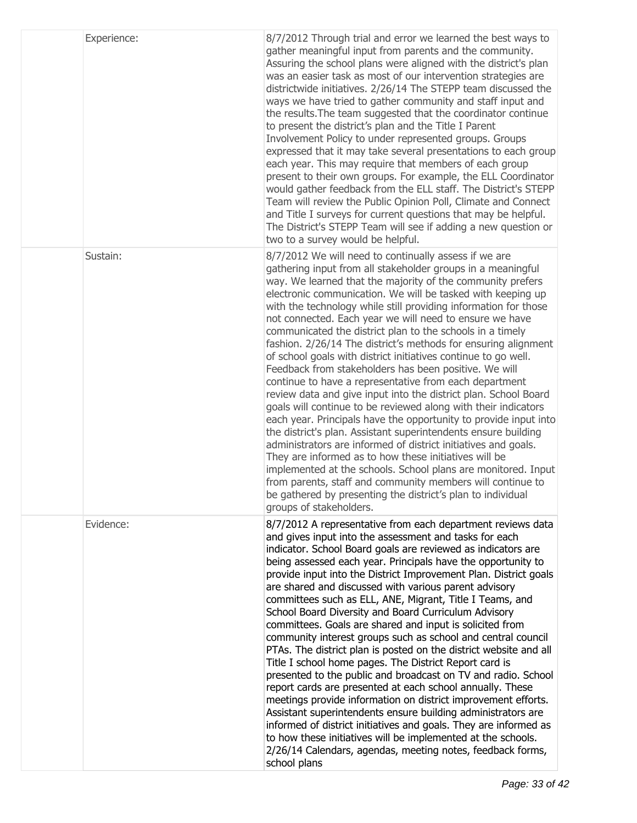| Experience: | 8/7/2012 Through trial and error we learned the best ways to<br>gather meaningful input from parents and the community.<br>Assuring the school plans were aligned with the district's plan<br>was an easier task as most of our intervention strategies are<br>districtwide initiatives. 2/26/14 The STEPP team discussed the<br>ways we have tried to gather community and staff input and<br>the results. The team suggested that the coordinator continue<br>to present the district's plan and the Title I Parent<br>Involvement Policy to under represented groups. Groups<br>expressed that it may take several presentations to each group<br>each year. This may require that members of each group<br>present to their own groups. For example, the ELL Coordinator<br>would gather feedback from the ELL staff. The District's STEPP<br>Team will review the Public Opinion Poll, Climate and Connect<br>and Title I surveys for current questions that may be helpful.<br>The District's STEPP Team will see if adding a new question or<br>two to a survey would be helpful.                                                                                                                                                                                                                                           |
|-------------|------------------------------------------------------------------------------------------------------------------------------------------------------------------------------------------------------------------------------------------------------------------------------------------------------------------------------------------------------------------------------------------------------------------------------------------------------------------------------------------------------------------------------------------------------------------------------------------------------------------------------------------------------------------------------------------------------------------------------------------------------------------------------------------------------------------------------------------------------------------------------------------------------------------------------------------------------------------------------------------------------------------------------------------------------------------------------------------------------------------------------------------------------------------------------------------------------------------------------------------------------------------------------------------------------------------------------------|
| Sustain:    | 8/7/2012 We will need to continually assess if we are<br>gathering input from all stakeholder groups in a meaningful<br>way. We learned that the majority of the community prefers<br>electronic communication. We will be tasked with keeping up<br>with the technology while still providing information for those<br>not connected. Each year we will need to ensure we have<br>communicated the district plan to the schools in a timely<br>fashion. 2/26/14 The district's methods for ensuring alignment<br>of school goals with district initiatives continue to go well.<br>Feedback from stakeholders has been positive. We will<br>continue to have a representative from each department<br>review data and give input into the district plan. School Board<br>goals will continue to be reviewed along with their indicators<br>each year. Principals have the opportunity to provide input into<br>the district's plan. Assistant superintendents ensure building<br>administrators are informed of district initiatives and goals.<br>They are informed as to how these initiatives will be<br>implemented at the schools. School plans are monitored. Input<br>from parents, staff and community members will continue to<br>be gathered by presenting the district's plan to individual<br>groups of stakeholders. |
| Evidence:   | 8/7/2012 A representative from each department reviews data<br>and gives input into the assessment and tasks for each<br>indicator. School Board goals are reviewed as indicators are<br>being assessed each year. Principals have the opportunity to<br>provide input into the District Improvement Plan. District goals<br>are shared and discussed with various parent advisory<br>committees such as ELL, ANE, Migrant, Title I Teams, and<br>School Board Diversity and Board Curriculum Advisory<br>committees. Goals are shared and input is solicited from<br>community interest groups such as school and central council<br>PTAs. The district plan is posted on the district website and all<br>Title I school home pages. The District Report card is<br>presented to the public and broadcast on TV and radio. School<br>report cards are presented at each school annually. These<br>meetings provide information on district improvement efforts.<br>Assistant superintendents ensure building administrators are<br>informed of district initiatives and goals. They are informed as<br>to how these initiatives will be implemented at the schools.<br>2/26/14 Calendars, agendas, meeting notes, feedback forms,<br>school plans                                                                                 |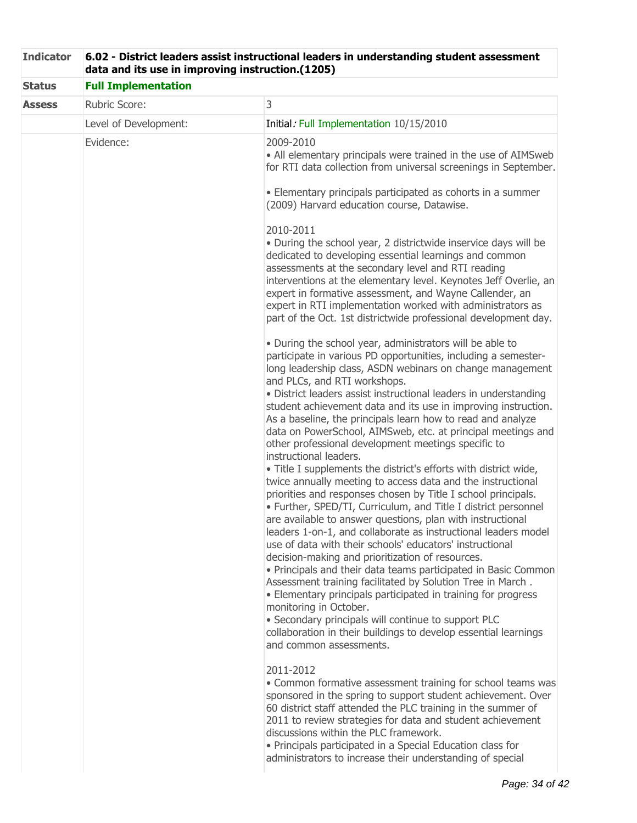| <b>Indicator</b> | 6.02 - District leaders assist instructional leaders in understanding student assessment<br>data and its use in improving instruction.(1205) |                                                                                                                                                                                                                                                                                                                                                                                                                                                                                                                                                                                                                                                                                                                                                                                                                                                                                                                                                                                                                                                                                                                                                                                                                                                                                                                                                                                                                                                 |  |
|------------------|----------------------------------------------------------------------------------------------------------------------------------------------|-------------------------------------------------------------------------------------------------------------------------------------------------------------------------------------------------------------------------------------------------------------------------------------------------------------------------------------------------------------------------------------------------------------------------------------------------------------------------------------------------------------------------------------------------------------------------------------------------------------------------------------------------------------------------------------------------------------------------------------------------------------------------------------------------------------------------------------------------------------------------------------------------------------------------------------------------------------------------------------------------------------------------------------------------------------------------------------------------------------------------------------------------------------------------------------------------------------------------------------------------------------------------------------------------------------------------------------------------------------------------------------------------------------------------------------------------|--|
| <b>Status</b>    | <b>Full Implementation</b>                                                                                                                   |                                                                                                                                                                                                                                                                                                                                                                                                                                                                                                                                                                                                                                                                                                                                                                                                                                                                                                                                                                                                                                                                                                                                                                                                                                                                                                                                                                                                                                                 |  |
| <b>Assess</b>    | Rubric Score:                                                                                                                                | 3                                                                                                                                                                                                                                                                                                                                                                                                                                                                                                                                                                                                                                                                                                                                                                                                                                                                                                                                                                                                                                                                                                                                                                                                                                                                                                                                                                                                                                               |  |
|                  | Level of Development:                                                                                                                        | Initial: Full Implementation 10/15/2010                                                                                                                                                                                                                                                                                                                                                                                                                                                                                                                                                                                                                                                                                                                                                                                                                                                                                                                                                                                                                                                                                                                                                                                                                                                                                                                                                                                                         |  |
|                  | Evidence:                                                                                                                                    | 2009-2010<br>• All elementary principals were trained in the use of AIMSweb<br>for RTI data collection from universal screenings in September.<br>• Elementary principals participated as cohorts in a summer<br>(2009) Harvard education course, Datawise.<br>2010-2011<br>· During the school year, 2 districtwide inservice days will be<br>dedicated to developing essential learnings and common<br>assessments at the secondary level and RTI reading<br>interventions at the elementary level. Keynotes Jeff Overlie, an<br>expert in formative assessment, and Wayne Callender, an<br>expert in RTI implementation worked with administrators as<br>part of the Oct. 1st districtwide professional development day.<br>. During the school year, administrators will be able to<br>participate in various PD opportunities, including a semester-<br>long leadership class, ASDN webinars on change management<br>and PLCs, and RTI workshops.<br>· District leaders assist instructional leaders in understanding<br>student achievement data and its use in improving instruction.<br>As a baseline, the principals learn how to read and analyze<br>data on PowerSchool, AIMSweb, etc. at principal meetings and<br>other professional development meetings specific to<br>instructional leaders.<br>• Title I supplements the district's efforts with district wide,<br>twice annually meeting to access data and the instructional |  |
|                  |                                                                                                                                              | priorities and responses chosen by Title I school principals.<br>· Further, SPED/TI, Curriculum, and Title I district personnel<br>are available to answer questions, plan with instructional<br>leaders 1-on-1, and collaborate as instructional leaders model<br>use of data with their schools' educators' instructional<br>decision-making and prioritization of resources.<br>• Principals and their data teams participated in Basic Common<br>Assessment training facilitated by Solution Tree in March.<br>• Elementary principals participated in training for progress<br>monitoring in October.<br>• Secondary principals will continue to support PLC<br>collaboration in their buildings to develop essential learnings<br>and common assessments.<br>2011-2012<br>• Common formative assessment training for school teams was<br>sponsored in the spring to support student achievement. Over<br>60 district staff attended the PLC training in the summer of<br>2011 to review strategies for data and student achievement<br>discussions within the PLC framework.<br>• Principals participated in a Special Education class for<br>administrators to increase their understanding of special                                                                                                                                                                                                                                   |  |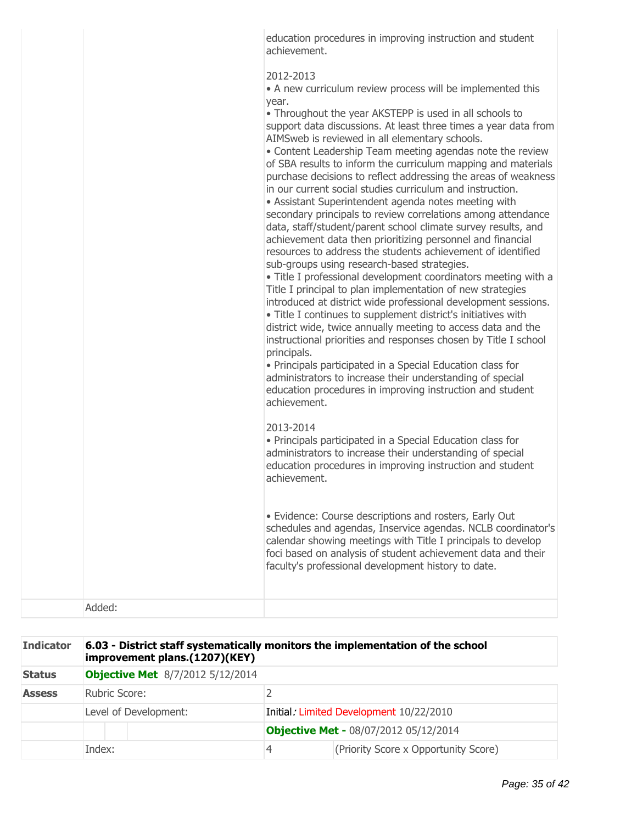| education procedures in improving instruction and student |  |
|-----------------------------------------------------------|--|
| achievement.                                              |  |

### 2012-2013

• A new curriculum review process will be implemented this year.

Throughout the year AKSTEPP is used in all schools to support data discussions. At least three times a year data from AIMSweb is reviewed in all elementary schools.

Content Leadership Team meeting agendas note the review of SBA results to inform the curriculum mapping and materials purchase decisions to reflect addressing the areas of weakness in our current social studies curriculum and instruction.

Assistant Superintendent agenda notes meeting with secondary principals to review correlations among attendance data, staff/student/parent school climate survey results, and achievement data then prioritizing personnel and financial resources to address the students achievement of identified sub-groups using research-based strategies.

Title I professional development coordinators meeting with a Title I principal to plan implementation of new strategies introduced at district wide professional development sessions.

Title I continues to supplement district's initiatives with district wide, twice annually meeting to access data and the instructional priorities and responses chosen by Title I school principals.

Principals participated in a Special Education class for administrators to increase their understanding of special education procedures in improving instruction and student achievement.

### 2013-2014

Principals participated in a Special Education class for administrators to increase their understanding of special education procedures in improving instruction and student achievement.

Evidence: Course descriptions and rosters, Early Out schedules and agendas, Inservice agendas. NCLB coordinator's calendar showing meetings with Title I principals to develop foci based on analysis of student achievement data and their faculty's professional development history to date.

Added:

| <b>Indicator</b> | 6.03 - District staff systematically monitors the implementation of the school<br>improvement plans.(1207)(KEY) |  |   |                                              |
|------------------|-----------------------------------------------------------------------------------------------------------------|--|---|----------------------------------------------|
| <b>Status</b>    | <b>Objective Met</b> 8/7/2012 5/12/2014                                                                         |  |   |                                              |
| <b>Assess</b>    | Rubric Score:                                                                                                   |  |   |                                              |
|                  | Level of Development:                                                                                           |  |   | Initial: Limited Development 10/22/2010      |
|                  |                                                                                                                 |  |   | <b>Objective Met - 08/07/2012 05/12/2014</b> |
|                  | Index:                                                                                                          |  | 4 | (Priority Score x Opportunity Score)         |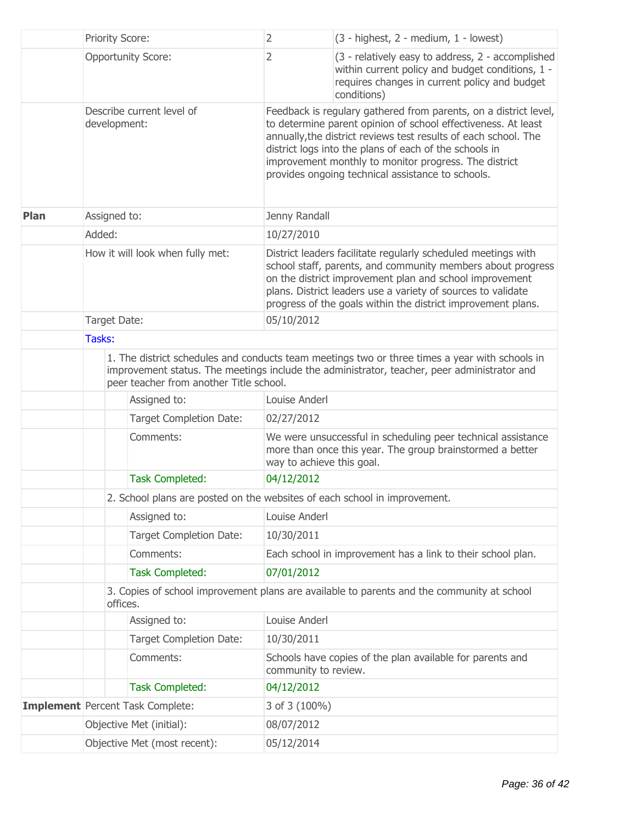|             |                                                                                                        | <b>Priority Score:</b>                                                                                                                                                                                                                   | 2                         | (3 - highest, 2 - medium, 1 - lowest)                                                                                                                                                                                                                                                                                                                                        |  |
|-------------|--------------------------------------------------------------------------------------------------------|------------------------------------------------------------------------------------------------------------------------------------------------------------------------------------------------------------------------------------------|---------------------------|------------------------------------------------------------------------------------------------------------------------------------------------------------------------------------------------------------------------------------------------------------------------------------------------------------------------------------------------------------------------------|--|
|             |                                                                                                        | <b>Opportunity Score:</b>                                                                                                                                                                                                                | 2                         | (3 - relatively easy to address, 2 - accomplished<br>within current policy and budget conditions, 1 -<br>requires changes in current policy and budget<br>conditions)                                                                                                                                                                                                        |  |
|             |                                                                                                        | Describe current level of<br>development:                                                                                                                                                                                                |                           | Feedback is regulary gathered from parents, on a district level,<br>to determine parent opinion of school effectiveness. At least<br>annually, the district reviews test results of each school. The<br>district logs into the plans of each of the schools in<br>improvement monthly to monitor progress. The district<br>provides ongoing technical assistance to schools. |  |
| <b>Plan</b> | Assigned to:                                                                                           |                                                                                                                                                                                                                                          | Jenny Randall             |                                                                                                                                                                                                                                                                                                                                                                              |  |
|             | Added:                                                                                                 |                                                                                                                                                                                                                                          | 10/27/2010                |                                                                                                                                                                                                                                                                                                                                                                              |  |
|             |                                                                                                        | How it will look when fully met:                                                                                                                                                                                                         |                           | District leaders facilitate regularly scheduled meetings with<br>school staff, parents, and community members about progress<br>on the district improvement plan and school improvement<br>plans. District leaders use a variety of sources to validate<br>progress of the goals within the district improvement plans.                                                      |  |
|             |                                                                                                        | Target Date:                                                                                                                                                                                                                             | 05/10/2012                |                                                                                                                                                                                                                                                                                                                                                                              |  |
|             | Tasks:                                                                                                 |                                                                                                                                                                                                                                          |                           |                                                                                                                                                                                                                                                                                                                                                                              |  |
|             |                                                                                                        | 1. The district schedules and conducts team meetings two or three times a year with schools in<br>improvement status. The meetings include the administrator, teacher, peer administrator and<br>peer teacher from another Title school. |                           |                                                                                                                                                                                                                                                                                                                                                                              |  |
|             |                                                                                                        | Assigned to:                                                                                                                                                                                                                             | Louise Anderl             |                                                                                                                                                                                                                                                                                                                                                                              |  |
|             |                                                                                                        | <b>Target Completion Date:</b>                                                                                                                                                                                                           | 02/27/2012                |                                                                                                                                                                                                                                                                                                                                                                              |  |
|             |                                                                                                        | Comments:                                                                                                                                                                                                                                | way to achieve this goal. | We were unsuccessful in scheduling peer technical assistance<br>more than once this year. The group brainstormed a better                                                                                                                                                                                                                                                    |  |
|             |                                                                                                        | <b>Task Completed:</b>                                                                                                                                                                                                                   | 04/12/2012                |                                                                                                                                                                                                                                                                                                                                                                              |  |
|             |                                                                                                        | 2. School plans are posted on the websites of each school in improvement.                                                                                                                                                                |                           |                                                                                                                                                                                                                                                                                                                                                                              |  |
|             |                                                                                                        | Assigned to:                                                                                                                                                                                                                             | Louise Anderl             |                                                                                                                                                                                                                                                                                                                                                                              |  |
|             |                                                                                                        | <b>Target Completion Date:</b>                                                                                                                                                                                                           | 10/30/2011                |                                                                                                                                                                                                                                                                                                                                                                              |  |
|             |                                                                                                        | Comments:                                                                                                                                                                                                                                |                           | Each school in improvement has a link to their school plan.                                                                                                                                                                                                                                                                                                                  |  |
|             |                                                                                                        | <b>Task Completed:</b>                                                                                                                                                                                                                   | 07/01/2012                |                                                                                                                                                                                                                                                                                                                                                                              |  |
|             | 3. Copies of school improvement plans are available to parents and the community at school<br>offices. |                                                                                                                                                                                                                                          |                           |                                                                                                                                                                                                                                                                                                                                                                              |  |
|             |                                                                                                        | Assigned to:                                                                                                                                                                                                                             | Louise Anderl             |                                                                                                                                                                                                                                                                                                                                                                              |  |
|             |                                                                                                        | <b>Target Completion Date:</b>                                                                                                                                                                                                           | 10/30/2011                |                                                                                                                                                                                                                                                                                                                                                                              |  |
|             |                                                                                                        | Comments:                                                                                                                                                                                                                                | community to review.      | Schools have copies of the plan available for parents and                                                                                                                                                                                                                                                                                                                    |  |
|             |                                                                                                        | <b>Task Completed:</b>                                                                                                                                                                                                                   | 04/12/2012                |                                                                                                                                                                                                                                                                                                                                                                              |  |
|             |                                                                                                        | Implement Percent Task Complete:                                                                                                                                                                                                         | 3 of 3 (100%)             |                                                                                                                                                                                                                                                                                                                                                                              |  |
|             | Objective Met (initial):                                                                               |                                                                                                                                                                                                                                          | 08/07/2012                |                                                                                                                                                                                                                                                                                                                                                                              |  |
|             | Objective Met (most recent):                                                                           |                                                                                                                                                                                                                                          | 05/12/2014                |                                                                                                                                                                                                                                                                                                                                                                              |  |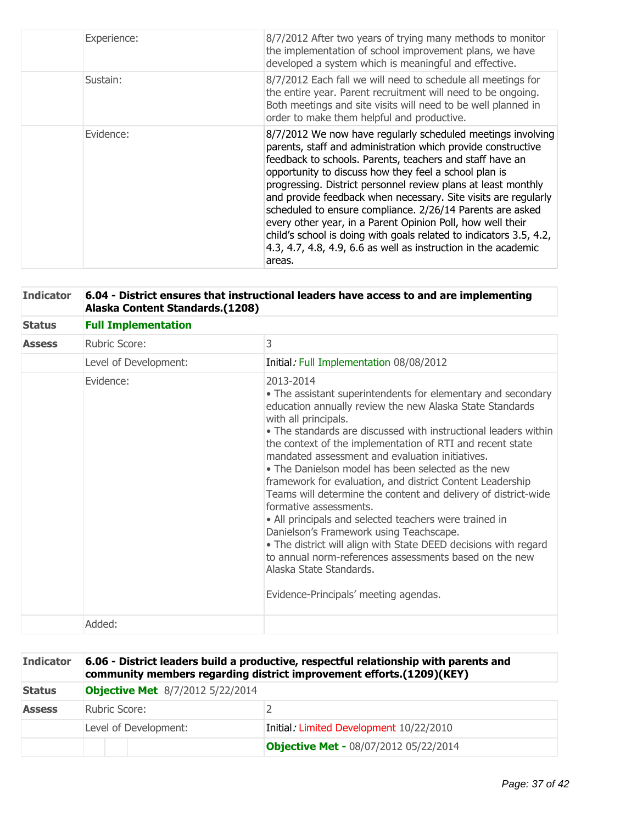| Experience: | 8/7/2012 After two years of trying many methods to monitor<br>the implementation of school improvement plans, we have<br>developed a system which is meaningful and effective.                                                                                                                                                                                                                                                                                                                                                                                                                                                                                   |
|-------------|------------------------------------------------------------------------------------------------------------------------------------------------------------------------------------------------------------------------------------------------------------------------------------------------------------------------------------------------------------------------------------------------------------------------------------------------------------------------------------------------------------------------------------------------------------------------------------------------------------------------------------------------------------------|
| Sustain:    | 8/7/2012 Each fall we will need to schedule all meetings for<br>the entire year. Parent recruitment will need to be ongoing.<br>Both meetings and site visits will need to be well planned in<br>order to make them helpful and productive.                                                                                                                                                                                                                                                                                                                                                                                                                      |
| Evidence:   | 8/7/2012 We now have regularly scheduled meetings involving<br>parents, staff and administration which provide constructive<br>feedback to schools. Parents, teachers and staff have an<br>opportunity to discuss how they feel a school plan is<br>progressing. District personnel review plans at least monthly<br>and provide feedback when necessary. Site visits are regularly<br>scheduled to ensure compliance. 2/26/14 Parents are asked<br>every other year, in a Parent Opinion Poll, how well their<br>child's school is doing with goals related to indicators 3.5, 4.2,<br>4.3, 4.7, 4.8, 4.9, 6.6 as well as instruction in the academic<br>areas. |

| <b>Indicator</b> | 6.04 - District ensures that instructional leaders have access to and are implementing<br>Alaska Content Standards.(1208) |                                                                                                                                                                                                                                                                                                                                                                                                                                                                                                                                                                                                                                                                                                                                                                                                                                                                       |  |  |
|------------------|---------------------------------------------------------------------------------------------------------------------------|-----------------------------------------------------------------------------------------------------------------------------------------------------------------------------------------------------------------------------------------------------------------------------------------------------------------------------------------------------------------------------------------------------------------------------------------------------------------------------------------------------------------------------------------------------------------------------------------------------------------------------------------------------------------------------------------------------------------------------------------------------------------------------------------------------------------------------------------------------------------------|--|--|
| <b>Status</b>    | <b>Full Implementation</b>                                                                                                |                                                                                                                                                                                                                                                                                                                                                                                                                                                                                                                                                                                                                                                                                                                                                                                                                                                                       |  |  |
| <b>Assess</b>    | Rubric Score:                                                                                                             | 3                                                                                                                                                                                                                                                                                                                                                                                                                                                                                                                                                                                                                                                                                                                                                                                                                                                                     |  |  |
|                  | Level of Development:                                                                                                     | Initial: Full Implementation 08/08/2012                                                                                                                                                                                                                                                                                                                                                                                                                                                                                                                                                                                                                                                                                                                                                                                                                               |  |  |
|                  | Evidence:                                                                                                                 | 2013-2014<br>• The assistant superintendents for elementary and secondary<br>education annually review the new Alaska State Standards<br>with all principals.<br>• The standards are discussed with instructional leaders within<br>the context of the implementation of RTI and recent state<br>mandated assessment and evaluation initiatives.<br>• The Danielson model has been selected as the new<br>framework for evaluation, and district Content Leadership<br>Teams will determine the content and delivery of district-wide<br>formative assessments.<br>• All principals and selected teachers were trained in<br>Danielson's Framework using Teachscape.<br>• The district will align with State DEED decisions with regard<br>to annual norm-references assessments based on the new<br>Alaska State Standards.<br>Evidence-Principals' meeting agendas. |  |  |
|                  | Added:                                                                                                                    |                                                                                                                                                                                                                                                                                                                                                                                                                                                                                                                                                                                                                                                                                                                                                                                                                                                                       |  |  |

| <b>Indicator</b> | 6.06 - District leaders build a productive, respectful relationship with parents and<br>community members regarding district improvement efforts.(1209)(KEY) |                                              |  |
|------------------|--------------------------------------------------------------------------------------------------------------------------------------------------------------|----------------------------------------------|--|
| <b>Status</b>    | <b>Objective Met</b> 8/7/2012 5/22/2014                                                                                                                      |                                              |  |
| <b>Assess</b>    | Rubric Score:                                                                                                                                                |                                              |  |
|                  | Level of Development:                                                                                                                                        | Initial: Limited Development 10/22/2010      |  |
|                  |                                                                                                                                                              | <b>Objective Met - 08/07/2012 05/22/2014</b> |  |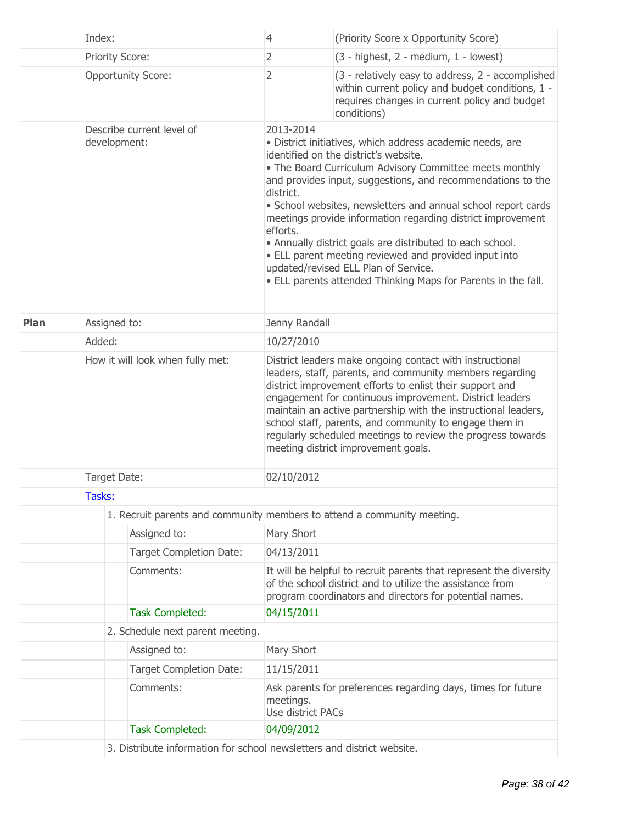|      | Index:                                     |                                                                        | $\overline{4}$                                                                                                                                                                                                                                                                                                                                                                                                                                                                                                                                                                                                                    | (Priority Score x Opportunity Score)                                                                                                                                                                                                                                                                                                                                                                                                                                          |  |  |
|------|--------------------------------------------|------------------------------------------------------------------------|-----------------------------------------------------------------------------------------------------------------------------------------------------------------------------------------------------------------------------------------------------------------------------------------------------------------------------------------------------------------------------------------------------------------------------------------------------------------------------------------------------------------------------------------------------------------------------------------------------------------------------------|-------------------------------------------------------------------------------------------------------------------------------------------------------------------------------------------------------------------------------------------------------------------------------------------------------------------------------------------------------------------------------------------------------------------------------------------------------------------------------|--|--|
|      |                                            | Priority Score:                                                        | $\overline{2}$                                                                                                                                                                                                                                                                                                                                                                                                                                                                                                                                                                                                                    | (3 - highest, 2 - medium, 1 - lowest)                                                                                                                                                                                                                                                                                                                                                                                                                                         |  |  |
|      |                                            | <b>Opportunity Score:</b>                                              | 2                                                                                                                                                                                                                                                                                                                                                                                                                                                                                                                                                                                                                                 | (3 - relatively easy to address, 2 - accomplished<br>within current policy and budget conditions, 1 -<br>requires changes in current policy and budget<br>conditions)                                                                                                                                                                                                                                                                                                         |  |  |
|      |                                            | Describe current level of<br>development:                              | 2013-2014<br>· District initiatives, which address academic needs, are<br>identified on the district's website.<br>• The Board Curriculum Advisory Committee meets monthly<br>and provides input, suggestions, and recommendations to the<br>district.<br>• School websites, newsletters and annual school report cards<br>meetings provide information regarding district improvement<br>efforts.<br>• Annually district goals are distributed to each school.<br>• ELL parent meeting reviewed and provided input into<br>updated/revised ELL Plan of Service.<br>. ELL parents attended Thinking Maps for Parents in the fall. |                                                                                                                                                                                                                                                                                                                                                                                                                                                                               |  |  |
| Plan | Assigned to:                               |                                                                        | Jenny Randall                                                                                                                                                                                                                                                                                                                                                                                                                                                                                                                                                                                                                     |                                                                                                                                                                                                                                                                                                                                                                                                                                                                               |  |  |
|      | Added:<br>How it will look when fully met: |                                                                        | 10/27/2010                                                                                                                                                                                                                                                                                                                                                                                                                                                                                                                                                                                                                        |                                                                                                                                                                                                                                                                                                                                                                                                                                                                               |  |  |
|      |                                            |                                                                        |                                                                                                                                                                                                                                                                                                                                                                                                                                                                                                                                                                                                                                   | District leaders make ongoing contact with instructional<br>leaders, staff, parents, and community members regarding<br>district improvement efforts to enlist their support and<br>engagement for continuous improvement. District leaders<br>maintain an active partnership with the instructional leaders,<br>school staff, parents, and community to engage them in<br>regularly scheduled meetings to review the progress towards<br>meeting district improvement goals. |  |  |
|      | Target Date:                               |                                                                        | 02/10/2012                                                                                                                                                                                                                                                                                                                                                                                                                                                                                                                                                                                                                        |                                                                                                                                                                                                                                                                                                                                                                                                                                                                               |  |  |
|      |                                            | Tasks:                                                                 |                                                                                                                                                                                                                                                                                                                                                                                                                                                                                                                                                                                                                                   |                                                                                                                                                                                                                                                                                                                                                                                                                                                                               |  |  |
|      |                                            |                                                                        |                                                                                                                                                                                                                                                                                                                                                                                                                                                                                                                                                                                                                                   | 1. Recruit parents and community members to attend a community meeting.                                                                                                                                                                                                                                                                                                                                                                                                       |  |  |
|      |                                            | Assigned to:                                                           | Mary Short                                                                                                                                                                                                                                                                                                                                                                                                                                                                                                                                                                                                                        |                                                                                                                                                                                                                                                                                                                                                                                                                                                                               |  |  |
|      |                                            | <b>Target Completion Date:</b>                                         | 04/13/2011                                                                                                                                                                                                                                                                                                                                                                                                                                                                                                                                                                                                                        |                                                                                                                                                                                                                                                                                                                                                                                                                                                                               |  |  |
|      |                                            | Comments:                                                              |                                                                                                                                                                                                                                                                                                                                                                                                                                                                                                                                                                                                                                   | It will be helpful to recruit parents that represent the diversity<br>of the school district and to utilize the assistance from<br>program coordinators and directors for potential names.                                                                                                                                                                                                                                                                                    |  |  |
|      |                                            | <b>Task Completed:</b>                                                 | 04/15/2011                                                                                                                                                                                                                                                                                                                                                                                                                                                                                                                                                                                                                        |                                                                                                                                                                                                                                                                                                                                                                                                                                                                               |  |  |
|      |                                            | 2. Schedule next parent meeting.                                       |                                                                                                                                                                                                                                                                                                                                                                                                                                                                                                                                                                                                                                   |                                                                                                                                                                                                                                                                                                                                                                                                                                                                               |  |  |
|      |                                            | Assigned to:                                                           | Mary Short                                                                                                                                                                                                                                                                                                                                                                                                                                                                                                                                                                                                                        |                                                                                                                                                                                                                                                                                                                                                                                                                                                                               |  |  |
|      |                                            | <b>Target Completion Date:</b>                                         | 11/15/2011                                                                                                                                                                                                                                                                                                                                                                                                                                                                                                                                                                                                                        |                                                                                                                                                                                                                                                                                                                                                                                                                                                                               |  |  |
|      |                                            | Comments:                                                              | meetings.<br>Use district PACs                                                                                                                                                                                                                                                                                                                                                                                                                                                                                                                                                                                                    | Ask parents for preferences regarding days, times for future                                                                                                                                                                                                                                                                                                                                                                                                                  |  |  |
|      |                                            | <b>Task Completed:</b>                                                 | 04/09/2012                                                                                                                                                                                                                                                                                                                                                                                                                                                                                                                                                                                                                        |                                                                                                                                                                                                                                                                                                                                                                                                                                                                               |  |  |
|      |                                            | 3. Distribute information for school newsletters and district website. |                                                                                                                                                                                                                                                                                                                                                                                                                                                                                                                                                                                                                                   |                                                                                                                                                                                                                                                                                                                                                                                                                                                                               |  |  |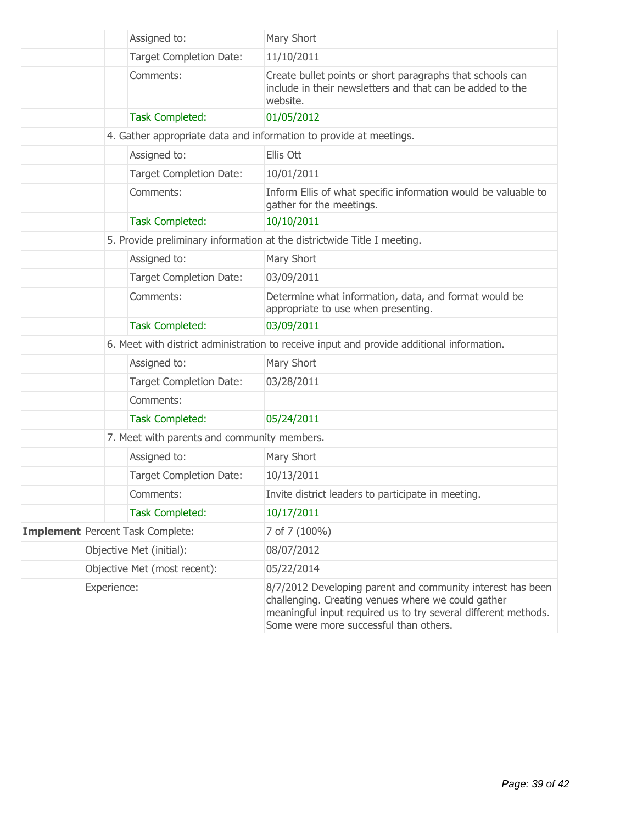|                                         | Assigned to:                                | Mary Short                                                                                                                                                                                                                   |
|-----------------------------------------|---------------------------------------------|------------------------------------------------------------------------------------------------------------------------------------------------------------------------------------------------------------------------------|
|                                         | Target Completion Date:                     | 11/10/2011                                                                                                                                                                                                                   |
|                                         | Comments:                                   | Create bullet points or short paragraphs that schools can<br>include in their newsletters and that can be added to the<br>website.                                                                                           |
|                                         | <b>Task Completed:</b>                      | 01/05/2012                                                                                                                                                                                                                   |
|                                         |                                             | 4. Gather appropriate data and information to provide at meetings.                                                                                                                                                           |
|                                         | Assigned to:                                | Ellis Ott                                                                                                                                                                                                                    |
|                                         | Target Completion Date:                     | 10/01/2011                                                                                                                                                                                                                   |
|                                         | Comments:                                   | Inform Ellis of what specific information would be valuable to<br>gather for the meetings.                                                                                                                                   |
|                                         | <b>Task Completed:</b>                      | 10/10/2011                                                                                                                                                                                                                   |
|                                         |                                             | 5. Provide preliminary information at the districtwide Title I meeting.                                                                                                                                                      |
|                                         | Assigned to:                                | Mary Short                                                                                                                                                                                                                   |
|                                         | Target Completion Date:                     | 03/09/2011                                                                                                                                                                                                                   |
|                                         | Comments:                                   | Determine what information, data, and format would be<br>appropriate to use when presenting.                                                                                                                                 |
|                                         | <b>Task Completed:</b>                      | 03/09/2011                                                                                                                                                                                                                   |
|                                         |                                             | 6. Meet with district administration to receive input and provide additional information.                                                                                                                                    |
|                                         | Assigned to:                                | Mary Short                                                                                                                                                                                                                   |
|                                         | Target Completion Date:                     | 03/28/2011                                                                                                                                                                                                                   |
|                                         | Comments:                                   |                                                                                                                                                                                                                              |
|                                         | <b>Task Completed:</b>                      | 05/24/2011                                                                                                                                                                                                                   |
|                                         | 7. Meet with parents and community members. |                                                                                                                                                                                                                              |
|                                         | Assigned to:                                | Mary Short                                                                                                                                                                                                                   |
|                                         | <b>Target Completion Date:</b>              | 10/13/2011                                                                                                                                                                                                                   |
|                                         | Comments:                                   | Invite district leaders to participate in meeting.                                                                                                                                                                           |
|                                         | <b>Task Completed:</b>                      | 10/17/2011                                                                                                                                                                                                                   |
| <b>Implement</b> Percent Task Complete: |                                             | 7 of 7 (100%)                                                                                                                                                                                                                |
| Objective Met (initial):                |                                             | 08/07/2012                                                                                                                                                                                                                   |
| Objective Met (most recent):            |                                             | 05/22/2014                                                                                                                                                                                                                   |
| Experience:                             |                                             | 8/7/2012 Developing parent and community interest has been<br>challenging. Creating venues where we could gather<br>meaningful input required us to try several different methods.<br>Some were more successful than others. |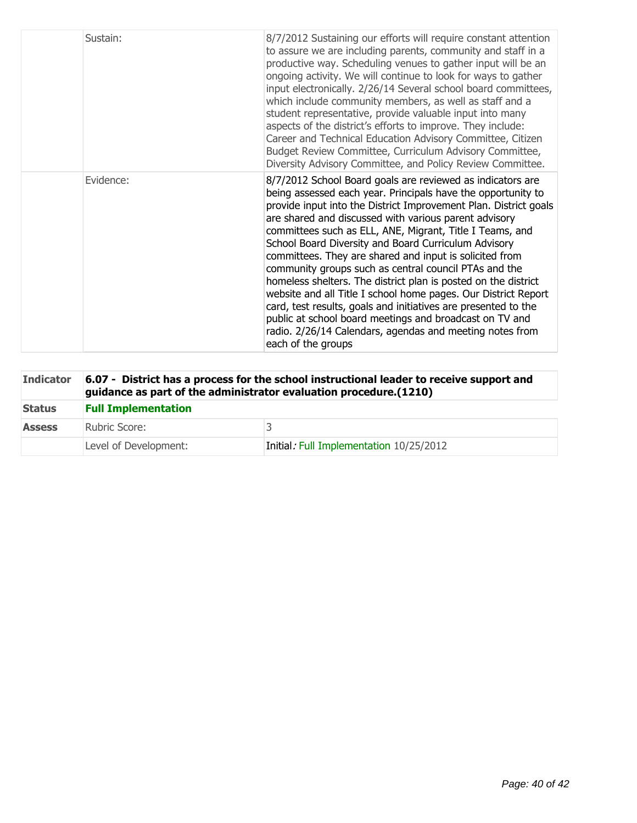| Sustain:  | 8/7/2012 Sustaining our efforts will require constant attention<br>to assure we are including parents, community and staff in a<br>productive way. Scheduling venues to gather input will be an<br>ongoing activity. We will continue to look for ways to gather<br>input electronically. 2/26/14 Several school board committees,<br>which include community members, as well as staff and a<br>student representative, provide valuable input into many<br>aspects of the district's efforts to improve. They include:<br>Career and Technical Education Advisory Committee, Citizen<br>Budget Review Committee, Curriculum Advisory Committee,<br>Diversity Advisory Committee, and Policy Review Committee.                                                                                                                                    |
|-----------|----------------------------------------------------------------------------------------------------------------------------------------------------------------------------------------------------------------------------------------------------------------------------------------------------------------------------------------------------------------------------------------------------------------------------------------------------------------------------------------------------------------------------------------------------------------------------------------------------------------------------------------------------------------------------------------------------------------------------------------------------------------------------------------------------------------------------------------------------|
| Evidence: | 8/7/2012 School Board goals are reviewed as indicators are<br>being assessed each year. Principals have the opportunity to<br>provide input into the District Improvement Plan. District goals<br>are shared and discussed with various parent advisory<br>committees such as ELL, ANE, Migrant, Title I Teams, and<br>School Board Diversity and Board Curriculum Advisory<br>committees. They are shared and input is solicited from<br>community groups such as central council PTAs and the<br>homeless shelters. The district plan is posted on the district<br>website and all Title I school home pages. Our District Report<br>card, test results, goals and initiatives are presented to the<br>public at school board meetings and broadcast on TV and<br>radio. 2/26/14 Calendars, agendas and meeting notes from<br>each of the groups |

| <b>Indicator</b> | 6.07 - District has a process for the school instructional leader to receive support and<br>guidance as part of the administrator evaluation procedure. (1210) |                                         |  |
|------------------|----------------------------------------------------------------------------------------------------------------------------------------------------------------|-----------------------------------------|--|
| <b>Status</b>    | <b>Full Implementation</b>                                                                                                                                     |                                         |  |
| <b>Assess</b>    | Rubric Score:                                                                                                                                                  |                                         |  |
|                  | Level of Development:                                                                                                                                          | Initial: Full Implementation 10/25/2012 |  |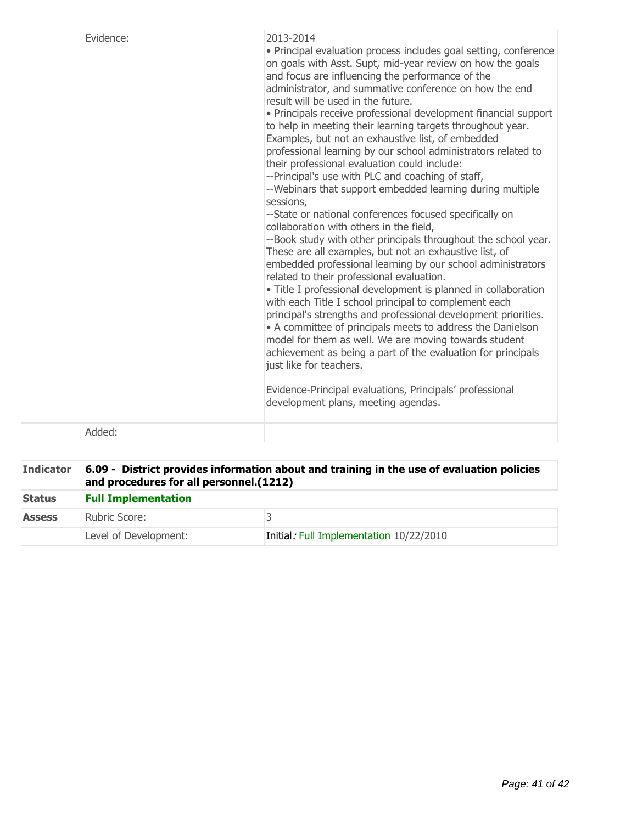| Evidence: | 2013-2014<br>• Principal evaluation process includes goal setting, conference<br>on goals with Asst. Supt, mid-year review on how the goals<br>and focus are influencing the performance of the<br>administrator, and summative conference on how the end<br>result will be used in the future.<br>• Principals receive professional development financial support<br>to help in meeting their learning targets throughout year.<br>Examples, but not an exhaustive list, of embedded<br>professional learning by our school administrators related to<br>their professional evaluation could include:<br>--Principal's use with PLC and coaching of staff,<br>--Webinars that support embedded learning during multiple<br>sessions,<br>--State or national conferences focused specifically on<br>collaboration with others in the field,<br>--Book study with other principals throughout the school year.<br>These are all examples, but not an exhaustive list, of<br>embedded professional learning by our school administrators<br>related to their professional evaluation.<br>• Title I professional development is planned in collaboration<br>with each Title I school principal to complement each<br>principal's strengths and professional development priorities.<br>• A committee of principals meets to address the Danielson<br>model for them as well. We are moving towards student<br>achievement as being a part of the evaluation for principals<br>just like for teachers.<br>Evidence-Principal evaluations, Principals' professional<br>development plans, meeting agendas. |
|-----------|-------------------------------------------------------------------------------------------------------------------------------------------------------------------------------------------------------------------------------------------------------------------------------------------------------------------------------------------------------------------------------------------------------------------------------------------------------------------------------------------------------------------------------------------------------------------------------------------------------------------------------------------------------------------------------------------------------------------------------------------------------------------------------------------------------------------------------------------------------------------------------------------------------------------------------------------------------------------------------------------------------------------------------------------------------------------------------------------------------------------------------------------------------------------------------------------------------------------------------------------------------------------------------------------------------------------------------------------------------------------------------------------------------------------------------------------------------------------------------------------------------------------------------------------------------------------------------------------------------|
| Added:    |                                                                                                                                                                                                                                                                                                                                                                                                                                                                                                                                                                                                                                                                                                                                                                                                                                                                                                                                                                                                                                                                                                                                                                                                                                                                                                                                                                                                                                                                                                                                                                                                       |
|           |                                                                                                                                                                                                                                                                                                                                                                                                                                                                                                                                                                                                                                                                                                                                                                                                                                                                                                                                                                                                                                                                                                                                                                                                                                                                                                                                                                                                                                                                                                                                                                                                       |

| <b>Indicator</b> | 6.09 - District provides information about and training in the use of evaluation policies<br>and procedures for all personnel. (1212) |                                         |
|------------------|---------------------------------------------------------------------------------------------------------------------------------------|-----------------------------------------|
| <b>Status</b>    | <b>Full Implementation</b>                                                                                                            |                                         |
| <b>Assess</b>    | Rubric Score:                                                                                                                         |                                         |
|                  | Level of Development:                                                                                                                 | Initial: Full Implementation 10/22/2010 |